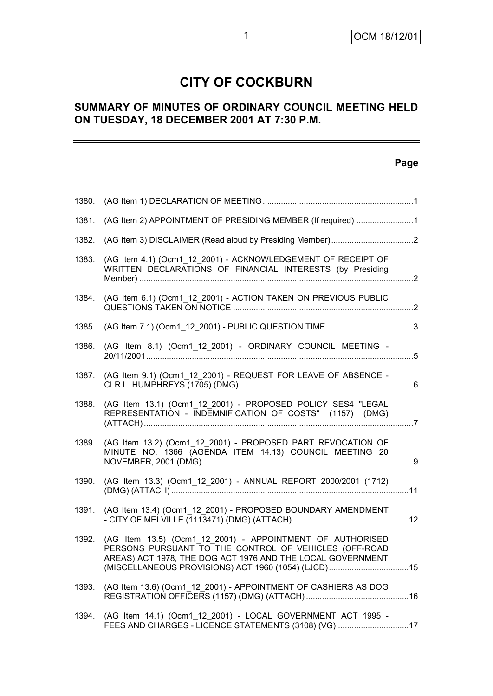# **CITY OF COCKBURN**

# **SUMMARY OF MINUTES OF ORDINARY COUNCIL MEETING HELD ON TUESDAY, 18 DECEMBER 2001 AT 7:30 P.M.**

# **Page**

| 1380. |                                                                                                                                                                                                                                         |  |
|-------|-----------------------------------------------------------------------------------------------------------------------------------------------------------------------------------------------------------------------------------------|--|
| 1381. | (AG Item 2) APPOINTMENT OF PRESIDING MEMBER (If required) 1                                                                                                                                                                             |  |
| 1382. |                                                                                                                                                                                                                                         |  |
| 1383. | (AG Item 4.1) (Ocm1_12_2001) - ACKNOWLEDGEMENT OF RECEIPT OF<br>WRITTEN DECLARATIONS OF FINANCIAL INTERESTS (by Presiding                                                                                                               |  |
| 1384. | (AG Item 6.1) (Ocm1_12_2001) - ACTION TAKEN ON PREVIOUS PUBLIC                                                                                                                                                                          |  |
| 1385. | (AG Item 7.1) (Ocm1_12_2001) - PUBLIC QUESTION TIME 3                                                                                                                                                                                   |  |
| 1386. | (AG Item 8.1) (Ocm1_12_2001) - ORDINARY COUNCIL MEETING -                                                                                                                                                                               |  |
| 1387. | (AG Item 9.1) (Ocm1 12 2001) - REQUEST FOR LEAVE OF ABSENCE -                                                                                                                                                                           |  |
| 1388. | (AG Item 13.1) (Ocm1_12_2001) - PROPOSED POLICY SES4 "LEGAL<br>REPRESENTATION - INDEMNIFICATION OF COSTS" (1157) (DMG)                                                                                                                  |  |
| 1389. | (AG Item 13.2) (Ocm1_12_2001) - PROPOSED PART REVOCATION OF<br>MINUTE NO. 1366 (AGENDA ITEM 14.13) COUNCIL MEETING 20                                                                                                                   |  |
| 1390. | (AG Item 13.3) (Ocm1_12_2001) - ANNUAL REPORT 2000/2001 (1712)                                                                                                                                                                          |  |
| 1391. | (AG Item 13.4) (Ocm1 12 2001) - PROPOSED BOUNDARY AMENDMENT                                                                                                                                                                             |  |
| 1392. | (AG Item 13.5) (Ocm1 12 2001) - APPOINTMENT OF AUTHORISED<br>PERSONS PURSUANT TO THE CONTROL OF VEHICLES (OFF-ROAD<br>AREAS) ACT 1978, THE DOG ACT 1976 AND THE LOCAL GOVERNMENT<br>(MISCELLANEOUS PROVISIONS) ACT 1960 (1054) (LJCD)15 |  |
| 1393. | (AG Item 13.6) (Ocm1 12 2001) - APPOINTMENT OF CASHIERS AS DOG                                                                                                                                                                          |  |
| 1394. | (AG Item 14.1) (Ocm1_12_2001) - LOCAL GOVERNMENT ACT 1995 -<br>FEES AND CHARGES - LICENCE STATEMENTS (3108) (VG) 17                                                                                                                     |  |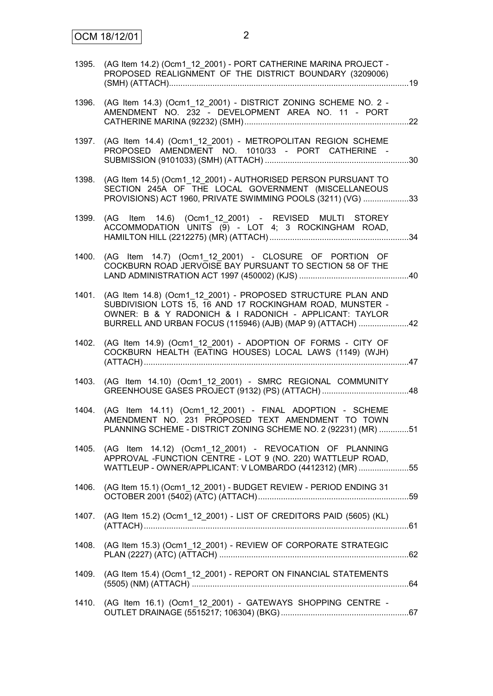| 1395. | (AG Item 14.2) (Ocm1 12 2001) - PORT CATHERINE MARINA PROJECT -<br>PROPOSED REALIGNMENT OF THE DISTRICT BOUNDARY (3209006)                                                                                                                       |  |
|-------|--------------------------------------------------------------------------------------------------------------------------------------------------------------------------------------------------------------------------------------------------|--|
| 1396. | (AG Item 14.3) (Ocm1_12_2001) - DISTRICT ZONING SCHEME NO. 2 -<br>AMENDMENT NO. 232 - DEVELOPMENT AREA NO. 11 - PORT                                                                                                                             |  |
| 1397. | (AG Item 14.4) (Ocm1 12 2001) - METROPOLITAN REGION SCHEME<br>PROPOSED AMENDMENT NO. 1010/33 - PORT CATHERINE -                                                                                                                                  |  |
| 1398. | (AG Item 14.5) (Ocm1 12 2001) - AUTHORISED PERSON PURSUANT TO<br>SECTION 245A OF THE LOCAL GOVERNMENT (MISCELLANEOUS<br>PROVISIONS) ACT 1960, PRIVATE SWIMMING POOLS (3211) (VG) 33                                                              |  |
| 1399. | (AG Item 14.6) (Ocm1_12_2001) - REVISED MULTI STOREY<br>ACCOMMODATION UNITS (9) - LOT 4; 3 ROCKINGHAM ROAD,                                                                                                                                      |  |
| 1400. | (AG Item 14.7) (Ocm1 12 2001) - CLOSURE OF PORTION OF<br>COCKBURN ROAD JERVOISE BAY PURSUANT TO SECTION 58 OF THE                                                                                                                                |  |
| 1401. | (AG Item 14.8) (Ocm1_12_2001) - PROPOSED STRUCTURE PLAN AND<br>SUBDIVISION LOTS 15, 16 AND 17 ROCKINGHAM ROAD, MUNSTER -<br>OWNER: B & Y RADONICH & I RADONICH - APPLICANT: TAYLOR<br>BURRELL AND URBAN FOCUS (115946) (AJB) (MAP 9) (ATTACH) 42 |  |
| 1402. | (AG Item 14.9) (Ocm1_12_2001) - ADOPTION OF FORMS - CITY OF<br>COCKBURN HEALTH (EATING HOUSES) LOCAL LAWS (1149) (WJH)                                                                                                                           |  |
| 1403. | (AG Item 14.10) (Ocm1_12_2001) - SMRC REGIONAL COMMUNITY                                                                                                                                                                                         |  |
| 1404. | (AG Item 14.11) (Ocm1_12_2001) - FINAL ADOPTION - SCHEME<br>AMENDMENT NO. 231 PROPOSED TEXT AMENDMENT TO TOWN<br>PLANNING SCHEME - DISTRICT ZONING SCHEME NO. 2 (92231) (MR) 51                                                                  |  |
| 1405. | (AG Item 14.12) (Ocm1 12 2001) - REVOCATION OF PLANNING<br>APPROVAL -FUNCTION CENTRE - LOT 9 (NO. 220) WATTLEUP ROAD,<br>WATTLEUP - OWNER/APPLICANT: V LOMBARDO (4412312) (MR) 55                                                                |  |
| 1406. | (AG Item 15.1) (Ocm1 12 2001) - BUDGET REVIEW - PERIOD ENDING 31                                                                                                                                                                                 |  |
| 1407. | (AG Item 15.2) (Ocm1_12_2001) - LIST OF CREDITORS PAID (5605) (KL)                                                                                                                                                                               |  |
| 1408. | (AG Item 15.3) (Ocm1 12 2001) - REVIEW OF CORPORATE STRATEGIC                                                                                                                                                                                    |  |
| 1409. | (AG Item 15.4) (Ocm1_12_2001) - REPORT ON FINANCIAL STATEMENTS                                                                                                                                                                                   |  |
| 1410. | (AG Item 16.1) (Ocm1_12_2001) - GATEWAYS SHOPPING CENTRE -                                                                                                                                                                                       |  |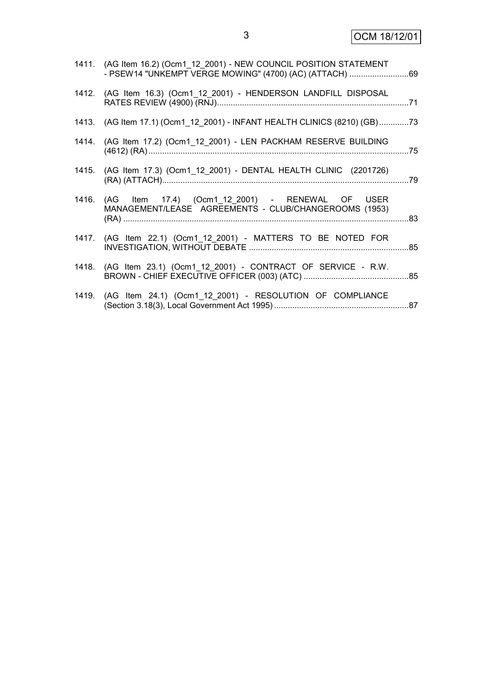| 1411. (AG Item 16.2) (Ocm1 12 2001) - NEW COUNCIL POSITION STATEMENT<br>- PSEW14 "UNKEMPT VERGE MOWING" (4700) (AC) (ATTACH) 69 |  |
|---------------------------------------------------------------------------------------------------------------------------------|--|
| 1412. (AG Item 16.3) (Ocm1_12_2001) - HENDERSON LANDFILL DISPOSAL                                                               |  |
| 1413. (AG Item 17.1) (Ocm1_12_2001) - INFANT HEALTH CLINICS (8210) (GB)73                                                       |  |
| 1414. (AG Item 17.2) (Ocm1_12_2001) - LEN PACKHAM RESERVE BUILDING                                                              |  |
| 1415. (AG Item 17.3) (Ocm1_12_2001) - DENTAL HEALTH CLINIC (2201726)                                                            |  |
| 1416. (AG Item 17.4) (Ocm1_12_2001) - RENEWAL OF USER<br>MANAGEMENT/LEASE AGREEMENTS - CLUB/CHANGEROOMS (1953)                  |  |
| 1417. (AG Item 22.1) (Ocm1_12_2001) - MATTERS TO BE NOTED FOR                                                                   |  |
| 1418. (AG Item 23.1) (Ocm1_12_2001) - CONTRACT OF SERVICE - R.W.                                                                |  |
| 1419. (AG Item 24.1) (Ocm1_12_2001) - RESOLUTION OF COMPLIANCE                                                                  |  |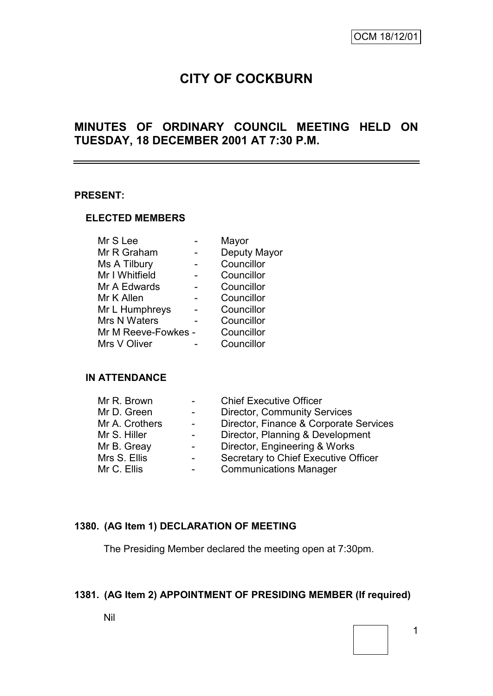# **CITY OF COCKBURN**

# **MINUTES OF ORDINARY COUNCIL MEETING HELD ON TUESDAY, 18 DECEMBER 2001 AT 7:30 P.M.**

#### **PRESENT:**

#### **ELECTED MEMBERS**

| Mr S Lee            | Mayor        |
|---------------------|--------------|
| Mr R Graham         | Deputy Mayor |
| Ms A Tilbury        | Councillor   |
| Mr I Whitfield      | Councillor   |
| Mr A Edwards        | Councillor   |
| Mr K Allen          | Councillor   |
| Mr L Humphreys      | Councillor   |
| Mrs N Waters        | Councillor   |
| Mr M Reeve-Fowkes - | Councillor   |
| Mrs V Oliver        | Councillor   |
|                     |              |

#### **IN ATTENDANCE**

| Mr R. Brown    |                | <b>Chief Executive Officer</b>         |
|----------------|----------------|----------------------------------------|
| Mr D. Green    |                | <b>Director, Community Services</b>    |
| Mr A. Crothers | $\overline{a}$ | Director, Finance & Corporate Services |
| Mr S. Hiller   |                | Director, Planning & Development       |
| Mr B. Greay    |                | Director, Engineering & Works          |
| Mrs S. Ellis   |                | Secretary to Chief Executive Officer   |
| Mr C. Ellis    |                | <b>Communications Manager</b>          |

# **1380. (AG Item 1) DECLARATION OF MEETING**

The Presiding Member declared the meeting open at 7:30pm.

#### **1381. (AG Item 2) APPOINTMENT OF PRESIDING MEMBER (If required)**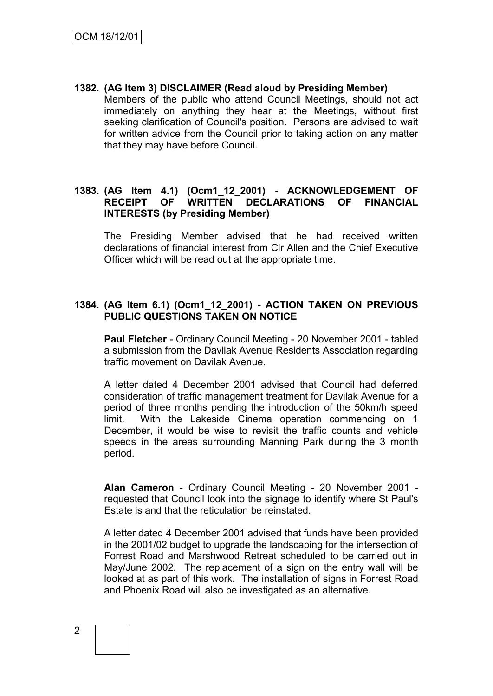**1382. (AG Item 3) DISCLAIMER (Read aloud by Presiding Member)** Members of the public who attend Council Meetings, should not act immediately on anything they hear at the Meetings, without first seeking clarification of Council's position. Persons are advised to wait for written advice from the Council prior to taking action on any matter that they may have before Council.

#### **1383. (AG Item 4.1) (Ocm1\_12\_2001) - ACKNOWLEDGEMENT OF RECEIPT OF WRITTEN DECLARATIONS OF FINANCIAL INTERESTS (by Presiding Member)**

The Presiding Member advised that he had received written declarations of financial interest from Clr Allen and the Chief Executive Officer which will be read out at the appropriate time.

#### **1384. (AG Item 6.1) (Ocm1\_12\_2001) - ACTION TAKEN ON PREVIOUS PUBLIC QUESTIONS TAKEN ON NOTICE**

**Paul Fletcher** - Ordinary Council Meeting - 20 November 2001 - tabled a submission from the Davilak Avenue Residents Association regarding traffic movement on Davilak Avenue.

A letter dated 4 December 2001 advised that Council had deferred consideration of traffic management treatment for Davilak Avenue for a period of three months pending the introduction of the 50km/h speed limit. With the Lakeside Cinema operation commencing on 1 December, it would be wise to revisit the traffic counts and vehicle speeds in the areas surrounding Manning Park during the 3 month period.

**Alan Cameron** - Ordinary Council Meeting - 20 November 2001 requested that Council look into the signage to identify where St Paul's Estate is and that the reticulation be reinstated.

A letter dated 4 December 2001 advised that funds have been provided in the 2001/02 budget to upgrade the landscaping for the intersection of Forrest Road and Marshwood Retreat scheduled to be carried out in May/June 2002. The replacement of a sign on the entry wall will be looked at as part of this work. The installation of signs in Forrest Road and Phoenix Road will also be investigated as an alternative.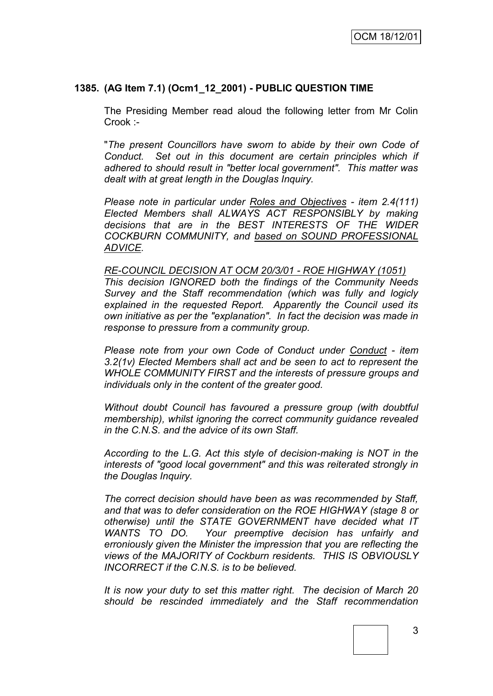#### **1385. (AG Item 7.1) (Ocm1\_12\_2001) - PUBLIC QUESTION TIME**

The Presiding Member read aloud the following letter from Mr Colin Crook :-

"*The present Councillors have sworn to abide by their own Code of Conduct. Set out in this document are certain principles which if adhered to should result in "better local government". This matter was dealt with at great length in the Douglas Inquiry.*

*Please note in particular under Roles and Objectives - item 2.4(111) Elected Members shall ALWAYS ACT RESPONSIBLY by making decisions that are in the BEST INTERESTS OF THE WIDER COCKBURN COMMUNITY, and based on SOUND PROFESSIONAL ADVICE.*

#### *RE-COUNCIL DECISION AT OCM 20/3/01 - ROE HIGHWAY (1051)*

*This decision IGNORED both the findings of the Community Needs Survey and the Staff recommendation (which was fully and logicly explained in the requested Report. Apparently the Council used its own initiative as per the "explanation". In fact the decision was made in response to pressure from a community group.*

*Please note from your own Code of Conduct under Conduct - item 3.2(1v) Elected Members shall act and be seen to act to represent the WHOLE COMMUNITY FIRST and the interests of pressure groups and individuals only in the content of the greater good.*

*Without doubt Council has favoured a pressure group (with doubtful membership), whilst ignoring the correct community guidance revealed in the C.N.S. and the advice of its own Staff.*

*According to the L.G. Act this style of decision-making is NOT in the interests of "good local government" and this was reiterated strongly in the Douglas Inquiry.*

*The correct decision should have been as was recommended by Staff, and that was to defer consideration on the ROE HIGHWAY (stage 8 or otherwise) until the STATE GOVERNMENT have decided what IT WANTS TO DO. Your preemptive decision has unfairly and erroniously given the Minister the impression that you are reflecting the views of the MAJORITY of Cockburn residents. THIS IS OBVIOUSLY INCORRECT if the C.N.S. is to be believed.*

*It is now your duty to set this matter right. The decision of March 20 should be rescinded immediately and the Staff recommendation*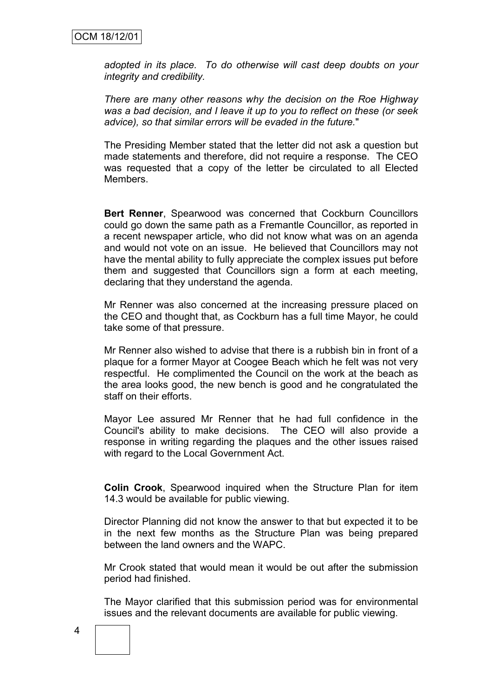*adopted in its place. To do otherwise will cast deep doubts on your integrity and credibility.*

*There are many other reasons why the decision on the Roe Highway was a bad decision, and I leave it up to you to reflect on these (or seek advice), so that similar errors will be evaded in the future.*"

The Presiding Member stated that the letter did not ask a question but made statements and therefore, did not require a response. The CEO was requested that a copy of the letter be circulated to all Elected Members.

**Bert Renner**, Spearwood was concerned that Cockburn Councillors could go down the same path as a Fremantle Councillor, as reported in a recent newspaper article, who did not know what was on an agenda and would not vote on an issue. He believed that Councillors may not have the mental ability to fully appreciate the complex issues put before them and suggested that Councillors sign a form at each meeting, declaring that they understand the agenda.

Mr Renner was also concerned at the increasing pressure placed on the CEO and thought that, as Cockburn has a full time Mayor, he could take some of that pressure.

Mr Renner also wished to advise that there is a rubbish bin in front of a plaque for a former Mayor at Coogee Beach which he felt was not very respectful. He complimented the Council on the work at the beach as the area looks good, the new bench is good and he congratulated the staff on their efforts.

Mayor Lee assured Mr Renner that he had full confidence in the Council's ability to make decisions. The CEO will also provide a response in writing regarding the plaques and the other issues raised with regard to the Local Government Act.

**Colin Crook**, Spearwood inquired when the Structure Plan for item 14.3 would be available for public viewing.

Director Planning did not know the answer to that but expected it to be in the next few months as the Structure Plan was being prepared between the land owners and the WAPC.

Mr Crook stated that would mean it would be out after the submission period had finished.

The Mayor clarified that this submission period was for environmental issues and the relevant documents are available for public viewing.

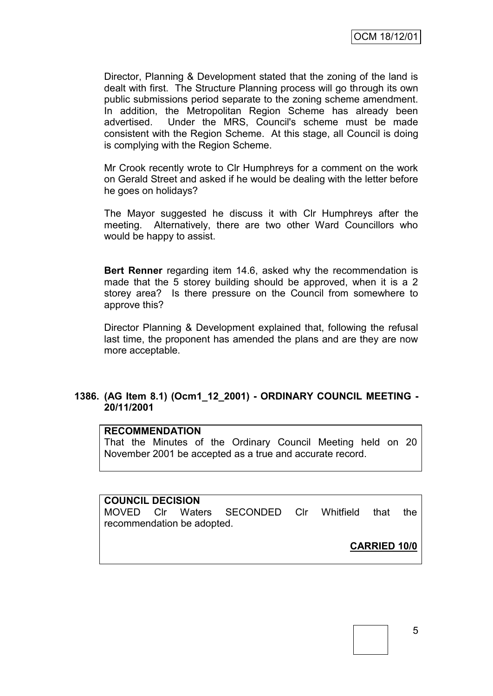Director, Planning & Development stated that the zoning of the land is dealt with first. The Structure Planning process will go through its own public submissions period separate to the zoning scheme amendment. In addition, the Metropolitan Region Scheme has already been advertised. Under the MRS, Council's scheme must be made consistent with the Region Scheme. At this stage, all Council is doing is complying with the Region Scheme.

Mr Crook recently wrote to Clr Humphreys for a comment on the work on Gerald Street and asked if he would be dealing with the letter before he goes on holidays?

The Mayor suggested he discuss it with Clr Humphreys after the meeting. Alternatively, there are two other Ward Councillors who would be happy to assist.

**Bert Renner** regarding item 14.6, asked why the recommendation is made that the 5 storey building should be approved, when it is a 2 storey area? Is there pressure on the Council from somewhere to approve this?

Director Planning & Development explained that, following the refusal last time, the proponent has amended the plans and are they are now more acceptable.

#### **1386. (AG Item 8.1) (Ocm1\_12\_2001) - ORDINARY COUNCIL MEETING - 20/11/2001**

#### **RECOMMENDATION**

That the Minutes of the Ordinary Council Meeting held on 20 November 2001 be accepted as a true and accurate record.

#### **COUNCIL DECISION**

MOVED Clr Waters SECONDED Clr Whitfield that the recommendation be adopted.

**CARRIED 10/0**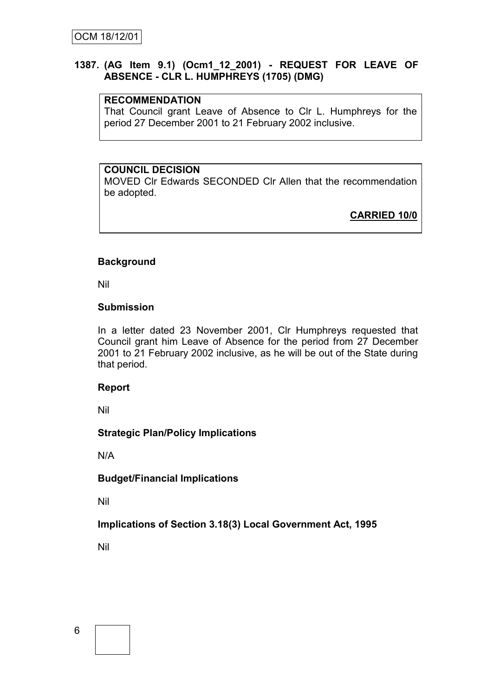#### **1387. (AG Item 9.1) (Ocm1\_12\_2001) - REQUEST FOR LEAVE OF ABSENCE - CLR L. HUMPHREYS (1705) (DMG)**

#### **RECOMMENDATION**

That Council grant Leave of Absence to Clr L. Humphreys for the period 27 December 2001 to 21 February 2002 inclusive.

# **COUNCIL DECISION**

MOVED Clr Edwards SECONDED Clr Allen that the recommendation be adopted.

**CARRIED 10/0**

### **Background**

Nil

#### **Submission**

In a letter dated 23 November 2001, Clr Humphreys requested that Council grant him Leave of Absence for the period from 27 December 2001 to 21 February 2002 inclusive, as he will be out of the State during that period.

#### **Report**

Nil

# **Strategic Plan/Policy Implications**

N/A

#### **Budget/Financial Implications**

Nil

# **Implications of Section 3.18(3) Local Government Act, 1995**

Nil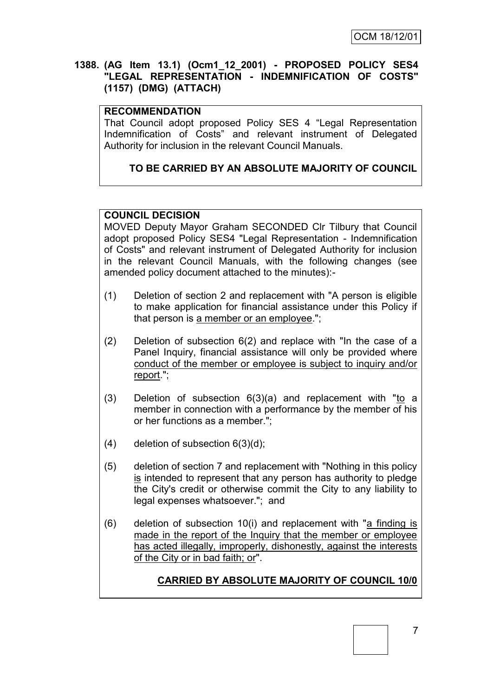#### **1388. (AG Item 13.1) (Ocm1\_12\_2001) - PROPOSED POLICY SES4 "LEGAL REPRESENTATION - INDEMNIFICATION OF COSTS" (1157) (DMG) (ATTACH)**

### **RECOMMENDATION**

That Council adopt proposed Policy SES 4 "Legal Representation Indemnification of Costs" and relevant instrument of Delegated Authority for inclusion in the relevant Council Manuals.

# **TO BE CARRIED BY AN ABSOLUTE MAJORITY OF COUNCIL**

# **COUNCIL DECISION**

MOVED Deputy Mayor Graham SECONDED Clr Tilbury that Council adopt proposed Policy SES4 "Legal Representation - Indemnification of Costs" and relevant instrument of Delegated Authority for inclusion in the relevant Council Manuals, with the following changes (see amended policy document attached to the minutes):-

- (1) Deletion of section 2 and replacement with "A person is eligible to make application for financial assistance under this Policy if that person is a member or an employee.";
- (2) Deletion of subsection 6(2) and replace with "In the case of a Panel Inquiry, financial assistance will only be provided where conduct of the member or employee is subject to inquiry and/or report.";
- (3) Deletion of subsection  $6(3)(a)$  and replacement with "to a member in connection with a performance by the member of his or her functions as a member.";
- (4) deletion of subsection  $6(3)(d)$ ;
- (5) deletion of section 7 and replacement with "Nothing in this policy is intended to represent that any person has authority to pledge the City's credit or otherwise commit the City to any liability to legal expenses whatsoever."; and
- (6) deletion of subsection 10(i) and replacement with "a finding is made in the report of the Inquiry that the member or employee has acted illegally, improperly, dishonestly, against the interests of the City or in bad faith; or".

# **CARRIED BY ABSOLUTE MAJORITY OF COUNCIL 10/0**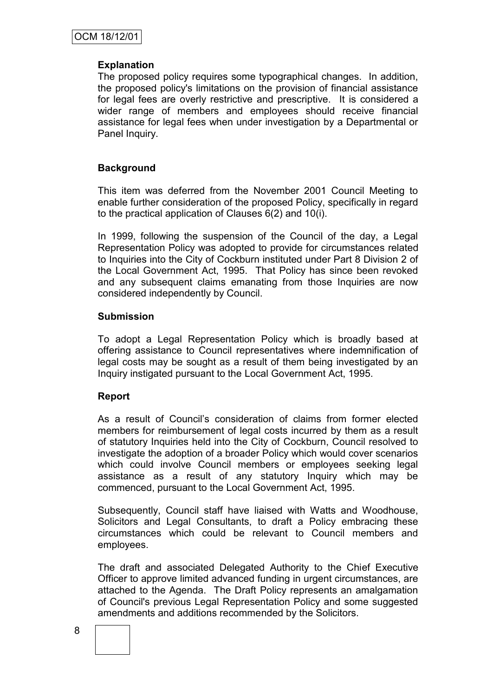#### **Explanation**

The proposed policy requires some typographical changes. In addition, the proposed policy's limitations on the provision of financial assistance for legal fees are overly restrictive and prescriptive. It is considered a wider range of members and employees should receive financial assistance for legal fees when under investigation by a Departmental or Panel Inquiry.

### **Background**

This item was deferred from the November 2001 Council Meeting to enable further consideration of the proposed Policy, specifically in regard to the practical application of Clauses 6(2) and 10(i).

In 1999, following the suspension of the Council of the day, a Legal Representation Policy was adopted to provide for circumstances related to Inquiries into the City of Cockburn instituted under Part 8 Division 2 of the Local Government Act, 1995. That Policy has since been revoked and any subsequent claims emanating from those Inquiries are now considered independently by Council.

#### **Submission**

To adopt a Legal Representation Policy which is broadly based at offering assistance to Council representatives where indemnification of legal costs may be sought as a result of them being investigated by an Inquiry instigated pursuant to the Local Government Act, 1995.

#### **Report**

As a result of Council"s consideration of claims from former elected members for reimbursement of legal costs incurred by them as a result of statutory Inquiries held into the City of Cockburn, Council resolved to investigate the adoption of a broader Policy which would cover scenarios which could involve Council members or employees seeking legal assistance as a result of any statutory Inquiry which may be commenced, pursuant to the Local Government Act, 1995.

Subsequently, Council staff have liaised with Watts and Woodhouse, Solicitors and Legal Consultants, to draft a Policy embracing these circumstances which could be relevant to Council members and employees.

The draft and associated Delegated Authority to the Chief Executive Officer to approve limited advanced funding in urgent circumstances, are attached to the Agenda. The Draft Policy represents an amalgamation of Council's previous Legal Representation Policy and some suggested amendments and additions recommended by the Solicitors.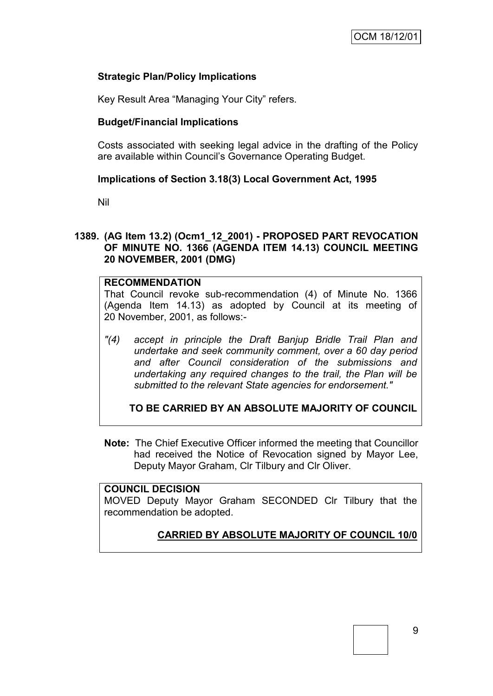## **Strategic Plan/Policy Implications**

Key Result Area "Managing Your City" refers.

### **Budget/Financial Implications**

Costs associated with seeking legal advice in the drafting of the Policy are available within Council"s Governance Operating Budget.

### **Implications of Section 3.18(3) Local Government Act, 1995**

Nil

#### **1389. (AG Item 13.2) (Ocm1\_12\_2001) - PROPOSED PART REVOCATION OF MINUTE NO. 1366 (AGENDA ITEM 14.13) COUNCIL MEETING 20 NOVEMBER, 2001 (DMG)**

## **RECOMMENDATION**

That Council revoke sub-recommendation (4) of Minute No. 1366 (Agenda Item 14.13) as adopted by Council at its meeting of 20 November, 2001, as follows:-

*"(4) accept in principle the Draft Banjup Bridle Trail Plan and undertake and seek community comment, over a 60 day period and after Council consideration of the submissions and undertaking any required changes to the trail, the Plan will be submitted to the relevant State agencies for endorsement."*

**TO BE CARRIED BY AN ABSOLUTE MAJORITY OF COUNCIL**

**Note:** The Chief Executive Officer informed the meeting that Councillor had received the Notice of Revocation signed by Mayor Lee, Deputy Mayor Graham, Clr Tilbury and Clr Oliver.

#### **COUNCIL DECISION**

MOVED Deputy Mayor Graham SECONDED Clr Tilbury that the recommendation be adopted.

# **CARRIED BY ABSOLUTE MAJORITY OF COUNCIL 10/0**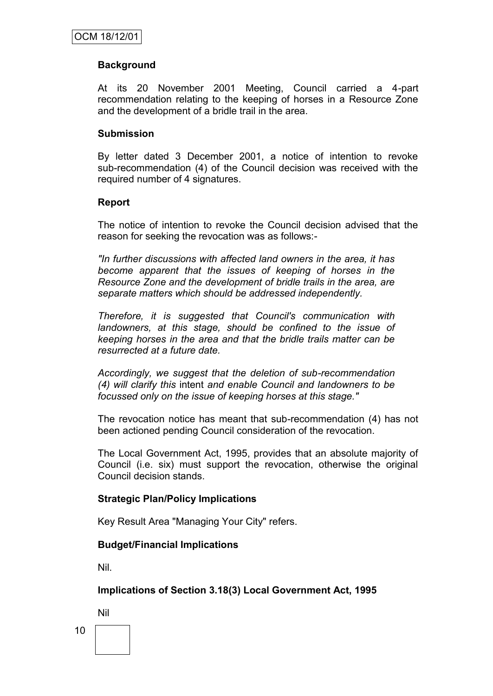#### **Background**

At its 20 November 2001 Meeting, Council carried a 4-part recommendation relating to the keeping of horses in a Resource Zone and the development of a bridle trail in the area.

#### **Submission**

By letter dated 3 December 2001, a notice of intention to revoke sub-recommendation (4) of the Council decision was received with the required number of 4 signatures.

#### **Report**

The notice of intention to revoke the Council decision advised that the reason for seeking the revocation was as follows:-

*"In further discussions with affected land owners in the area, it has become apparent that the issues of keeping of horses in the Resource Zone and the development of bridle trails in the area, are separate matters which should be addressed independently.*

*Therefore, it is suggested that Council's communication with landowners, at this stage, should be confined to the issue of keeping horses in the area and that the bridle trails matter can be resurrected at a future date.*

*Accordingly, we suggest that the deletion of sub-recommendation (4) will clarify this* intent *and enable Council and landowners to be focussed only on the issue of keeping horses at this stage."*

The revocation notice has meant that sub-recommendation (4) has not been actioned pending Council consideration of the revocation.

The Local Government Act, 1995, provides that an absolute majority of Council (i.e. six) must support the revocation, otherwise the original Council decision stands.

#### **Strategic Plan/Policy Implications**

Key Result Area "Managing Your City" refers.

#### **Budget/Financial Implications**

Nil.

#### **Implications of Section 3.18(3) Local Government Act, 1995**

Nil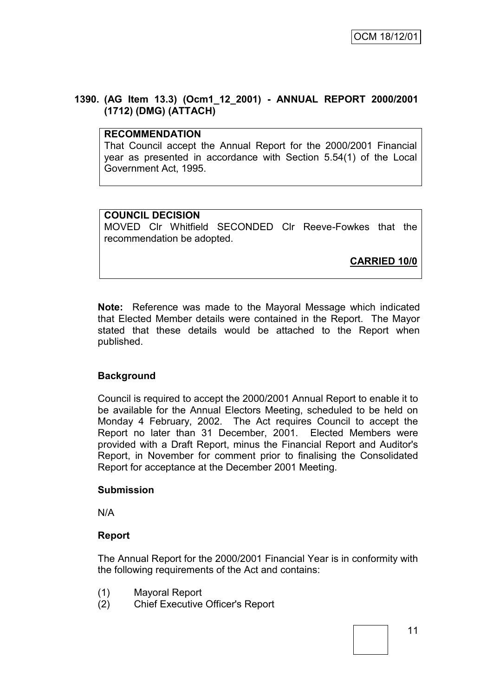#### **1390. (AG Item 13.3) (Ocm1\_12\_2001) - ANNUAL REPORT 2000/2001 (1712) (DMG) (ATTACH)**

## **RECOMMENDATION**

That Council accept the Annual Report for the 2000/2001 Financial year as presented in accordance with Section 5.54(1) of the Local Government Act, 1995.

### **COUNCIL DECISION**

MOVED Clr Whitfield SECONDED Clr Reeve-Fowkes that the recommendation be adopted.

**CARRIED 10/0**

**Note:** Reference was made to the Mayoral Message which indicated that Elected Member details were contained in the Report. The Mayor stated that these details would be attached to the Report when published.

# **Background**

Council is required to accept the 2000/2001 Annual Report to enable it to be available for the Annual Electors Meeting, scheduled to be held on Monday 4 February, 2002. The Act requires Council to accept the Report no later than 31 December, 2001. Elected Members were provided with a Draft Report, minus the Financial Report and Auditor's Report, in November for comment prior to finalising the Consolidated Report for acceptance at the December 2001 Meeting.

#### **Submission**

N/A

#### **Report**

The Annual Report for the 2000/2001 Financial Year is in conformity with the following requirements of the Act and contains:

- (1) Mayoral Report
- (2) Chief Executive Officer's Report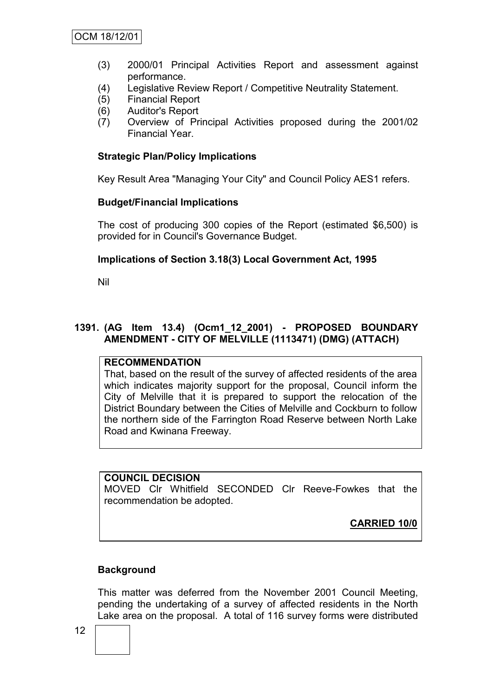- (3) 2000/01 Principal Activities Report and assessment against performance.
- (4) Legislative Review Report / Competitive Neutrality Statement.
- (5) Financial Report
- (6) Auditor's Report
- (7) Overview of Principal Activities proposed during the 2001/02 Financial Year.

#### **Strategic Plan/Policy Implications**

Key Result Area "Managing Your City" and Council Policy AES1 refers.

#### **Budget/Financial Implications**

The cost of producing 300 copies of the Report (estimated \$6,500) is provided for in Council's Governance Budget.

#### **Implications of Section 3.18(3) Local Government Act, 1995**

Nil

### **1391. (AG Item 13.4) (Ocm1\_12\_2001) - PROPOSED BOUNDARY AMENDMENT - CITY OF MELVILLE (1113471) (DMG) (ATTACH)**

# **RECOMMENDATION**

That, based on the result of the survey of affected residents of the area which indicates majority support for the proposal, Council inform the City of Melville that it is prepared to support the relocation of the District Boundary between the Cities of Melville and Cockburn to follow the northern side of the Farrington Road Reserve between North Lake Road and Kwinana Freeway.

**COUNCIL DECISION** MOVED Clr Whitfield SECONDED Clr Reeve-Fowkes that the recommendation be adopted.

**CARRIED 10/0**

#### **Background**

This matter was deferred from the November 2001 Council Meeting, pending the undertaking of a survey of affected residents in the North Lake area on the proposal. A total of 116 survey forms were distributed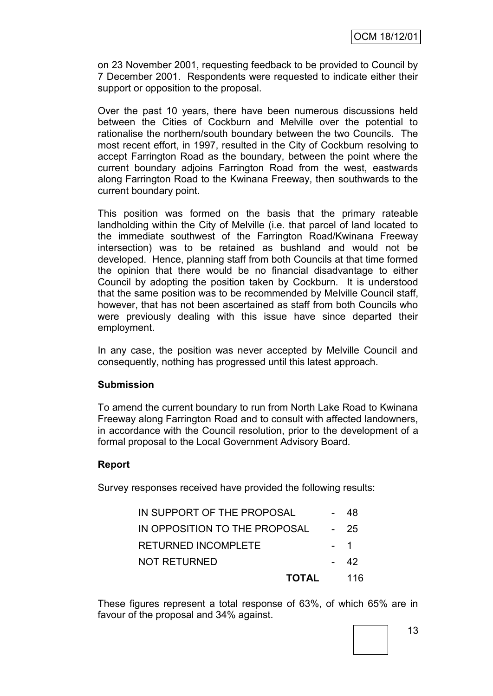on 23 November 2001, requesting feedback to be provided to Council by 7 December 2001. Respondents were requested to indicate either their support or opposition to the proposal.

Over the past 10 years, there have been numerous discussions held between the Cities of Cockburn and Melville over the potential to rationalise the northern/south boundary between the two Councils. The most recent effort, in 1997, resulted in the City of Cockburn resolving to accept Farrington Road as the boundary, between the point where the current boundary adjoins Farrington Road from the west, eastwards along Farrington Road to the Kwinana Freeway, then southwards to the current boundary point.

This position was formed on the basis that the primary rateable landholding within the City of Melville (i.e. that parcel of land located to the immediate southwest of the Farrington Road/Kwinana Freeway intersection) was to be retained as bushland and would not be developed. Hence, planning staff from both Councils at that time formed the opinion that there would be no financial disadvantage to either Council by adopting the position taken by Cockburn. It is understood that the same position was to be recommended by Melville Council staff, however, that has not been ascertained as staff from both Councils who were previously dealing with this issue have since departed their employment.

In any case, the position was never accepted by Melville Council and consequently, nothing has progressed until this latest approach.

#### **Submission**

To amend the current boundary to run from North Lake Road to Kwinana Freeway along Farrington Road and to consult with affected landowners, in accordance with the Council resolution, prior to the development of a formal proposal to the Local Government Advisory Board.

#### **Report**

Survey responses received have provided the following results:

| <b>TOTAL</b>                  | 116  |
|-------------------------------|------|
| <b>NOT RETURNED</b>           | - 42 |
| <b>RETURNED INCOMPLETE</b>    | $-1$ |
| IN OPPOSITION TO THE PROPOSAL | - 25 |
| IN SUPPORT OF THE PROPOSAL    | 48   |

These figures represent a total response of 63%, of which 65% are in favour of the proposal and 34% against.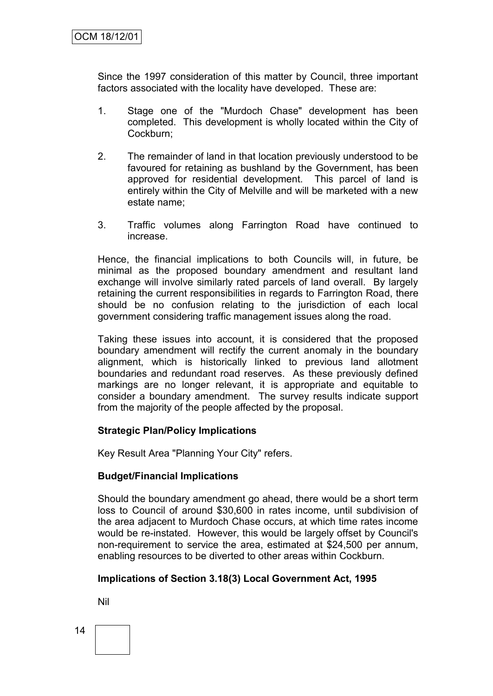Since the 1997 consideration of this matter by Council, three important factors associated with the locality have developed. These are:

- 1. Stage one of the "Murdoch Chase" development has been completed. This development is wholly located within the City of Cockburn;
- 2. The remainder of land in that location previously understood to be favoured for retaining as bushland by the Government, has been approved for residential development. This parcel of land is entirely within the City of Melville and will be marketed with a new estate name;
- 3. Traffic volumes along Farrington Road have continued to increase.

Hence, the financial implications to both Councils will, in future, be minimal as the proposed boundary amendment and resultant land exchange will involve similarly rated parcels of land overall. By largely retaining the current responsibilities in regards to Farrington Road, there should be no confusion relating to the jurisdiction of each local government considering traffic management issues along the road.

Taking these issues into account, it is considered that the proposed boundary amendment will rectify the current anomaly in the boundary alignment, which is historically linked to previous land allotment boundaries and redundant road reserves. As these previously defined markings are no longer relevant, it is appropriate and equitable to consider a boundary amendment. The survey results indicate support from the majority of the people affected by the proposal.

#### **Strategic Plan/Policy Implications**

Key Result Area "Planning Your City" refers.

#### **Budget/Financial Implications**

Should the boundary amendment go ahead, there would be a short term loss to Council of around \$30,600 in rates income, until subdivision of the area adjacent to Murdoch Chase occurs, at which time rates income would be re-instated. However, this would be largely offset by Council's non-requirement to service the area, estimated at \$24,500 per annum, enabling resources to be diverted to other areas within Cockburn.

# **Implications of Section 3.18(3) Local Government Act, 1995**

Nil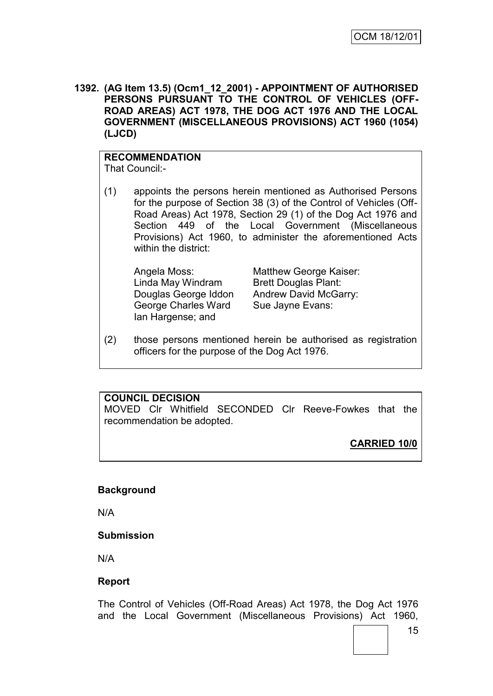**1392. (AG Item 13.5) (Ocm1\_12\_2001) - APPOINTMENT OF AUTHORISED PERSONS PURSUANT TO THE CONTROL OF VEHICLES (OFF-ROAD AREAS) ACT 1978, THE DOG ACT 1976 AND THE LOCAL GOVERNMENT (MISCELLANEOUS PROVISIONS) ACT 1960 (1054) (LJCD)**

#### **RECOMMENDATION**

That Council:-

(1) appoints the persons herein mentioned as Authorised Persons for the purpose of Section 38 (3) of the Control of Vehicles (Off-Road Areas) Act 1978, Section 29 (1) of the Dog Act 1976 and Section 449 of the Local Government (Miscellaneous Provisions) Act 1960, to administer the aforementioned Acts within the district:

Linda May Windram Brett Douglas Plant: George Charles Ward Sue Jayne Evans: Ian Hargense; and

Angela Moss: Matthew George Kaiser: Douglas George Iddon Andrew David McGarry:

(2) those persons mentioned herein be authorised as registration officers for the purpose of the Dog Act 1976.

## **COUNCIL DECISION**

MOVED Clr Whitfield SECONDED Clr Reeve-Fowkes that the recommendation be adopted.

**CARRIED 10/0**

#### **Background**

N/A

#### **Submission**

N/A

#### **Report**

The Control of Vehicles (Off-Road Areas) Act 1978, the Dog Act 1976 and the Local Government (Miscellaneous Provisions) Act 1960,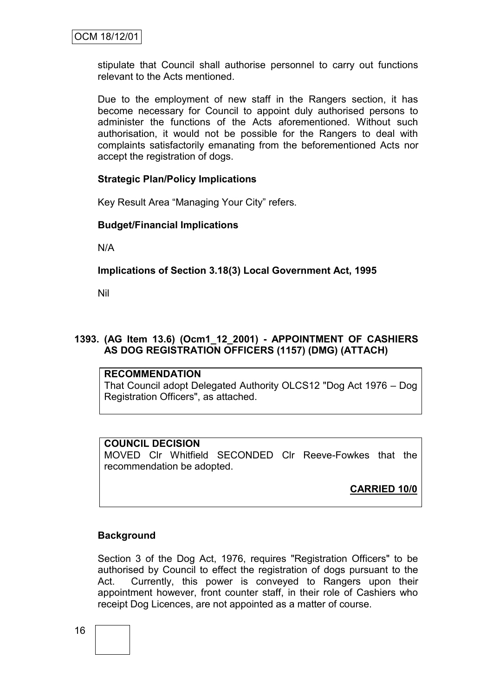stipulate that Council shall authorise personnel to carry out functions relevant to the Acts mentioned.

Due to the employment of new staff in the Rangers section, it has become necessary for Council to appoint duly authorised persons to administer the functions of the Acts aforementioned. Without such authorisation, it would not be possible for the Rangers to deal with complaints satisfactorily emanating from the beforementioned Acts nor accept the registration of dogs.

#### **Strategic Plan/Policy Implications**

Key Result Area "Managing Your City" refers.

#### **Budget/Financial Implications**

N/A

#### **Implications of Section 3.18(3) Local Government Act, 1995**

Nil

#### **1393. (AG Item 13.6) (Ocm1\_12\_2001) - APPOINTMENT OF CASHIERS AS DOG REGISTRATION OFFICERS (1157) (DMG) (ATTACH)**

#### **RECOMMENDATION**

That Council adopt Delegated Authority OLCS12 "Dog Act 1976 – Dog Registration Officers", as attached.

#### **COUNCIL DECISION**

MOVED Clr Whitfield SECONDED Clr Reeve-Fowkes that the recommendation be adopted.

**CARRIED 10/0**

#### **Background**

Section 3 of the Dog Act, 1976, requires "Registration Officers" to be authorised by Council to effect the registration of dogs pursuant to the Act. Currently, this power is conveyed to Rangers upon their appointment however, front counter staff, in their role of Cashiers who receipt Dog Licences, are not appointed as a matter of course.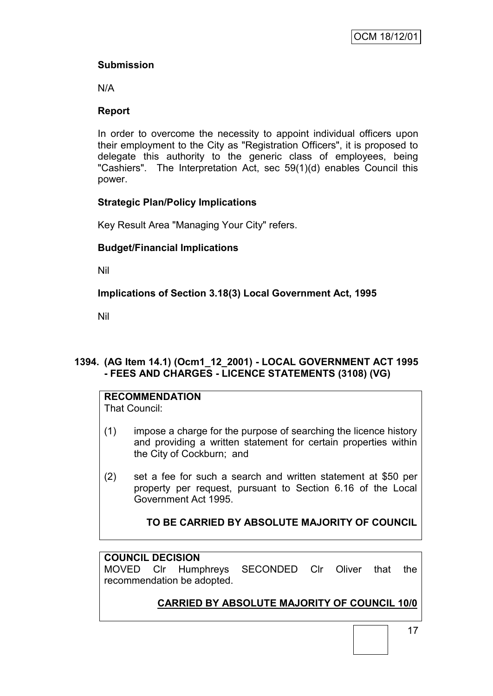# **Submission**

N/A

# **Report**

In order to overcome the necessity to appoint individual officers upon their employment to the City as "Registration Officers", it is proposed to delegate this authority to the generic class of employees, being "Cashiers". The Interpretation Act, sec 59(1)(d) enables Council this power.

# **Strategic Plan/Policy Implications**

Key Result Area "Managing Your City" refers.

# **Budget/Financial Implications**

Nil

# **Implications of Section 3.18(3) Local Government Act, 1995**

Nil

# **1394. (AG Item 14.1) (Ocm1\_12\_2001) - LOCAL GOVERNMENT ACT 1995 - FEES AND CHARGES - LICENCE STATEMENTS (3108) (VG)**

# **RECOMMENDATION**

That Council:

- (1) impose a charge for the purpose of searching the licence history and providing a written statement for certain properties within the City of Cockburn; and
- (2) set a fee for such a search and written statement at \$50 per property per request, pursuant to Section 6.16 of the Local Government Act 1995.

# **TO BE CARRIED BY ABSOLUTE MAJORITY OF COUNCIL**

# **COUNCIL DECISION**

MOVED Clr Humphreys SECONDED Clr Oliver that the recommendation be adopted.

# **CARRIED BY ABSOLUTE MAJORITY OF COUNCIL 10/0**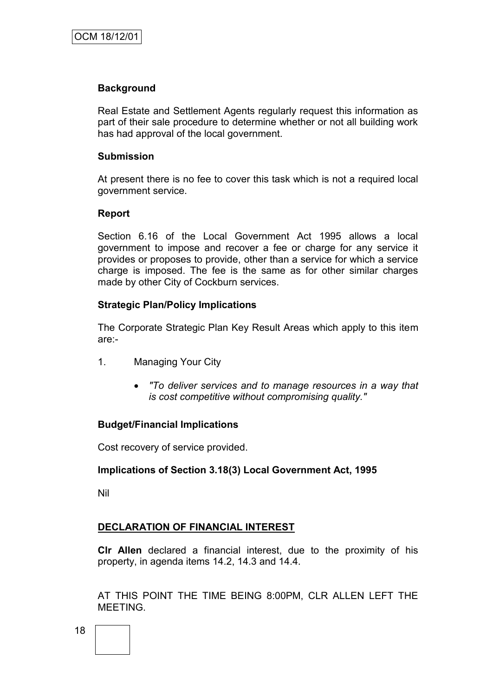#### **Background**

Real Estate and Settlement Agents regularly request this information as part of their sale procedure to determine whether or not all building work has had approval of the local government.

#### **Submission**

At present there is no fee to cover this task which is not a required local government service.

#### **Report**

Section 6.16 of the Local Government Act 1995 allows a local government to impose and recover a fee or charge for any service it provides or proposes to provide, other than a service for which a service charge is imposed. The fee is the same as for other similar charges made by other City of Cockburn services.

#### **Strategic Plan/Policy Implications**

The Corporate Strategic Plan Key Result Areas which apply to this item are:-

- 1. Managing Your City
	- *"To deliver services and to manage resources in a way that is cost competitive without compromising quality."*

#### **Budget/Financial Implications**

Cost recovery of service provided.

#### **Implications of Section 3.18(3) Local Government Act, 1995**

Nil

#### **DECLARATION OF FINANCIAL INTEREST**

**Clr Allen** declared a financial interest, due to the proximity of his property, in agenda items 14.2, 14.3 and 14.4.

AT THIS POINT THE TIME BEING 8:00PM, CLR ALLEN LEFT THE MEETING.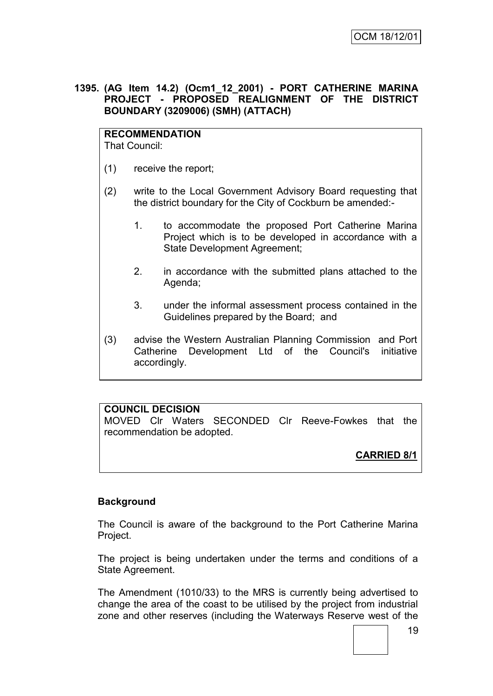#### **1395. (AG Item 14.2) (Ocm1\_12\_2001) - PORT CATHERINE MARINA PROJECT - PROPOSED REALIGNMENT OF THE DISTRICT BOUNDARY (3209006) (SMH) (ATTACH)**

# **RECOMMENDATION**

That Council:

- (1) receive the report;
- (2) write to the Local Government Advisory Board requesting that the district boundary for the City of Cockburn be amended:-
	- 1. to accommodate the proposed Port Catherine Marina Project which is to be developed in accordance with a State Development Agreement;
	- 2. in accordance with the submitted plans attached to the Agenda;
	- 3. under the informal assessment process contained in the Guidelines prepared by the Board; and
- (3) advise the Western Australian Planning Commission and Port Catherine Development Ltd of the Council's initiative accordingly.

# **COUNCIL DECISION**

MOVED Clr Waters SECONDED Clr Reeve-Fowkes that the recommendation be adopted.

# **CARRIED 8/1**

# **Background**

The Council is aware of the background to the Port Catherine Marina Project.

The project is being undertaken under the terms and conditions of a State Agreement.

The Amendment (1010/33) to the MRS is currently being advertised to change the area of the coast to be utilised by the project from industrial zone and other reserves (including the Waterways Reserve west of the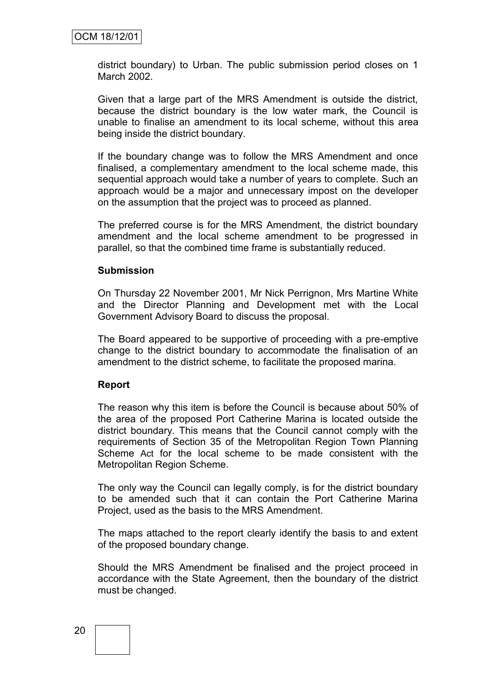district boundary) to Urban. The public submission period closes on 1 March 2002.

Given that a large part of the MRS Amendment is outside the district, because the district boundary is the low water mark, the Council is unable to finalise an amendment to its local scheme, without this area being inside the district boundary.

If the boundary change was to follow the MRS Amendment and once finalised, a complementary amendment to the local scheme made, this sequential approach would take a number of years to complete. Such an approach would be a major and unnecessary impost on the developer on the assumption that the project was to proceed as planned.

The preferred course is for the MRS Amendment, the district boundary amendment and the local scheme amendment to be progressed in parallel, so that the combined time frame is substantially reduced.

#### **Submission**

On Thursday 22 November 2001, Mr Nick Perrignon, Mrs Martine White and the Director Planning and Development met with the Local Government Advisory Board to discuss the proposal.

The Board appeared to be supportive of proceeding with a pre-emptive change to the district boundary to accommodate the finalisation of an amendment to the district scheme, to facilitate the proposed marina.

#### **Report**

The reason why this item is before the Council is because about 50% of the area of the proposed Port Catherine Marina is located outside the district boundary. This means that the Council cannot comply with the requirements of Section 35 of the Metropolitan Region Town Planning Scheme Act for the local scheme to be made consistent with the Metropolitan Region Scheme.

The only way the Council can legally comply, is for the district boundary to be amended such that it can contain the Port Catherine Marina Project, used as the basis to the MRS Amendment.

The maps attached to the report clearly identify the basis to and extent of the proposed boundary change.

Should the MRS Amendment be finalised and the project proceed in accordance with the State Agreement, then the boundary of the district must be changed.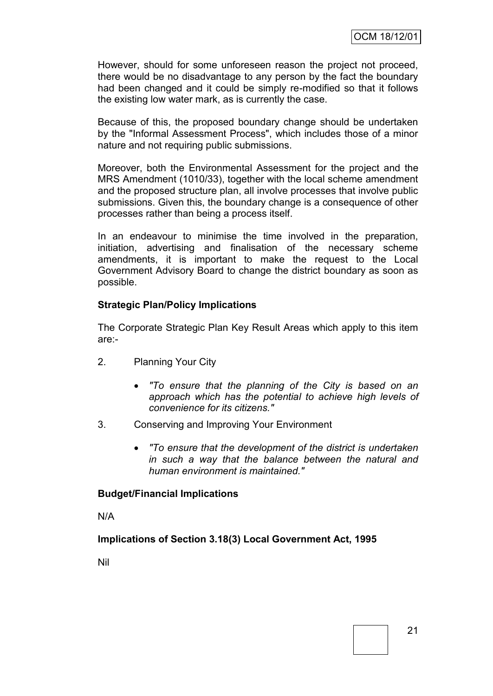However, should for some unforeseen reason the project not proceed, there would be no disadvantage to any person by the fact the boundary had been changed and it could be simply re-modified so that it follows the existing low water mark, as is currently the case.

Because of this, the proposed boundary change should be undertaken by the "Informal Assessment Process", which includes those of a minor nature and not requiring public submissions.

Moreover, both the Environmental Assessment for the project and the MRS Amendment (1010/33), together with the local scheme amendment and the proposed structure plan, all involve processes that involve public submissions. Given this, the boundary change is a consequence of other processes rather than being a process itself.

In an endeavour to minimise the time involved in the preparation, initiation, advertising and finalisation of the necessary scheme amendments, it is important to make the request to the Local Government Advisory Board to change the district boundary as soon as possible.

#### **Strategic Plan/Policy Implications**

The Corporate Strategic Plan Key Result Areas which apply to this item are:-

- 2. Planning Your City
	- *"To ensure that the planning of the City is based on an approach which has the potential to achieve high levels of convenience for its citizens."*
- 3. Conserving and Improving Your Environment
	- *"To ensure that the development of the district is undertaken in such a way that the balance between the natural and human environment is maintained."*

#### **Budget/Financial Implications**

N/A

**Implications of Section 3.18(3) Local Government Act, 1995**

Nil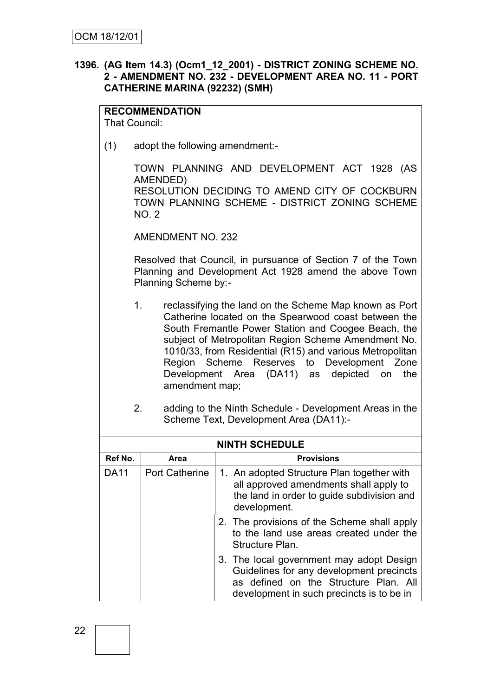#### **1396. (AG Item 14.3) (Ocm1\_12\_2001) - DISTRICT ZONING SCHEME NO. 2 - AMENDMENT NO. 232 - DEVELOPMENT AREA NO. 11 - PORT CATHERINE MARINA (92232) (SMH)**

# **RECOMMENDATION**

That Council:

(1) adopt the following amendment:-

TOWN PLANNING AND DEVELOPMENT ACT 1928 (AS AMENDED) RESOLUTION DECIDING TO AMEND CITY OF COCKBURN TOWN PLANNING SCHEME - DISTRICT ZONING SCHEME  $NO<sub>2</sub>$ 

AMENDMENT NO. 232

Resolved that Council, in pursuance of Section 7 of the Town Planning and Development Act 1928 amend the above Town Planning Scheme by:-

- 1. reclassifying the land on the Scheme Map known as Port Catherine located on the Spearwood coast between the South Fremantle Power Station and Coogee Beach, the subject of Metropolitan Region Scheme Amendment No. 1010/33, from Residential (R15) and various Metropolitan Region Scheme Reserves to Development Zone Development Area (DA11) as depicted on the amendment map;
- 2. adding to the Ninth Schedule Development Areas in the Scheme Text, Development Area (DA11):-

| <b>NINTH SCHEDULE</b> |                       |                                                                                                                                                                            |  |  |  |
|-----------------------|-----------------------|----------------------------------------------------------------------------------------------------------------------------------------------------------------------------|--|--|--|
| Ref No.               | Area                  | <b>Provisions</b>                                                                                                                                                          |  |  |  |
| <b>DA11</b>           | <b>Port Catherine</b> | 1. An adopted Structure Plan together with<br>all approved amendments shall apply to<br>the land in order to guide subdivision and<br>development.                         |  |  |  |
|                       |                       | 2. The provisions of the Scheme shall apply<br>to the land use areas created under the<br>Structure Plan.                                                                  |  |  |  |
|                       |                       | 3. The local government may adopt Design<br>Guidelines for any development precincts<br>as defined on the Structure Plan. All<br>development in such precincts is to be in |  |  |  |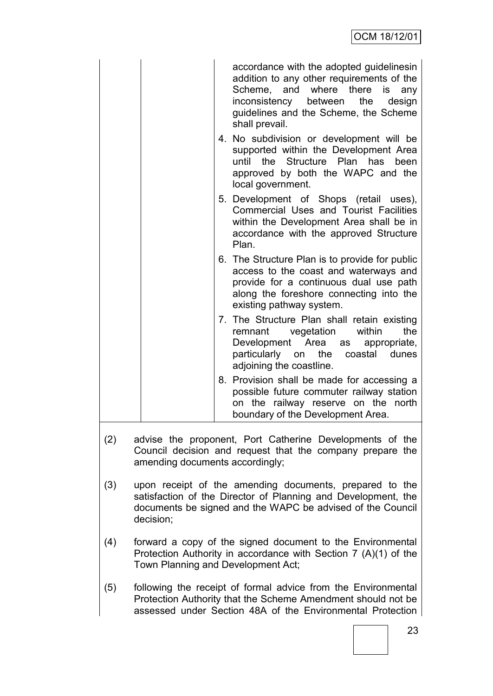|     |                                                                                                                                                                                                     | accordance with the adopted guidelinesin<br>addition to any other requirements of the<br>Scheme, and where there<br>is<br>any<br>inconsistency between<br>the<br>design<br>guidelines and the Scheme, the Scheme<br>shall prevail. |  |  |
|-----|-----------------------------------------------------------------------------------------------------------------------------------------------------------------------------------------------------|------------------------------------------------------------------------------------------------------------------------------------------------------------------------------------------------------------------------------------|--|--|
|     |                                                                                                                                                                                                     | 4. No subdivision or development will be<br>supported within the Development Area<br>until the Structure Plan has<br>been<br>approved by both the WAPC and the<br>local government.                                                |  |  |
|     |                                                                                                                                                                                                     | 5. Development of Shops (retail uses),<br>Commercial Uses and Tourist Facilities<br>within the Development Area shall be in<br>accordance with the approved Structure<br>Plan.                                                     |  |  |
|     |                                                                                                                                                                                                     | 6. The Structure Plan is to provide for public<br>access to the coast and waterways and<br>provide for a continuous dual use path<br>along the foreshore connecting into the<br>existing pathway system.                           |  |  |
|     |                                                                                                                                                                                                     | 7. The Structure Plan shall retain existing<br>within<br>the<br>vegetation<br>remnant<br>Area as<br>Development<br>appropriate,<br>particularly on the<br>coastal<br>dunes<br>adjoining the coastline.                             |  |  |
|     |                                                                                                                                                                                                     | 8. Provision shall be made for accessing a<br>possible future commuter railway station<br>on the railway reserve on the north<br>boundary of the Development Area.                                                                 |  |  |
| (2) | amending documents accordingly;                                                                                                                                                                     | advise the proponent, Port Catherine Developments of the<br>Council decision and request that the company prepare the                                                                                                              |  |  |
| (3) | upon receipt of the amending documents, prepared to the<br>satisfaction of the Director of Planning and Development, the<br>documents be signed and the WAPC be advised of the Council<br>decision; |                                                                                                                                                                                                                                    |  |  |
| (4) | forward a copy of the signed document to the Environmental<br>Protection Authority in accordance with Section 7 (A)(1) of the<br>Town Planning and Development Act;                                 |                                                                                                                                                                                                                                    |  |  |
| (5) |                                                                                                                                                                                                     | following the receipt of formal advice from the Environmental<br>Protection Authority that the Scheme Amendment should not be<br>assessed under Section 48A of the Environmental Protection                                        |  |  |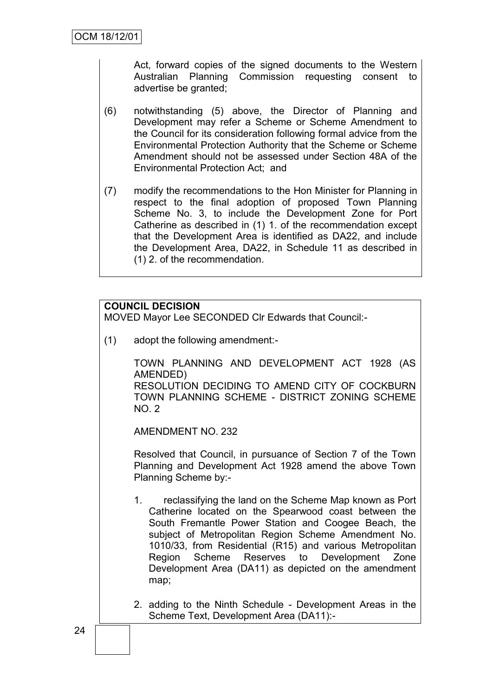Act, forward copies of the signed documents to the Western Australian Planning Commission requesting consent to advertise be granted;

- (6) notwithstanding (5) above, the Director of Planning and Development may refer a Scheme or Scheme Amendment to the Council for its consideration following formal advice from the Environmental Protection Authority that the Scheme or Scheme Amendment should not be assessed under Section 48A of the Environmental Protection Act; and
- (7) modify the recommendations to the Hon Minister for Planning in respect to the final adoption of proposed Town Planning Scheme No. 3, to include the Development Zone for Port Catherine as described in (1) 1. of the recommendation except that the Development Area is identified as DA22, and include the Development Area, DA22, in Schedule 11 as described in (1) 2. of the recommendation.

# **COUNCIL DECISION**

MOVED Mayor Lee SECONDED Clr Edwards that Council:-

(1) adopt the following amendment:-

TOWN PLANNING AND DEVELOPMENT ACT 1928 (AS AMENDED)

RESOLUTION DECIDING TO AMEND CITY OF COCKBURN TOWN PLANNING SCHEME - DISTRICT ZONING SCHEME NO. 2

AMENDMENT NO. 232

Resolved that Council, in pursuance of Section 7 of the Town Planning and Development Act 1928 amend the above Town Planning Scheme by:-

1. reclassifying the land on the Scheme Map known as Port Catherine located on the Spearwood coast between the South Fremantle Power Station and Coogee Beach, the subject of Metropolitan Region Scheme Amendment No. 1010/33, from Residential (R15) and various Metropolitan Region Scheme Reserves to Development Zone Development Area (DA11) as depicted on the amendment map;

2. adding to the Ninth Schedule - Development Areas in the Scheme Text, Development Area (DA11):-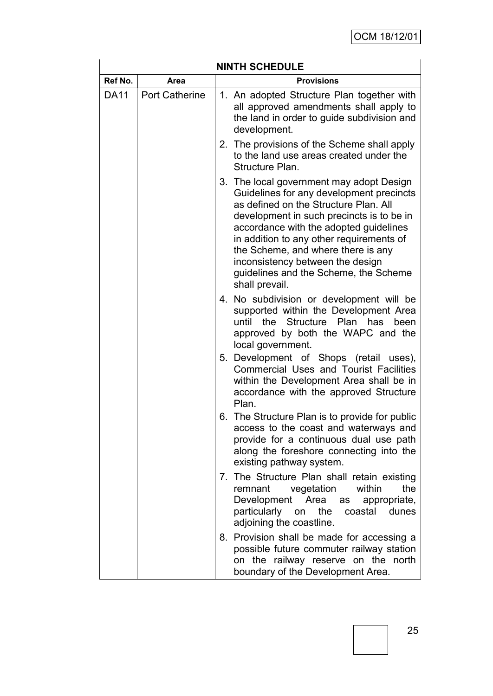| <b>NINTH SCHEDULE</b> |                           |                                                                                                                                                                                                                                                                                                                                                                                                       |  |  |  |  |
|-----------------------|---------------------------|-------------------------------------------------------------------------------------------------------------------------------------------------------------------------------------------------------------------------------------------------------------------------------------------------------------------------------------------------------------------------------------------------------|--|--|--|--|
| Ref No.               | <b>Provisions</b><br>Area |                                                                                                                                                                                                                                                                                                                                                                                                       |  |  |  |  |
| <b>DA11</b>           | <b>Port Catherine</b>     | 1. An adopted Structure Plan together with<br>all approved amendments shall apply to<br>the land in order to guide subdivision and<br>development.                                                                                                                                                                                                                                                    |  |  |  |  |
|                       |                           | 2. The provisions of the Scheme shall apply<br>to the land use areas created under the<br>Structure Plan.                                                                                                                                                                                                                                                                                             |  |  |  |  |
|                       |                           | 3. The local government may adopt Design<br>Guidelines for any development precincts<br>as defined on the Structure Plan. All<br>development in such precincts is to be in<br>accordance with the adopted guidelines<br>in addition to any other requirements of<br>the Scheme, and where there is any<br>inconsistency between the design<br>guidelines and the Scheme, the Scheme<br>shall prevail. |  |  |  |  |
|                       |                           | 4. No subdivision or development will be<br>supported within the Development Area<br>Structure Plan has<br>until<br>the<br>been<br>approved by both the WAPC and the<br>local government.                                                                                                                                                                                                             |  |  |  |  |
|                       |                           | 5. Development of Shops (retail uses),<br><b>Commercial Uses and Tourist Facilities</b><br>within the Development Area shall be in<br>accordance with the approved Structure<br>Plan.                                                                                                                                                                                                                 |  |  |  |  |
|                       |                           | 6. The Structure Plan is to provide for public<br>access to the coast and waterways and<br>provide for a continuous dual use path<br>along the foreshore connecting into the<br>existing pathway system.                                                                                                                                                                                              |  |  |  |  |
|                       |                           | 7. The Structure Plan shall retain existing<br>within<br>remnant<br>vegetation<br>the<br>Development<br>Area<br>appropriate,<br>as<br>particularly on<br>the<br>coastal<br>dunes<br>adjoining the coastline.                                                                                                                                                                                          |  |  |  |  |
|                       |                           | 8. Provision shall be made for accessing a<br>possible future commuter railway station<br>on the railway reserve on the north<br>boundary of the Development Area.                                                                                                                                                                                                                                    |  |  |  |  |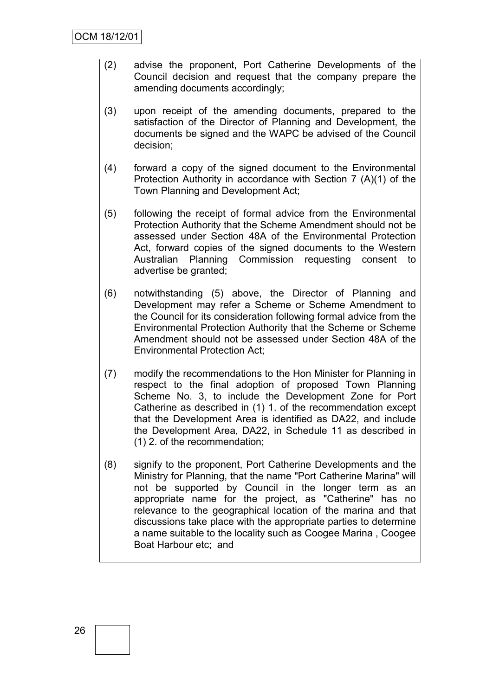- (2) advise the proponent, Port Catherine Developments of the Council decision and request that the company prepare the amending documents accordingly;
- (3) upon receipt of the amending documents, prepared to the satisfaction of the Director of Planning and Development, the documents be signed and the WAPC be advised of the Council decision;
- (4) forward a copy of the signed document to the Environmental Protection Authority in accordance with Section 7 (A)(1) of the Town Planning and Development Act;
- (5) following the receipt of formal advice from the Environmental Protection Authority that the Scheme Amendment should not be assessed under Section 48A of the Environmental Protection Act, forward copies of the signed documents to the Western Australian Planning Commission requesting consent to advertise be granted;
- (6) notwithstanding (5) above, the Director of Planning and Development may refer a Scheme or Scheme Amendment to the Council for its consideration following formal advice from the Environmental Protection Authority that the Scheme or Scheme Amendment should not be assessed under Section 48A of the Environmental Protection Act;
- (7) modify the recommendations to the Hon Minister for Planning in respect to the final adoption of proposed Town Planning Scheme No. 3, to include the Development Zone for Port Catherine as described in (1) 1. of the recommendation except that the Development Area is identified as DA22, and include the Development Area, DA22, in Schedule 11 as described in (1) 2. of the recommendation;
- (8) signify to the proponent, Port Catherine Developments and the Ministry for Planning, that the name "Port Catherine Marina" will not be supported by Council in the longer term as an appropriate name for the project, as "Catherine" has no relevance to the geographical location of the marina and that discussions take place with the appropriate parties to determine a name suitable to the locality such as Coogee Marina , Coogee Boat Harbour etc; and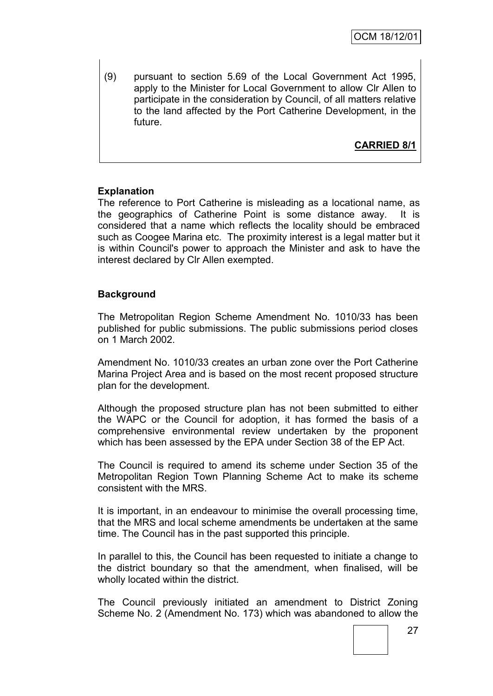(9) pursuant to section 5.69 of the Local Government Act 1995, apply to the Minister for Local Government to allow Clr Allen to participate in the consideration by Council, of all matters relative to the land affected by the Port Catherine Development, in the future.

**CARRIED 8/1**

#### **Explanation**

The reference to Port Catherine is misleading as a locational name, as the geographics of Catherine Point is some distance away. It is considered that a name which reflects the locality should be embraced such as Coogee Marina etc. The proximity interest is a legal matter but it is within Council's power to approach the Minister and ask to have the interest declared by Clr Allen exempted.

#### **Background**

The Metropolitan Region Scheme Amendment No. 1010/33 has been published for public submissions. The public submissions period closes on 1 March 2002.

Amendment No. 1010/33 creates an urban zone over the Port Catherine Marina Project Area and is based on the most recent proposed structure plan for the development.

Although the proposed structure plan has not been submitted to either the WAPC or the Council for adoption, it has formed the basis of a comprehensive environmental review undertaken by the proponent which has been assessed by the EPA under Section 38 of the EP Act.

The Council is required to amend its scheme under Section 35 of the Metropolitan Region Town Planning Scheme Act to make its scheme consistent with the MRS.

It is important, in an endeavour to minimise the overall processing time, that the MRS and local scheme amendments be undertaken at the same time. The Council has in the past supported this principle.

In parallel to this, the Council has been requested to initiate a change to the district boundary so that the amendment, when finalised, will be wholly located within the district.

The Council previously initiated an amendment to District Zoning Scheme No. 2 (Amendment No. 173) which was abandoned to allow the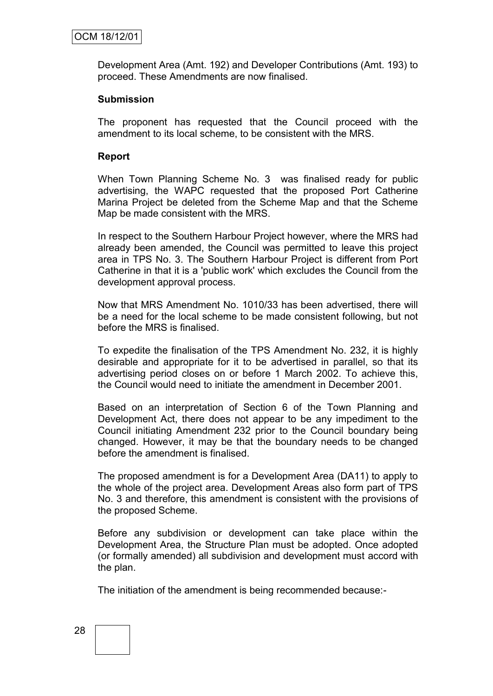Development Area (Amt. 192) and Developer Contributions (Amt. 193) to proceed. These Amendments are now finalised.

#### **Submission**

The proponent has requested that the Council proceed with the amendment to its local scheme, to be consistent with the MRS.

#### **Report**

When Town Planning Scheme No. 3 was finalised ready for public advertising, the WAPC requested that the proposed Port Catherine Marina Project be deleted from the Scheme Map and that the Scheme Map be made consistent with the MRS.

In respect to the Southern Harbour Project however, where the MRS had already been amended, the Council was permitted to leave this project area in TPS No. 3. The Southern Harbour Project is different from Port Catherine in that it is a 'public work' which excludes the Council from the development approval process.

Now that MRS Amendment No. 1010/33 has been advertised, there will be a need for the local scheme to be made consistent following, but not before the MRS is finalised.

To expedite the finalisation of the TPS Amendment No. 232, it is highly desirable and appropriate for it to be advertised in parallel, so that its advertising period closes on or before 1 March 2002. To achieve this, the Council would need to initiate the amendment in December 2001.

Based on an interpretation of Section 6 of the Town Planning and Development Act, there does not appear to be any impediment to the Council initiating Amendment 232 prior to the Council boundary being changed. However, it may be that the boundary needs to be changed before the amendment is finalised.

The proposed amendment is for a Development Area (DA11) to apply to the whole of the project area. Development Areas also form part of TPS No. 3 and therefore, this amendment is consistent with the provisions of the proposed Scheme.

Before any subdivision or development can take place within the Development Area, the Structure Plan must be adopted. Once adopted (or formally amended) all subdivision and development must accord with the plan.

The initiation of the amendment is being recommended because:-

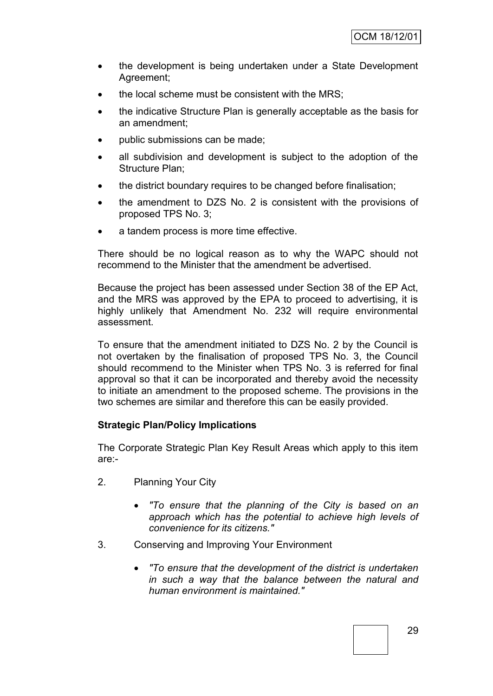- the development is being undertaken under a State Development Agreement;
- the local scheme must be consistent with the MRS;
- the indicative Structure Plan is generally acceptable as the basis for an amendment;
- public submissions can be made;
- all subdivision and development is subject to the adoption of the Structure Plan;
- the district boundary requires to be changed before finalisation;
- the amendment to DZS No. 2 is consistent with the provisions of proposed TPS No. 3;
- a tandem process is more time effective.

There should be no logical reason as to why the WAPC should not recommend to the Minister that the amendment be advertised.

Because the project has been assessed under Section 38 of the EP Act, and the MRS was approved by the EPA to proceed to advertising, it is highly unlikely that Amendment No. 232 will require environmental assessment.

To ensure that the amendment initiated to DZS No. 2 by the Council is not overtaken by the finalisation of proposed TPS No. 3, the Council should recommend to the Minister when TPS No. 3 is referred for final approval so that it can be incorporated and thereby avoid the necessity to initiate an amendment to the proposed scheme. The provisions in the two schemes are similar and therefore this can be easily provided.

#### **Strategic Plan/Policy Implications**

The Corporate Strategic Plan Key Result Areas which apply to this item are:-

- 2. Planning Your City
	- *"To ensure that the planning of the City is based on an approach which has the potential to achieve high levels of convenience for its citizens."*
- 3. Conserving and Improving Your Environment
	- *"To ensure that the development of the district is undertaken in such a way that the balance between the natural and human environment is maintained."*

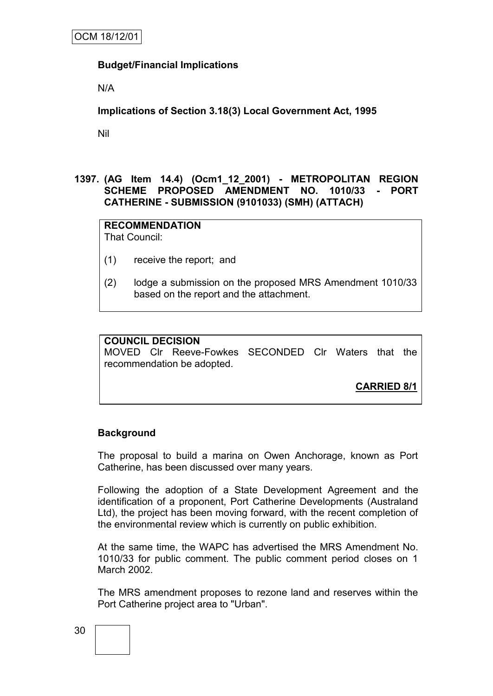#### **Budget/Financial Implications**

N/A

**Implications of Section 3.18(3) Local Government Act, 1995**

Nil

#### **1397. (AG Item 14.4) (Ocm1\_12\_2001) - METROPOLITAN REGION SCHEME PROPOSED AMENDMENT NO. 1010/33 - PORT CATHERINE - SUBMISSION (9101033) (SMH) (ATTACH)**

**RECOMMENDATION** That Council:

- (1) receive the report; and
- (2) lodge a submission on the proposed MRS Amendment 1010/33 based on the report and the attachment.

| <b>COUNCIL DECISION</b>    |  |                                                     |  |  |  |  |  |
|----------------------------|--|-----------------------------------------------------|--|--|--|--|--|
|                            |  | MOVED CIr Reeve-Fowkes SECONDED CIr Waters that the |  |  |  |  |  |
| recommendation be adopted. |  |                                                     |  |  |  |  |  |

**CARRIED 8/1**

#### **Background**

The proposal to build a marina on Owen Anchorage, known as Port Catherine, has been discussed over many years.

Following the adoption of a State Development Agreement and the identification of a proponent, Port Catherine Developments (Australand Ltd), the project has been moving forward, with the recent completion of the environmental review which is currently on public exhibition.

At the same time, the WAPC has advertised the MRS Amendment No. 1010/33 for public comment. The public comment period closes on 1 March 2002.

The MRS amendment proposes to rezone land and reserves within the Port Catherine project area to "Urban".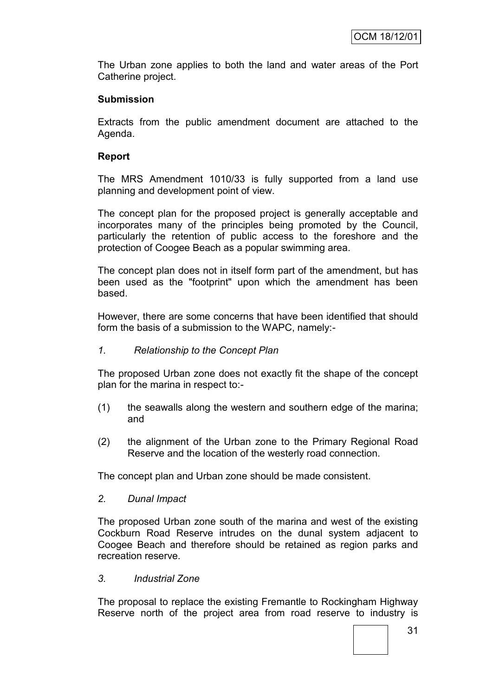The Urban zone applies to both the land and water areas of the Port Catherine project.

#### **Submission**

Extracts from the public amendment document are attached to the Agenda.

#### **Report**

The MRS Amendment 1010/33 is fully supported from a land use planning and development point of view.

The concept plan for the proposed project is generally acceptable and incorporates many of the principles being promoted by the Council, particularly the retention of public access to the foreshore and the protection of Coogee Beach as a popular swimming area.

The concept plan does not in itself form part of the amendment, but has been used as the "footprint" upon which the amendment has been based.

However, there are some concerns that have been identified that should form the basis of a submission to the WAPC, namely:-

*1. Relationship to the Concept Plan*

The proposed Urban zone does not exactly fit the shape of the concept plan for the marina in respect to:-

- (1) the seawalls along the western and southern edge of the marina; and
- (2) the alignment of the Urban zone to the Primary Regional Road Reserve and the location of the westerly road connection.

The concept plan and Urban zone should be made consistent.

*2. Dunal Impact*

The proposed Urban zone south of the marina and west of the existing Cockburn Road Reserve intrudes on the dunal system adjacent to Coogee Beach and therefore should be retained as region parks and recreation reserve.

*3. Industrial Zone*

The proposal to replace the existing Fremantle to Rockingham Highway Reserve north of the project area from road reserve to industry is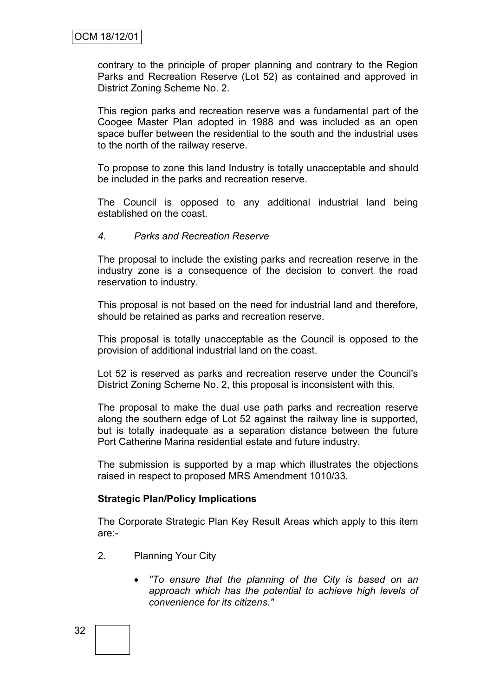contrary to the principle of proper planning and contrary to the Region Parks and Recreation Reserve (Lot 52) as contained and approved in District Zoning Scheme No. 2.

This region parks and recreation reserve was a fundamental part of the Coogee Master Plan adopted in 1988 and was included as an open space buffer between the residential to the south and the industrial uses to the north of the railway reserve.

To propose to zone this land Industry is totally unacceptable and should be included in the parks and recreation reserve.

The Council is opposed to any additional industrial land being established on the coast.

#### *4. Parks and Recreation Reserve*

The proposal to include the existing parks and recreation reserve in the industry zone is a consequence of the decision to convert the road reservation to industry.

This proposal is not based on the need for industrial land and therefore, should be retained as parks and recreation reserve.

This proposal is totally unacceptable as the Council is opposed to the provision of additional industrial land on the coast.

Lot 52 is reserved as parks and recreation reserve under the Council's District Zoning Scheme No. 2, this proposal is inconsistent with this.

The proposal to make the dual use path parks and recreation reserve along the southern edge of Lot 52 against the railway line is supported, but is totally inadequate as a separation distance between the future Port Catherine Marina residential estate and future industry.

The submission is supported by a map which illustrates the objections raised in respect to proposed MRS Amendment 1010/33.

#### **Strategic Plan/Policy Implications**

The Corporate Strategic Plan Key Result Areas which apply to this item are:-

- 2. Planning Your City
	- *"To ensure that the planning of the City is based on an approach which has the potential to achieve high levels of convenience for its citizens."*

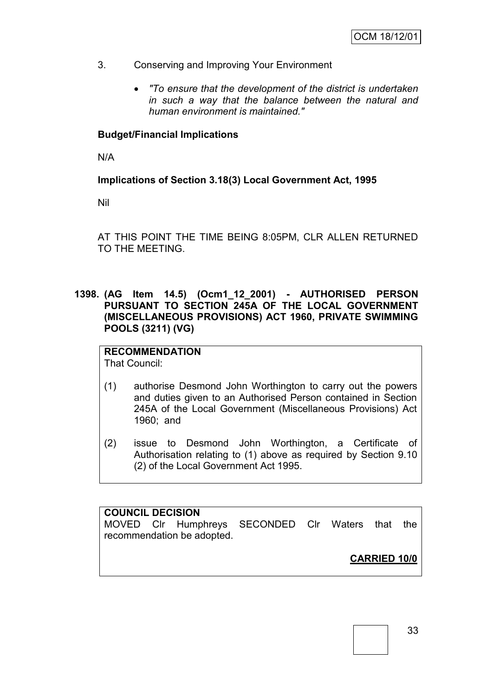- 3. Conserving and Improving Your Environment
	- *"To ensure that the development of the district is undertaken in such a way that the balance between the natural and human environment is maintained."*

### **Budget/Financial Implications**

N/A

## **Implications of Section 3.18(3) Local Government Act, 1995**

Nil

AT THIS POINT THE TIME BEING 8:05PM, CLR ALLEN RETURNED TO THE MEETING.

**1398. (AG Item 14.5) (Ocm1\_12\_2001) - AUTHORISED PERSON PURSUANT TO SECTION 245A OF THE LOCAL GOVERNMENT (MISCELLANEOUS PROVISIONS) ACT 1960, PRIVATE SWIMMING POOLS (3211) (VG)**

# **RECOMMENDATION**

That Council:

- (1) authorise Desmond John Worthington to carry out the powers and duties given to an Authorised Person contained in Section 245A of the Local Government (Miscellaneous Provisions) Act 1960; and
- (2) issue to Desmond John Worthington, a Certificate of Authorisation relating to (1) above as required by Section 9.10 (2) of the Local Government Act 1995.

**COUNCIL DECISION** MOVED Clr Humphreys SECONDED Clr Waters that the recommendation be adopted.

**CARRIED 10/0**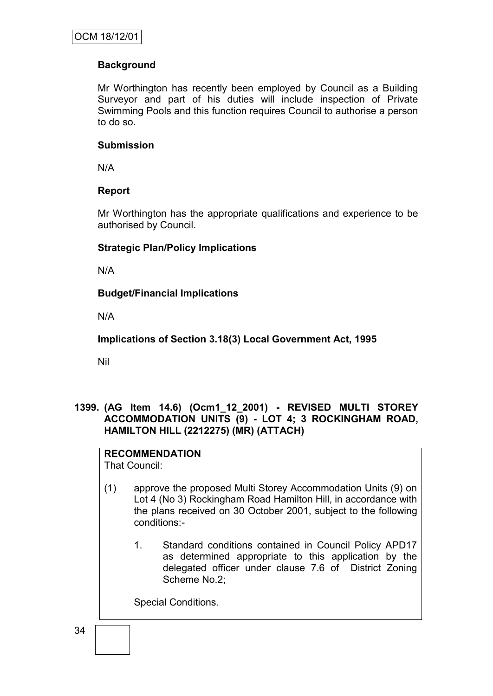## **Background**

Mr Worthington has recently been employed by Council as a Building Surveyor and part of his duties will include inspection of Private Swimming Pools and this function requires Council to authorise a person to do so.

#### **Submission**

N/A

### **Report**

Mr Worthington has the appropriate qualifications and experience to be authorised by Council.

#### **Strategic Plan/Policy Implications**

N/A

**Budget/Financial Implications**

N/A

**Implications of Section 3.18(3) Local Government Act, 1995**

Nil

## **1399. (AG Item 14.6) (Ocm1\_12\_2001) - REVISED MULTI STOREY ACCOMMODATION UNITS (9) - LOT 4; 3 ROCKINGHAM ROAD, HAMILTON HILL (2212275) (MR) (ATTACH)**

#### **RECOMMENDATION** That Council:

(1) approve the proposed Multi Storey Accommodation Units (9) on Lot 4 (No 3) Rockingham Road Hamilton Hill, in accordance with the plans received on 30 October 2001, subject to the following conditions:-

1. Standard conditions contained in Council Policy APD17 as determined appropriate to this application by the delegated officer under clause 7.6 of District Zoning Scheme No.2;

Special Conditions.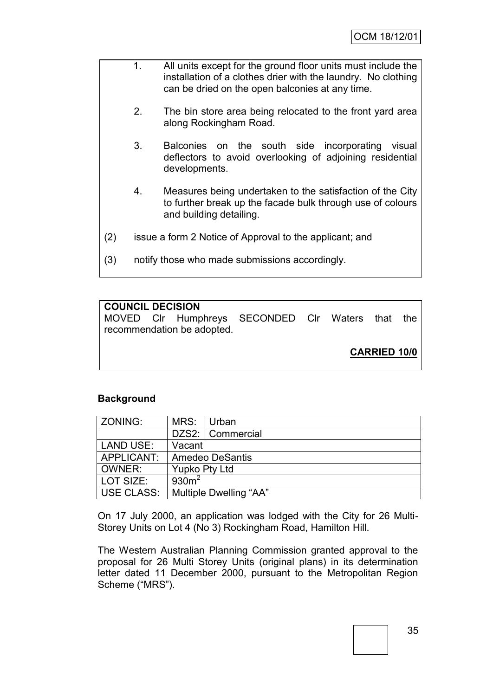- 1. All units except for the ground floor units must include the installation of a clothes drier with the laundry. No clothing can be dried on the open balconies at any time.
	- 2. The bin store area being relocated to the front yard area along Rockingham Road.
	- 3. Balconies on the south side incorporating visual deflectors to avoid overlooking of adjoining residential developments.
	- 4. Measures being undertaken to the satisfaction of the City to further break up the facade bulk through use of colours and building detailing.
- (2) issue a form 2 Notice of Approval to the applicant; and
- (3) notify those who made submissions accordingly.

### **COUNCIL DECISION**

MOVED Clr Humphreys SECONDED Clr Waters that the recommendation be adopted.

**CARRIED 10/0**

### **Background**

| <b>ZONING:</b> | MRS:                   | Urban                  |  |
|----------------|------------------------|------------------------|--|
|                |                        | DZS2:   Commercial     |  |
| LAND USE:      | Vacant                 |                        |  |
| APPLICANT:     | <b>Amedeo DeSantis</b> |                        |  |
| OWNER:         | <b>Yupko Pty Ltd</b>   |                        |  |
| l LOT SIZE:    | 930m <sup>2</sup>      |                        |  |
| USE CLASS:     |                        | Multiple Dwelling "AA" |  |

On 17 July 2000, an application was lodged with the City for 26 Multi-Storey Units on Lot 4 (No 3) Rockingham Road, Hamilton Hill.

The Western Australian Planning Commission granted approval to the proposal for 26 Multi Storey Units (original plans) in its determination letter dated 11 December 2000, pursuant to the Metropolitan Region Scheme ("MRS").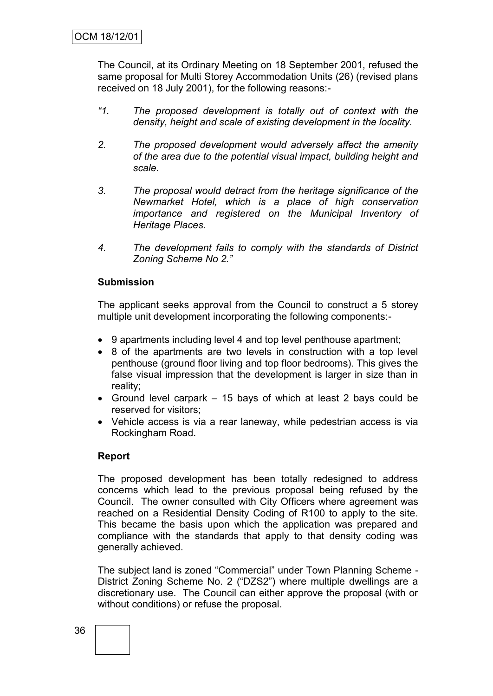The Council, at its Ordinary Meeting on 18 September 2001, refused the same proposal for Multi Storey Accommodation Units (26) (revised plans received on 18 July 2001), for the following reasons:-

- *"1. The proposed development is totally out of context with the density, height and scale of existing development in the locality.*
- *2. The proposed development would adversely affect the amenity of the area due to the potential visual impact, building height and scale.*
- *3. The proposal would detract from the heritage significance of the Newmarket Hotel, which is a place of high conservation importance and registered on the Municipal Inventory of Heritage Places.*
- *4. The development fails to comply with the standards of District Zoning Scheme No 2."*

### **Submission**

The applicant seeks approval from the Council to construct a 5 storey multiple unit development incorporating the following components:-

- 9 apartments including level 4 and top level penthouse apartment;
- 8 of the apartments are two levels in construction with a top level penthouse (ground floor living and top floor bedrooms). This gives the false visual impression that the development is larger in size than in reality;
- Ground level carpark 15 bays of which at least 2 bays could be reserved for visitors;
- Vehicle access is via a rear laneway, while pedestrian access is via Rockingham Road.

### **Report**

The proposed development has been totally redesigned to address concerns which lead to the previous proposal being refused by the Council. The owner consulted with City Officers where agreement was reached on a Residential Density Coding of R100 to apply to the site. This became the basis upon which the application was prepared and compliance with the standards that apply to that density coding was generally achieved.

The subject land is zoned "Commercial" under Town Planning Scheme - District Zoning Scheme No. 2 ("DZS2") where multiple dwellings are a discretionary use. The Council can either approve the proposal (with or without conditions) or refuse the proposal.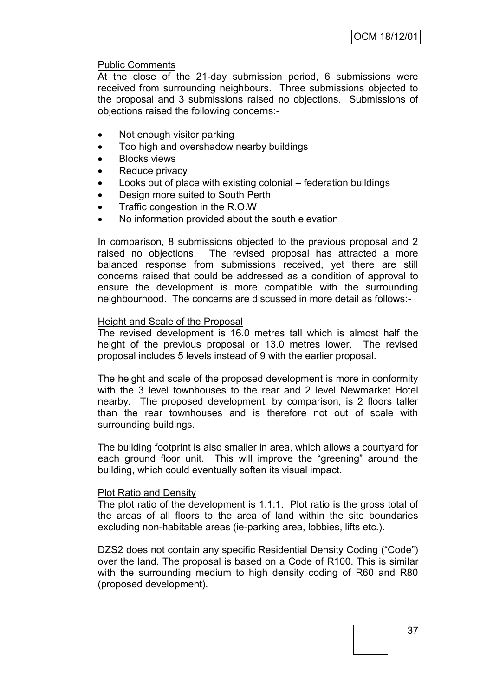#### Public Comments

At the close of the 21-day submission period, 6 submissions were received from surrounding neighbours. Three submissions objected to the proposal and 3 submissions raised no objections. Submissions of objections raised the following concerns:-

- Not enough visitor parking
- Too high and overshadow nearby buildings
- Blocks views
- Reduce privacy
- Looks out of place with existing colonial federation buildings
- Design more suited to South Perth
- Traffic congestion in the R.O.W
- No information provided about the south elevation

In comparison, 8 submissions objected to the previous proposal and 2 raised no objections. The revised proposal has attracted a more balanced response from submissions received, yet there are still concerns raised that could be addressed as a condition of approval to ensure the development is more compatible with the surrounding neighbourhood. The concerns are discussed in more detail as follows:-

#### Height and Scale of the Proposal

The revised development is 16.0 metres tall which is almost half the height of the previous proposal or 13.0 metres lower. The revised proposal includes 5 levels instead of 9 with the earlier proposal.

The height and scale of the proposed development is more in conformity with the 3 level townhouses to the rear and 2 level Newmarket Hotel nearby. The proposed development, by comparison, is 2 floors taller than the rear townhouses and is therefore not out of scale with surrounding buildings.

The building footprint is also smaller in area, which allows a courtyard for each ground floor unit. This will improve the "greening" around the building, which could eventually soften its visual impact.

#### Plot Ratio and Density

The plot ratio of the development is 1.1:1. Plot ratio is the gross total of the areas of all floors to the area of land within the site boundaries excluding non-habitable areas (ie-parking area, lobbies, lifts etc.).

DZS2 does not contain any specific Residential Density Coding ("Code") over the land. The proposal is based on a Code of R100. This is similar with the surrounding medium to high density coding of R60 and R80 (proposed development).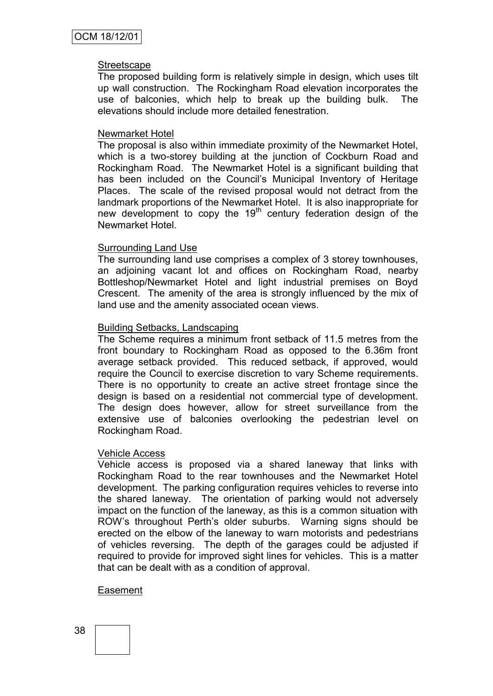#### **Streetscape**

The proposed building form is relatively simple in design, which uses tilt up wall construction. The Rockingham Road elevation incorporates the use of balconies, which help to break up the building bulk. The elevations should include more detailed fenestration.

#### Newmarket Hotel

The proposal is also within immediate proximity of the Newmarket Hotel, which is a two-storey building at the junction of Cockburn Road and Rockingham Road. The Newmarket Hotel is a significant building that has been included on the Council's Municipal Inventory of Heritage Places. The scale of the revised proposal would not detract from the landmark proportions of the Newmarket Hotel. It is also inappropriate for new development to copy the  $19<sup>th</sup>$  century federation design of the Newmarket Hotel.

#### Surrounding Land Use

The surrounding land use comprises a complex of 3 storey townhouses, an adjoining vacant lot and offices on Rockingham Road, nearby Bottleshop/Newmarket Hotel and light industrial premises on Boyd Crescent. The amenity of the area is strongly influenced by the mix of land use and the amenity associated ocean views.

#### Building Setbacks, Landscaping

The Scheme requires a minimum front setback of 11.5 metres from the front boundary to Rockingham Road as opposed to the 6.36m front average setback provided. This reduced setback, if approved, would require the Council to exercise discretion to vary Scheme requirements. There is no opportunity to create an active street frontage since the design is based on a residential not commercial type of development. The design does however, allow for street surveillance from the extensive use of balconies overlooking the pedestrian level on Rockingham Road.

#### Vehicle Access

Vehicle access is proposed via a shared laneway that links with Rockingham Road to the rear townhouses and the Newmarket Hotel development. The parking configuration requires vehicles to reverse into the shared laneway. The orientation of parking would not adversely impact on the function of the laneway, as this is a common situation with ROW"s throughout Perth"s older suburbs. Warning signs should be erected on the elbow of the laneway to warn motorists and pedestrians of vehicles reversing. The depth of the garages could be adjusted if required to provide for improved sight lines for vehicles. This is a matter that can be dealt with as a condition of approval.

### Easement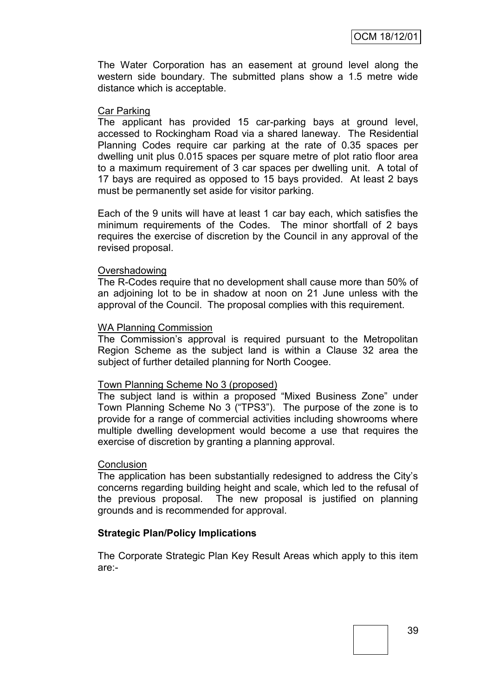The Water Corporation has an easement at ground level along the western side boundary. The submitted plans show a 1.5 metre wide distance which is acceptable.

#### Car Parking

The applicant has provided 15 car-parking bays at ground level, accessed to Rockingham Road via a shared laneway. The Residential Planning Codes require car parking at the rate of 0.35 spaces per dwelling unit plus 0.015 spaces per square metre of plot ratio floor area to a maximum requirement of 3 car spaces per dwelling unit. A total of 17 bays are required as opposed to 15 bays provided. At least 2 bays must be permanently set aside for visitor parking.

Each of the 9 units will have at least 1 car bay each, which satisfies the minimum requirements of the Codes. The minor shortfall of 2 bays requires the exercise of discretion by the Council in any approval of the revised proposal.

#### Overshadowing

The R-Codes require that no development shall cause more than 50% of an adjoining lot to be in shadow at noon on 21 June unless with the approval of the Council. The proposal complies with this requirement.

#### WA Planning Commission

The Commission's approval is required pursuant to the Metropolitan Region Scheme as the subject land is within a Clause 32 area the subject of further detailed planning for North Coogee.

#### Town Planning Scheme No 3 (proposed)

The subject land is within a proposed "Mixed Business Zone" under Town Planning Scheme No 3 ("TPS3"). The purpose of the zone is to provide for a range of commercial activities including showrooms where multiple dwelling development would become a use that requires the exercise of discretion by granting a planning approval.

#### **Conclusion**

The application has been substantially redesigned to address the City"s concerns regarding building height and scale, which led to the refusal of the previous proposal. The new proposal is justified on planning grounds and is recommended for approval.

#### **Strategic Plan/Policy Implications**

The Corporate Strategic Plan Key Result Areas which apply to this item are:-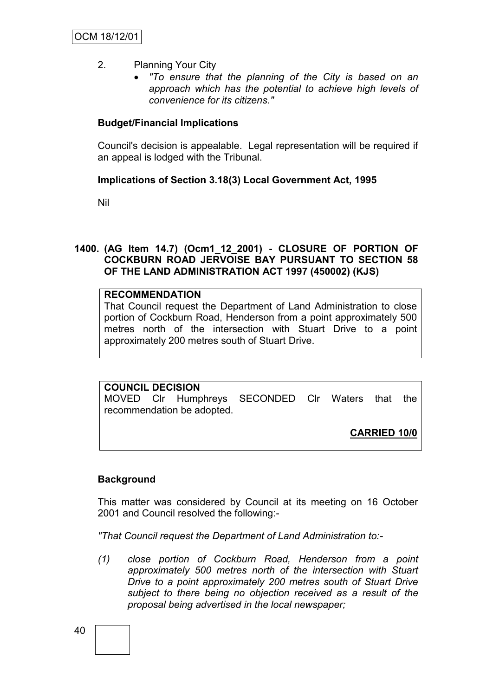- 2. Planning Your City
	- *"To ensure that the planning of the City is based on an approach which has the potential to achieve high levels of convenience for its citizens."*

### **Budget/Financial Implications**

Council's decision is appealable. Legal representation will be required if an appeal is lodged with the Tribunal.

### **Implications of Section 3.18(3) Local Government Act, 1995**

Nil

### **1400. (AG Item 14.7) (Ocm1\_12\_2001) - CLOSURE OF PORTION OF COCKBURN ROAD JERVOISE BAY PURSUANT TO SECTION 58 OF THE LAND ADMINISTRATION ACT 1997 (450002) (KJS)**

## **RECOMMENDATION**

That Council request the Department of Land Administration to close portion of Cockburn Road, Henderson from a point approximately 500 metres north of the intersection with Stuart Drive to a point approximately 200 metres south of Stuart Drive.

### **COUNCIL DECISION**

MOVED Clr Humphreys SECONDED Clr Waters that the recommendation be adopted.

**CARRIED 10/0**

### **Background**

This matter was considered by Council at its meeting on 16 October 2001 and Council resolved the following:-

*"That Council request the Department of Land Administration to:-*

*(1) close portion of Cockburn Road, Henderson from a point approximately 500 metres north of the intersection with Stuart Drive to a point approximately 200 metres south of Stuart Drive subject to there being no objection received as a result of the proposal being advertised in the local newspaper;*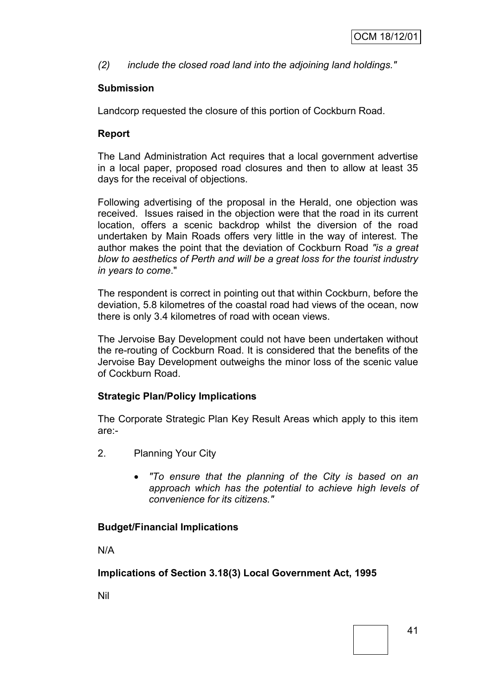*(2) include the closed road land into the adjoining land holdings."*

## **Submission**

Landcorp requested the closure of this portion of Cockburn Road.

## **Report**

The Land Administration Act requires that a local government advertise in a local paper, proposed road closures and then to allow at least 35 days for the receival of objections.

Following advertising of the proposal in the Herald, one objection was received. Issues raised in the objection were that the road in its current location, offers a scenic backdrop whilst the diversion of the road undertaken by Main Roads offers very little in the way of interest. The author makes the point that the deviation of Cockburn Road *"is a great blow to aesthetics of Perth and will be a great loss for the tourist industry in years to come*."

The respondent is correct in pointing out that within Cockburn, before the deviation, 5.8 kilometres of the coastal road had views of the ocean, now there is only 3.4 kilometres of road with ocean views.

The Jervoise Bay Development could not have been undertaken without the re-routing of Cockburn Road. It is considered that the benefits of the Jervoise Bay Development outweighs the minor loss of the scenic value of Cockburn Road.

### **Strategic Plan/Policy Implications**

The Corporate Strategic Plan Key Result Areas which apply to this item are:-

- 2. Planning Your City
	- *"To ensure that the planning of the City is based on an approach which has the potential to achieve high levels of convenience for its citizens."*

## **Budget/Financial Implications**

N/A

## **Implications of Section 3.18(3) Local Government Act, 1995**

Nil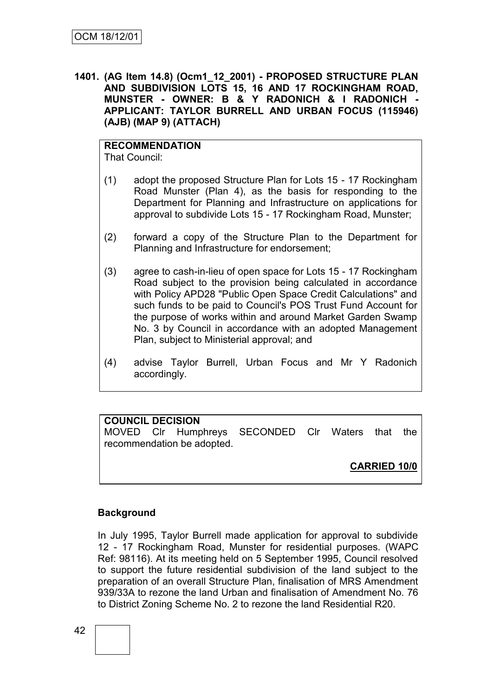**1401. (AG Item 14.8) (Ocm1\_12\_2001) - PROPOSED STRUCTURE PLAN AND SUBDIVISION LOTS 15, 16 AND 17 ROCKINGHAM ROAD, MUNSTER - OWNER: B & Y RADONICH & I RADONICH - APPLICANT: TAYLOR BURRELL AND URBAN FOCUS (115946) (AJB) (MAP 9) (ATTACH)**

#### **RECOMMENDATION** That Council:

(1) adopt the proposed Structure Plan for Lots 15 - 17 Rockingham Road Munster (Plan 4), as the basis for responding to the Department for Planning and Infrastructure on applications for approval to subdivide Lots 15 - 17 Rockingham Road, Munster;

- (2) forward a copy of the Structure Plan to the Department for Planning and Infrastructure for endorsement;
- (3) agree to cash-in-lieu of open space for Lots 15 17 Rockingham Road subject to the provision being calculated in accordance with Policy APD28 "Public Open Space Credit Calculations" and such funds to be paid to Council's POS Trust Fund Account for the purpose of works within and around Market Garden Swamp No. 3 by Council in accordance with an adopted Management Plan, subject to Ministerial approval; and
- (4) advise Taylor Burrell, Urban Focus and Mr Y Radonich accordingly.

## **COUNCIL DECISION**

MOVED Clr Humphreys SECONDED Clr Waters that the recommendation be adopted.

**CARRIED 10/0**

## **Background**

In July 1995, Taylor Burrell made application for approval to subdivide 12 - 17 Rockingham Road, Munster for residential purposes. (WAPC Ref: 98116). At its meeting held on 5 September 1995, Council resolved to support the future residential subdivision of the land subject to the preparation of an overall Structure Plan, finalisation of MRS Amendment 939/33A to rezone the land Urban and finalisation of Amendment No. 76 to District Zoning Scheme No. 2 to rezone the land Residential R20.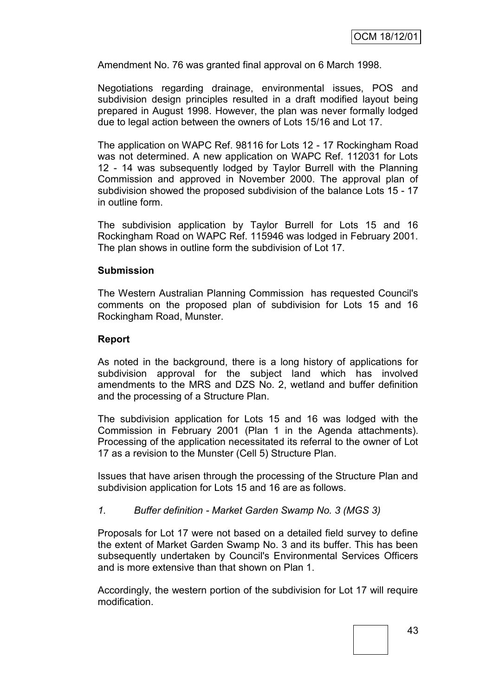Amendment No. 76 was granted final approval on 6 March 1998.

Negotiations regarding drainage, environmental issues, POS and subdivision design principles resulted in a draft modified layout being prepared in August 1998. However, the plan was never formally lodged due to legal action between the owners of Lots 15/16 and Lot 17.

The application on WAPC Ref. 98116 for Lots 12 - 17 Rockingham Road was not determined. A new application on WAPC Ref. 112031 for Lots 12 - 14 was subsequently lodged by Taylor Burrell with the Planning Commission and approved in November 2000. The approval plan of subdivision showed the proposed subdivision of the balance Lots 15 - 17 in outline form.

The subdivision application by Taylor Burrell for Lots 15 and 16 Rockingham Road on WAPC Ref. 115946 was lodged in February 2001. The plan shows in outline form the subdivision of Lot 17.

#### **Submission**

The Western Australian Planning Commission has requested Council's comments on the proposed plan of subdivision for Lots 15 and 16 Rockingham Road, Munster.

#### **Report**

As noted in the background, there is a long history of applications for subdivision approval for the subject land which has involved amendments to the MRS and DZS No. 2, wetland and buffer definition and the processing of a Structure Plan.

The subdivision application for Lots 15 and 16 was lodged with the Commission in February 2001 (Plan 1 in the Agenda attachments). Processing of the application necessitated its referral to the owner of Lot 17 as a revision to the Munster (Cell 5) Structure Plan.

Issues that have arisen through the processing of the Structure Plan and subdivision application for Lots 15 and 16 are as follows.

### *1. Buffer definition - Market Garden Swamp No. 3 (MGS 3)*

Proposals for Lot 17 were not based on a detailed field survey to define the extent of Market Garden Swamp No. 3 and its buffer. This has been subsequently undertaken by Council's Environmental Services Officers and is more extensive than that shown on Plan 1.

Accordingly, the western portion of the subdivision for Lot 17 will require modification.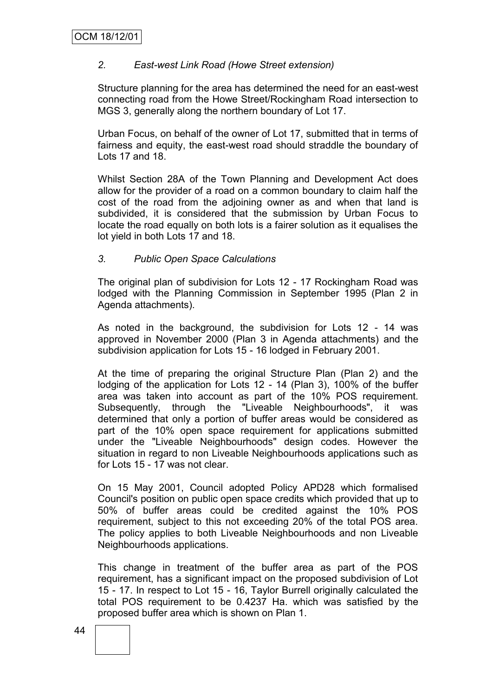## *2. East-west Link Road (Howe Street extension)*

Structure planning for the area has determined the need for an east-west connecting road from the Howe Street/Rockingham Road intersection to MGS 3, generally along the northern boundary of Lot 17.

Urban Focus, on behalf of the owner of Lot 17, submitted that in terms of fairness and equity, the east-west road should straddle the boundary of Lots 17 and 18.

Whilst Section 28A of the Town Planning and Development Act does allow for the provider of a road on a common boundary to claim half the cost of the road from the adjoining owner as and when that land is subdivided, it is considered that the submission by Urban Focus to locate the road equally on both lots is a fairer solution as it equalises the lot yield in both Lots 17 and 18.

## *3. Public Open Space Calculations*

The original plan of subdivision for Lots 12 - 17 Rockingham Road was lodged with the Planning Commission in September 1995 (Plan 2 in Agenda attachments).

As noted in the background, the subdivision for Lots 12 - 14 was approved in November 2000 (Plan 3 in Agenda attachments) and the subdivision application for Lots 15 - 16 lodged in February 2001.

At the time of preparing the original Structure Plan (Plan 2) and the lodging of the application for Lots 12 - 14 (Plan 3), 100% of the buffer area was taken into account as part of the 10% POS requirement. Subsequently, through the "Liveable Neighbourhoods", it was determined that only a portion of buffer areas would be considered as part of the 10% open space requirement for applications submitted under the "Liveable Neighbourhoods" design codes. However the situation in regard to non Liveable Neighbourhoods applications such as for Lots 15 - 17 was not clear.

On 15 May 2001, Council adopted Policy APD28 which formalised Council's position on public open space credits which provided that up to 50% of buffer areas could be credited against the 10% POS requirement, subject to this not exceeding 20% of the total POS area. The policy applies to both Liveable Neighbourhoods and non Liveable Neighbourhoods applications.

This change in treatment of the buffer area as part of the POS requirement, has a significant impact on the proposed subdivision of Lot 15 - 17. In respect to Lot 15 - 16, Taylor Burrell originally calculated the total POS requirement to be 0.4237 Ha. which was satisfied by the proposed buffer area which is shown on Plan 1.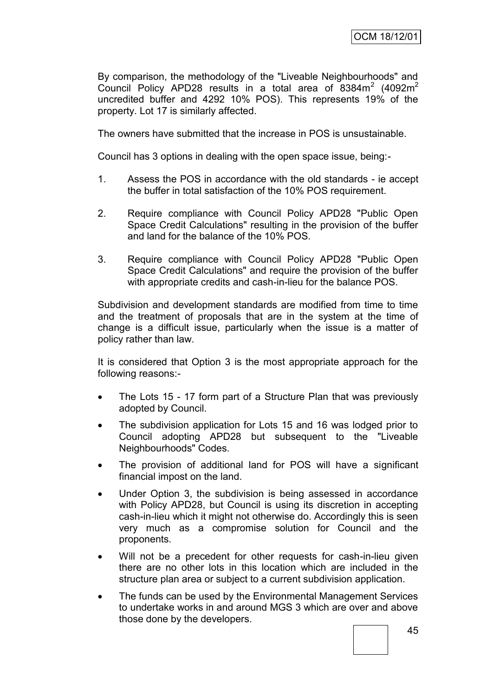By comparison, the methodology of the "Liveable Neighbourhoods" and Council Policy APD28 results in a total area of  $8384\,\text{m}^2$  (4092 $\text{m}^2$ uncredited buffer and 4292 10% POS). This represents 19% of the property. Lot 17 is similarly affected.

The owners have submitted that the increase in POS is unsustainable.

Council has 3 options in dealing with the open space issue, being:-

- 1. Assess the POS in accordance with the old standards ie accept the buffer in total satisfaction of the 10% POS requirement.
- 2. Require compliance with Council Policy APD28 "Public Open Space Credit Calculations" resulting in the provision of the buffer and land for the balance of the 10% POS.
- 3. Require compliance with Council Policy APD28 "Public Open Space Credit Calculations" and require the provision of the buffer with appropriate credits and cash-in-lieu for the balance POS.

Subdivision and development standards are modified from time to time and the treatment of proposals that are in the system at the time of change is a difficult issue, particularly when the issue is a matter of policy rather than law.

It is considered that Option 3 is the most appropriate approach for the following reasons:-

- The Lots 15 17 form part of a Structure Plan that was previously adopted by Council.
- The subdivision application for Lots 15 and 16 was lodged prior to Council adopting APD28 but subsequent to the "Liveable Neighbourhoods" Codes.
- The provision of additional land for POS will have a significant financial impost on the land.
- Under Option 3, the subdivision is being assessed in accordance with Policy APD28, but Council is using its discretion in accepting cash-in-lieu which it might not otherwise do. Accordingly this is seen very much as a compromise solution for Council and the proponents.
- Will not be a precedent for other requests for cash-in-lieu given there are no other lots in this location which are included in the structure plan area or subject to a current subdivision application.
- The funds can be used by the Environmental Management Services to undertake works in and around MGS 3 which are over and above those done by the developers.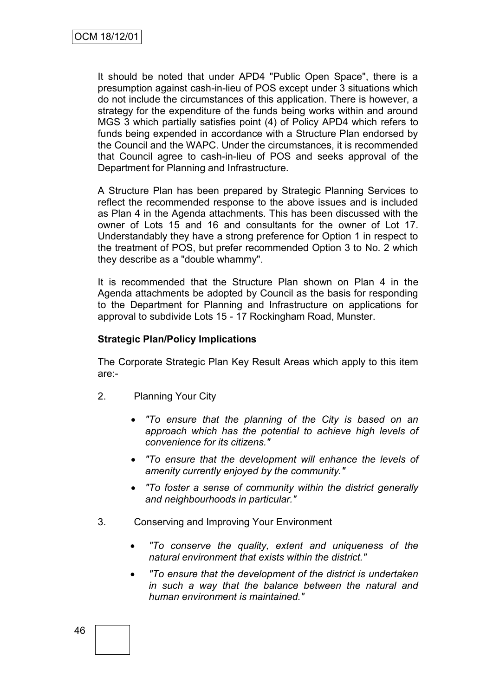It should be noted that under APD4 "Public Open Space", there is a presumption against cash-in-lieu of POS except under 3 situations which do not include the circumstances of this application. There is however, a strategy for the expenditure of the funds being works within and around MGS 3 which partially satisfies point (4) of Policy APD4 which refers to funds being expended in accordance with a Structure Plan endorsed by the Council and the WAPC. Under the circumstances, it is recommended that Council agree to cash-in-lieu of POS and seeks approval of the Department for Planning and Infrastructure.

A Structure Plan has been prepared by Strategic Planning Services to reflect the recommended response to the above issues and is included as Plan 4 in the Agenda attachments. This has been discussed with the owner of Lots 15 and 16 and consultants for the owner of Lot 17. Understandably they have a strong preference for Option 1 in respect to the treatment of POS, but prefer recommended Option 3 to No. 2 which they describe as a "double whammy".

It is recommended that the Structure Plan shown on Plan 4 in the Agenda attachments be adopted by Council as the basis for responding to the Department for Planning and Infrastructure on applications for approval to subdivide Lots 15 - 17 Rockingham Road, Munster.

### **Strategic Plan/Policy Implications**

The Corporate Strategic Plan Key Result Areas which apply to this item are:-

- 2. Planning Your City
	- *"To ensure that the planning of the City is based on an approach which has the potential to achieve high levels of convenience for its citizens."*
	- *"To ensure that the development will enhance the levels of amenity currently enjoyed by the community."*
	- *"To foster a sense of community within the district generally and neighbourhoods in particular."*
- 3. Conserving and Improving Your Environment
	- *"To conserve the quality, extent and uniqueness of the natural environment that exists within the district."*
	- *"To ensure that the development of the district is undertaken in such a way that the balance between the natural and human environment is maintained."*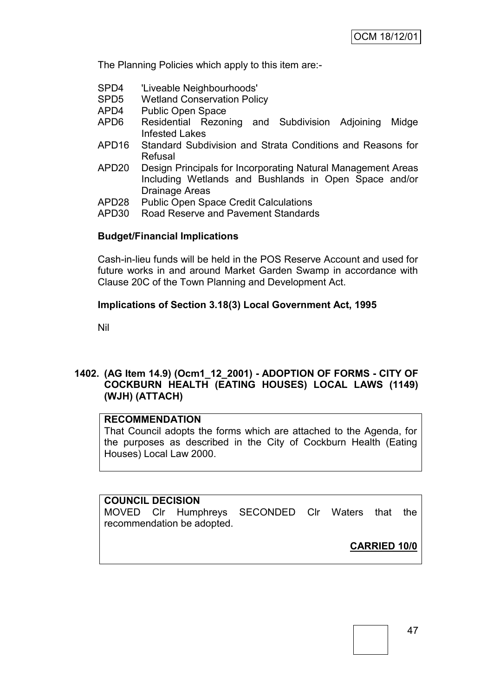The Planning Policies which apply to this item are:-

- SPD4 'Liveable Neighbourhoods'
- SPD5 Wetland Conservation Policy
- APD4 Public Open Space
- APD6 Residential Rezoning and Subdivision Adjoining Midge Infested Lakes
- APD16 Standard Subdivision and Strata Conditions and Reasons for Refusal
- APD20 Design Principals for Incorporating Natural Management Areas Including Wetlands and Bushlands in Open Space and/or Drainage Areas
- APD28 Public Open Space Credit Calculations
- APD30 Road Reserve and Pavement Standards

#### **Budget/Financial Implications**

Cash-in-lieu funds will be held in the POS Reserve Account and used for future works in and around Market Garden Swamp in accordance with Clause 20C of the Town Planning and Development Act.

#### **Implications of Section 3.18(3) Local Government Act, 1995**

Nil

## **1402. (AG Item 14.9) (Ocm1\_12\_2001) - ADOPTION OF FORMS - CITY OF COCKBURN HEALTH (EATING HOUSES) LOCAL LAWS (1149) (WJH) (ATTACH)**

#### **RECOMMENDATION**

That Council adopts the forms which are attached to the Agenda, for the purposes as described in the City of Cockburn Health (Eating Houses) Local Law 2000.

# **COUNCIL DECISION** MOVED Clr Humphreys SECONDED Clr Waters that the recommendation be adopted.

**CARRIED 10/0**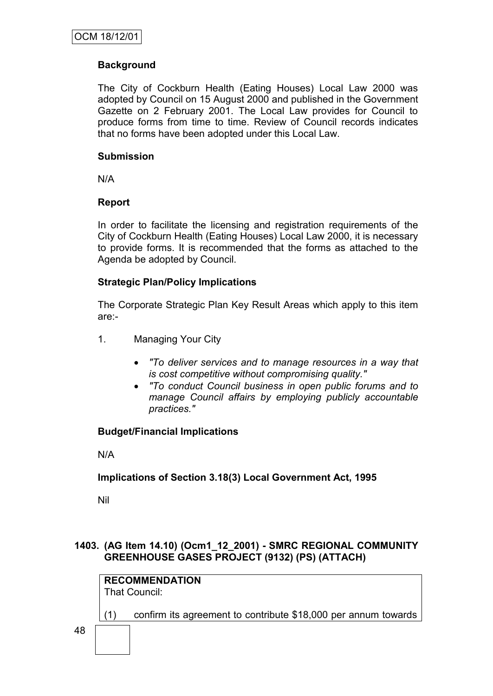## **Background**

The City of Cockburn Health (Eating Houses) Local Law 2000 was adopted by Council on 15 August 2000 and published in the Government Gazette on 2 February 2001. The Local Law provides for Council to produce forms from time to time. Review of Council records indicates that no forms have been adopted under this Local Law.

### **Submission**

N/A

### **Report**

In order to facilitate the licensing and registration requirements of the City of Cockburn Health (Eating Houses) Local Law 2000, it is necessary to provide forms. It is recommended that the forms as attached to the Agenda be adopted by Council.

### **Strategic Plan/Policy Implications**

The Corporate Strategic Plan Key Result Areas which apply to this item are:-

- 1. Managing Your City
	- *"To deliver services and to manage resources in a way that is cost competitive without compromising quality."*
	- *"To conduct Council business in open public forums and to manage Council affairs by employing publicly accountable practices."*

### **Budget/Financial Implications**

N/A

### **Implications of Section 3.18(3) Local Government Act, 1995**

Nil

## **1403. (AG Item 14.10) (Ocm1\_12\_2001) - SMRC REGIONAL COMMUNITY GREENHOUSE GASES PROJECT (9132) (PS) (ATTACH)**

**RECOMMENDATION** That Council:

(1) confirm its agreement to contribute \$18,000 per annum towards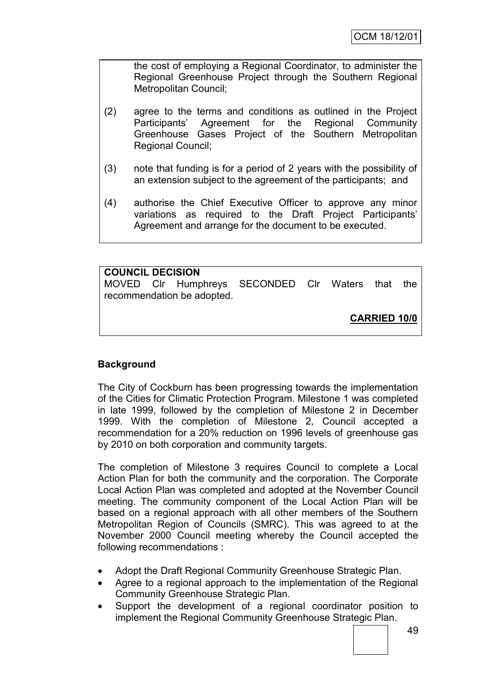the cost of employing a Regional Coordinator, to administer the Regional Greenhouse Project through the Southern Regional Metropolitan Council;

- (2) agree to the terms and conditions as outlined in the Project Participants" Agreement for the Regional Community Greenhouse Gases Project of the Southern Metropolitan Regional Council;
- (3) note that funding is for a period of 2 years with the possibility of an extension subject to the agreement of the participants; and
- (4) authorise the Chief Executive Officer to approve any minor variations as required to the Draft Project Participants" Agreement and arrange for the document to be executed.

**COUNCIL DECISION** MOVED Clr Humphreys SECONDED Clr Waters that the recommendation be adopted. **CARRIED 10/0**

## **Background**

The City of Cockburn has been progressing towards the implementation of the Cities for Climatic Protection Program. Milestone 1 was completed in late 1999, followed by the completion of Milestone 2 in December 1999. With the completion of Milestone 2, Council accepted a recommendation for a 20% reduction on 1996 levels of greenhouse gas by 2010 on both corporation and community targets.

The completion of Milestone 3 requires Council to complete a Local Action Plan for both the community and the corporation. The Corporate Local Action Plan was completed and adopted at the November Council meeting. The community component of the Local Action Plan will be based on a regional approach with all other members of the Southern Metropolitan Region of Councils (SMRC). This was agreed to at the November 2000 Council meeting whereby the Council accepted the following recommendations :

- Adopt the Draft Regional Community Greenhouse Strategic Plan.
- Agree to a regional approach to the implementation of the Regional Community Greenhouse Strategic Plan.
- Support the development of a regional coordinator position to implement the Regional Community Greenhouse Strategic Plan.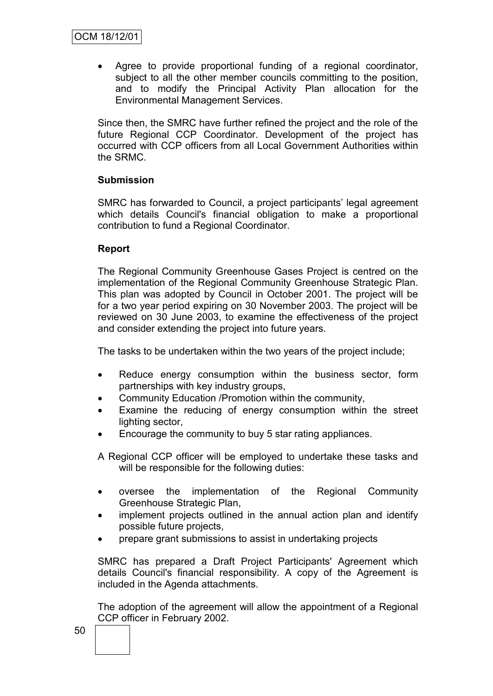Agree to provide proportional funding of a regional coordinator, subject to all the other member councils committing to the position. and to modify the Principal Activity Plan allocation for the Environmental Management Services.

Since then, the SMRC have further refined the project and the role of the future Regional CCP Coordinator. Development of the project has occurred with CCP officers from all Local Government Authorities within the SRMC.

### **Submission**

SMRC has forwarded to Council, a project participants' legal agreement which details Council's financial obligation to make a proportional contribution to fund a Regional Coordinator.

### **Report**

The Regional Community Greenhouse Gases Project is centred on the implementation of the Regional Community Greenhouse Strategic Plan. This plan was adopted by Council in October 2001. The project will be for a two year period expiring on 30 November 2003. The project will be reviewed on 30 June 2003, to examine the effectiveness of the project and consider extending the project into future years.

The tasks to be undertaken within the two years of the project include;

- Reduce energy consumption within the business sector, form partnerships with key industry groups,
- Community Education /Promotion within the community,
- Examine the reducing of energy consumption within the street lighting sector,
- Encourage the community to buy 5 star rating appliances.

A Regional CCP officer will be employed to undertake these tasks and will be responsible for the following duties:

- oversee the implementation of the Regional Community Greenhouse Strategic Plan,
- implement projects outlined in the annual action plan and identify possible future projects,
- prepare grant submissions to assist in undertaking projects

SMRC has prepared a Draft Project Participants' Agreement which details Council's financial responsibility. A copy of the Agreement is included in the Agenda attachments.

The adoption of the agreement will allow the appointment of a Regional CCP officer in February 2002.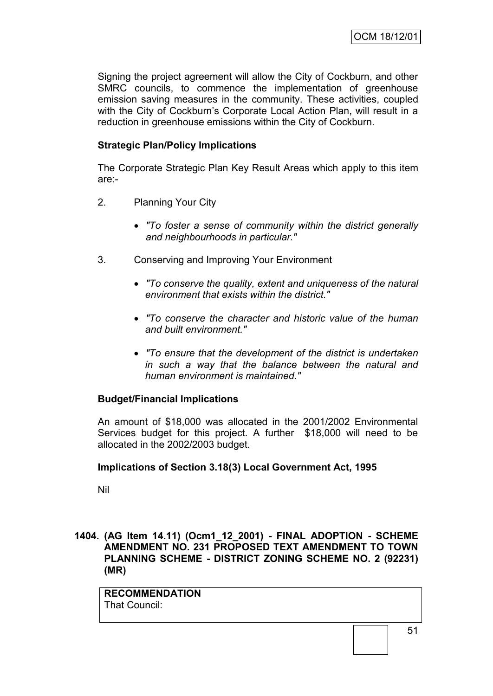Signing the project agreement will allow the City of Cockburn, and other SMRC councils, to commence the implementation of greenhouse emission saving measures in the community. These activities, coupled with the City of Cockburn's Corporate Local Action Plan, will result in a reduction in greenhouse emissions within the City of Cockburn.

## **Strategic Plan/Policy Implications**

The Corporate Strategic Plan Key Result Areas which apply to this item are:-

- 2. Planning Your City
	- *"To foster a sense of community within the district generally and neighbourhoods in particular."*
- 3. Conserving and Improving Your Environment
	- *"To conserve the quality, extent and uniqueness of the natural environment that exists within the district."*
	- *"To conserve the character and historic value of the human and built environment."*
	- *"To ensure that the development of the district is undertaken in such a way that the balance between the natural and human environment is maintained."*

### **Budget/Financial Implications**

An amount of \$18,000 was allocated in the 2001/2002 Environmental Services budget for this project. A further \$18,000 will need to be allocated in the 2002/2003 budget.

### **Implications of Section 3.18(3) Local Government Act, 1995**

Nil

**1404. (AG Item 14.11) (Ocm1\_12\_2001) - FINAL ADOPTION - SCHEME AMENDMENT NO. 231 PROPOSED TEXT AMENDMENT TO TOWN PLANNING SCHEME - DISTRICT ZONING SCHEME NO. 2 (92231) (MR)**

**RECOMMENDATION** That Council: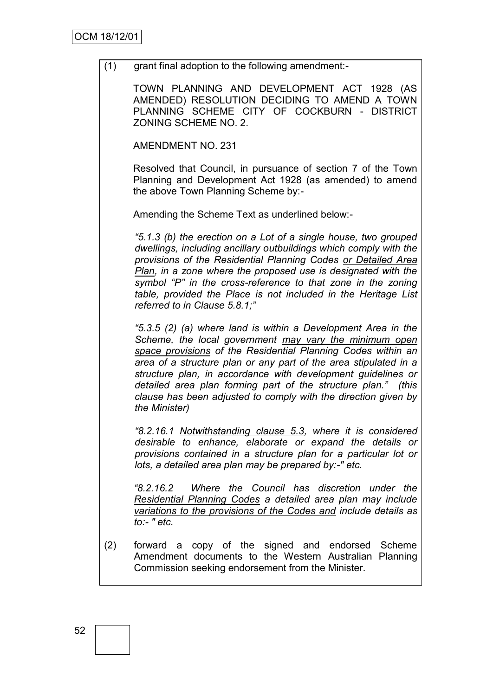(1) grant final adoption to the following amendment:-

TOWN PLANNING AND DEVELOPMENT ACT 1928 (AS AMENDED) RESOLUTION DECIDING TO AMEND A TOWN PLANNING SCHEME CITY OF COCKBURN - DISTRICT ZONING SCHEME NO. 2.

AMENDMENT NO. 231

Resolved that Council, in pursuance of section 7 of the Town Planning and Development Act 1928 (as amended) to amend the above Town Planning Scheme by:-

Amending the Scheme Text as underlined below:-

*"5.1.3 (b) the erection on a Lot of a single house, two grouped dwellings, including ancillary outbuildings which comply with the provisions of the Residential Planning Codes or Detailed Area Plan, in a zone where the proposed use is designated with the symbol "P" in the cross-reference to that zone in the zoning table, provided the Place is not included in the Heritage List referred to in Clause 5.8.1;"* 

*"5.3.5 (2) (a) where land is within a Development Area in the Scheme, the local government may vary the minimum open space provisions of the Residential Planning Codes within an area of a structure plan or any part of the area stipulated in a structure plan, in accordance with development guidelines or detailed area plan forming part of the structure plan." (this clause has been adjusted to comply with the direction given by the Minister)*

*"8.2.16.1 Notwithstanding clause 5.3, where it is considered desirable to enhance, elaborate or expand the details or provisions contained in a structure plan for a particular lot or lots, a detailed area plan may be prepared by:-" etc.* 

*"8.2.16.2 Where the Council has discretion under the Residential Planning Codes a detailed area plan may include variations to the provisions of the Codes and include details as to:- " etc.*

(2) forward a copy of the signed and endorsed Scheme Amendment documents to the Western Australian Planning Commission seeking endorsement from the Minister.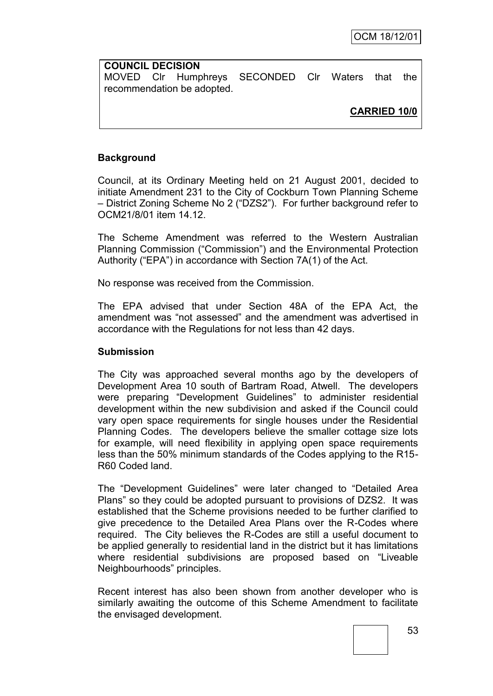**COUNCIL DECISION** MOVED Clr Humphreys SECONDED Clr Waters that the recommendation be adopted.

**CARRIED 10/0**

## **Background**

Council, at its Ordinary Meeting held on 21 August 2001, decided to initiate Amendment 231 to the City of Cockburn Town Planning Scheme – District Zoning Scheme No 2 ("DZS2"). For further background refer to OCM21/8/01 item 14.12.

The Scheme Amendment was referred to the Western Australian Planning Commission ("Commission") and the Environmental Protection Authority ("EPA") in accordance with Section 7A(1) of the Act.

No response was received from the Commission.

The EPA advised that under Section 48A of the EPA Act, the amendment was "not assessed" and the amendment was advertised in accordance with the Regulations for not less than 42 days.

#### **Submission**

The City was approached several months ago by the developers of Development Area 10 south of Bartram Road, Atwell. The developers were preparing "Development Guidelines" to administer residential development within the new subdivision and asked if the Council could vary open space requirements for single houses under the Residential Planning Codes. The developers believe the smaller cottage size lots for example, will need flexibility in applying open space requirements less than the 50% minimum standards of the Codes applying to the R15- R60 Coded land.

The "Development Guidelines" were later changed to "Detailed Area Plans" so they could be adopted pursuant to provisions of DZS2. It was established that the Scheme provisions needed to be further clarified to give precedence to the Detailed Area Plans over the R-Codes where required. The City believes the R-Codes are still a useful document to be applied generally to residential land in the district but it has limitations where residential subdivisions are proposed based on "Liveable Neighbourhoods" principles.

Recent interest has also been shown from another developer who is similarly awaiting the outcome of this Scheme Amendment to facilitate the envisaged development.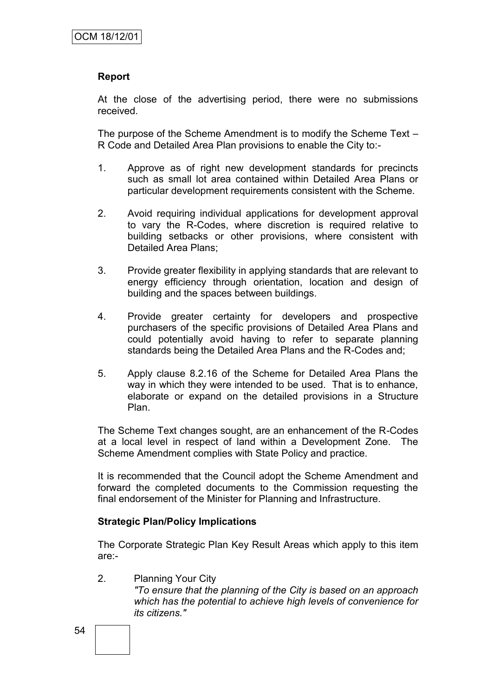## **Report**

At the close of the advertising period, there were no submissions received.

The purpose of the Scheme Amendment is to modify the Scheme Text – R Code and Detailed Area Plan provisions to enable the City to:-

- 1. Approve as of right new development standards for precincts such as small lot area contained within Detailed Area Plans or particular development requirements consistent with the Scheme.
- 2. Avoid requiring individual applications for development approval to vary the R-Codes, where discretion is required relative to building setbacks or other provisions, where consistent with Detailed Area Plans;
- 3. Provide greater flexibility in applying standards that are relevant to energy efficiency through orientation, location and design of building and the spaces between buildings.
- 4. Provide greater certainty for developers and prospective purchasers of the specific provisions of Detailed Area Plans and could potentially avoid having to refer to separate planning standards being the Detailed Area Plans and the R-Codes and;
- 5. Apply clause 8.2.16 of the Scheme for Detailed Area Plans the way in which they were intended to be used. That is to enhance, elaborate or expand on the detailed provisions in a Structure Plan.

The Scheme Text changes sought, are an enhancement of the R-Codes at a local level in respect of land within a Development Zone. The Scheme Amendment complies with State Policy and practice.

It is recommended that the Council adopt the Scheme Amendment and forward the completed documents to the Commission requesting the final endorsement of the Minister for Planning and Infrastructure.

### **Strategic Plan/Policy Implications**

The Corporate Strategic Plan Key Result Areas which apply to this item are:-

2. Planning Your City *"To ensure that the planning of the City is based on an approach which has the potential to achieve high levels of convenience for its citizens."*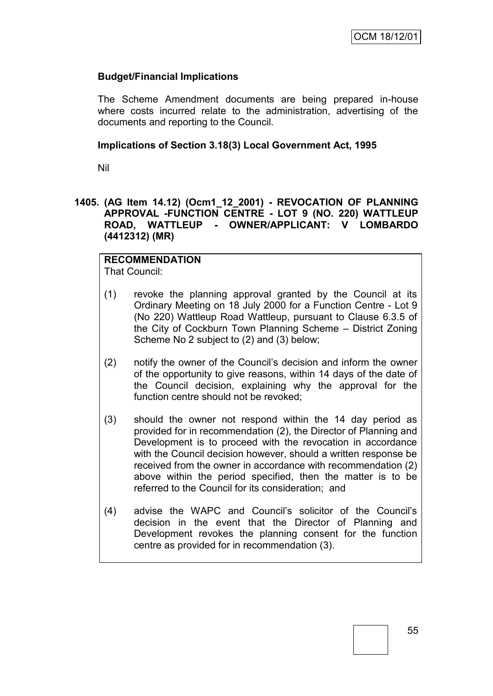## **Budget/Financial Implications**

The Scheme Amendment documents are being prepared in-house where costs incurred relate to the administration, advertising of the documents and reporting to the Council.

### **Implications of Section 3.18(3) Local Government Act, 1995**

Nil

### **1405. (AG Item 14.12) (Ocm1\_12\_2001) - REVOCATION OF PLANNING APPROVAL -FUNCTION CENTRE - LOT 9 (NO. 220) WATTLEUP ROAD, WATTLEUP - OWNER/APPLICANT: V LOMBARDO (4412312) (MR)**

# **RECOMMENDATION**

That Council:

- (1) revoke the planning approval granted by the Council at its Ordinary Meeting on 18 July 2000 for a Function Centre - Lot 9 (No 220) Wattleup Road Wattleup, pursuant to Clause 6.3.5 of the City of Cockburn Town Planning Scheme – District Zoning Scheme No 2 subject to (2) and (3) below;
- (2) notify the owner of the Council"s decision and inform the owner of the opportunity to give reasons, within 14 days of the date of the Council decision, explaining why the approval for the function centre should not be revoked;
- (3) should the owner not respond within the 14 day period as provided for in recommendation (2), the Director of Planning and Development is to proceed with the revocation in accordance with the Council decision however, should a written response be received from the owner in accordance with recommendation (2) above within the period specified, then the matter is to be referred to the Council for its consideration; and
- (4) advise the WAPC and Council"s solicitor of the Council"s decision in the event that the Director of Planning and Development revokes the planning consent for the function centre as provided for in recommendation (3).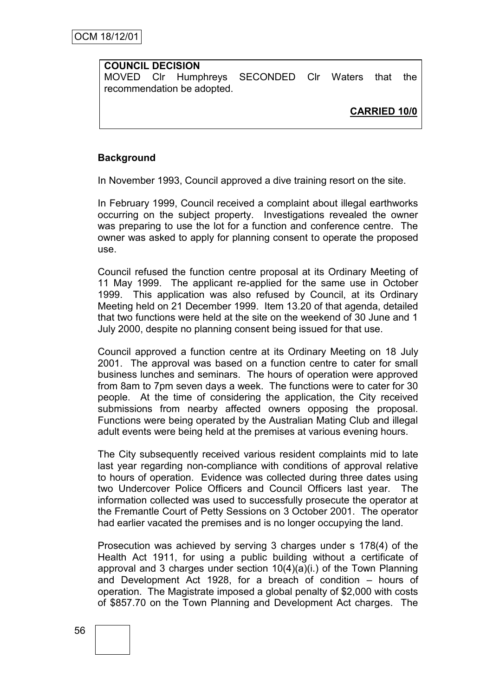## **COUNCIL DECISION**

MOVED Clr Humphreys SECONDED Clr Waters that the recommendation be adopted.

**CARRIED 10/0**

## **Background**

In November 1993, Council approved a dive training resort on the site.

In February 1999, Council received a complaint about illegal earthworks occurring on the subject property. Investigations revealed the owner was preparing to use the lot for a function and conference centre. The owner was asked to apply for planning consent to operate the proposed use.

Council refused the function centre proposal at its Ordinary Meeting of 11 May 1999. The applicant re-applied for the same use in October 1999. This application was also refused by Council, at its Ordinary Meeting held on 21 December 1999. Item 13.20 of that agenda, detailed that two functions were held at the site on the weekend of 30 June and 1 July 2000, despite no planning consent being issued for that use.

Council approved a function centre at its Ordinary Meeting on 18 July 2001. The approval was based on a function centre to cater for small business lunches and seminars. The hours of operation were approved from 8am to 7pm seven days a week. The functions were to cater for 30 people. At the time of considering the application, the City received submissions from nearby affected owners opposing the proposal. Functions were being operated by the Australian Mating Club and illegal adult events were being held at the premises at various evening hours.

The City subsequently received various resident complaints mid to late last year regarding non-compliance with conditions of approval relative to hours of operation. Evidence was collected during three dates using two Undercover Police Officers and Council Officers last year. The information collected was used to successfully prosecute the operator at the Fremantle Court of Petty Sessions on 3 October 2001. The operator had earlier vacated the premises and is no longer occupying the land.

Prosecution was achieved by serving 3 charges under s 178(4) of the Health Act 1911, for using a public building without a certificate of approval and 3 charges under section  $10(4)(a)(i)$  of the Town Planning and Development Act 1928, for a breach of condition – hours of operation. The Magistrate imposed a global penalty of \$2,000 with costs of \$857.70 on the Town Planning and Development Act charges. The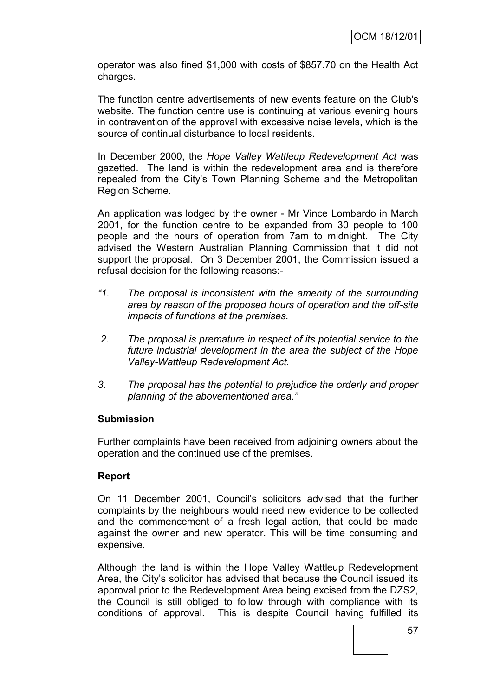operator was also fined \$1,000 with costs of \$857.70 on the Health Act charges.

The function centre advertisements of new events feature on the Club's website. The function centre use is continuing at various evening hours in contravention of the approval with excessive noise levels, which is the source of continual disturbance to local residents.

In December 2000, the *Hope Valley Wattleup Redevelopment Act* was gazetted. The land is within the redevelopment area and is therefore repealed from the City"s Town Planning Scheme and the Metropolitan Region Scheme.

An application was lodged by the owner - Mr Vince Lombardo in March 2001, for the function centre to be expanded from 30 people to 100 people and the hours of operation from 7am to midnight. The City advised the Western Australian Planning Commission that it did not support the proposal. On 3 December 2001, the Commission issued a refusal decision for the following reasons:-

- *"1. The proposal is inconsistent with the amenity of the surrounding area by reason of the proposed hours of operation and the off-site impacts of functions at the premises.*
- *2. The proposal is premature in respect of its potential service to the future industrial development in the area the subject of the Hope Valley-Wattleup Redevelopment Act.*
- *3. The proposal has the potential to prejudice the orderly and proper planning of the abovementioned area."*

### **Submission**

Further complaints have been received from adjoining owners about the operation and the continued use of the premises.

### **Report**

On 11 December 2001, Council"s solicitors advised that the further complaints by the neighbours would need new evidence to be collected and the commencement of a fresh legal action, that could be made against the owner and new operator. This will be time consuming and expensive.

Although the land is within the Hope Valley Wattleup Redevelopment Area, the City"s solicitor has advised that because the Council issued its approval prior to the Redevelopment Area being excised from the DZS2, the Council is still obliged to follow through with compliance with its conditions of approval. This is despite Council having fulfilled its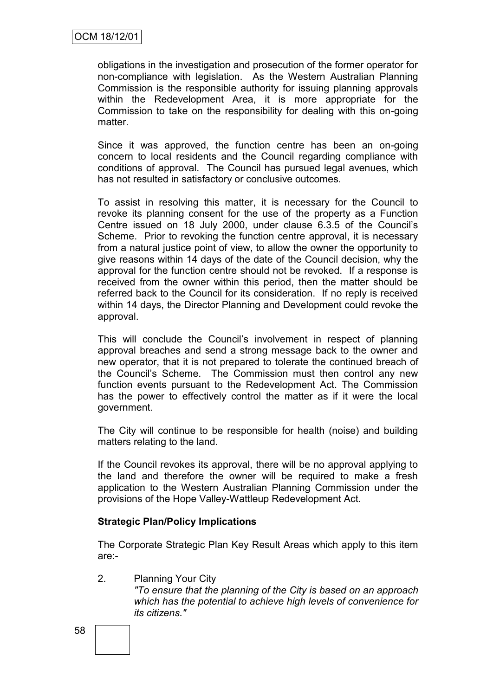obligations in the investigation and prosecution of the former operator for non-compliance with legislation. As the Western Australian Planning Commission is the responsible authority for issuing planning approvals within the Redevelopment Area, it is more appropriate for the Commission to take on the responsibility for dealing with this on-going matter.

Since it was approved, the function centre has been an on-going concern to local residents and the Council regarding compliance with conditions of approval. The Council has pursued legal avenues, which has not resulted in satisfactory or conclusive outcomes.

To assist in resolving this matter, it is necessary for the Council to revoke its planning consent for the use of the property as a Function Centre issued on 18 July 2000, under clause 6.3.5 of the Council"s Scheme. Prior to revoking the function centre approval, it is necessary from a natural justice point of view, to allow the owner the opportunity to give reasons within 14 days of the date of the Council decision, why the approval for the function centre should not be revoked. If a response is received from the owner within this period, then the matter should be referred back to the Council for its consideration. If no reply is received within 14 days, the Director Planning and Development could revoke the approval.

This will conclude the Council"s involvement in respect of planning approval breaches and send a strong message back to the owner and new operator, that it is not prepared to tolerate the continued breach of the Council"s Scheme. The Commission must then control any new function events pursuant to the Redevelopment Act. The Commission has the power to effectively control the matter as if it were the local government.

The City will continue to be responsible for health (noise) and building matters relating to the land.

If the Council revokes its approval, there will be no approval applying to the land and therefore the owner will be required to make a fresh application to the Western Australian Planning Commission under the provisions of the Hope Valley-Wattleup Redevelopment Act.

### **Strategic Plan/Policy Implications**

The Corporate Strategic Plan Key Result Areas which apply to this item are:-

2. Planning Your City *"To ensure that the planning of the City is based on an approach which has the potential to achieve high levels of convenience for its citizens."*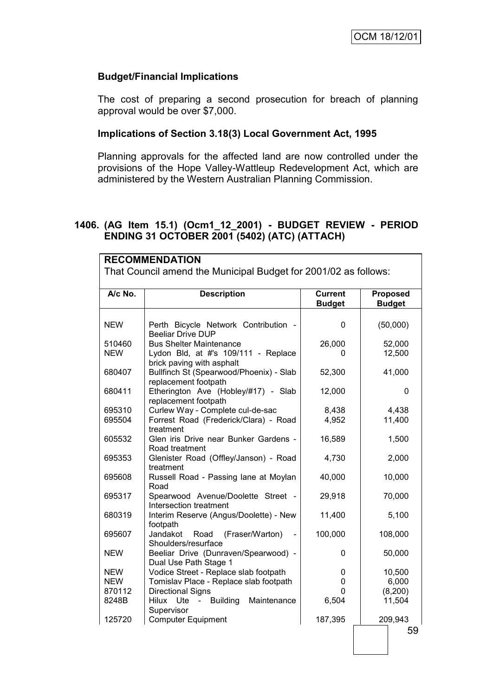## **Budget/Financial Implications**

The cost of preparing a second prosecution for breach of planning approval would be over \$7,000.

### **Implications of Section 3.18(3) Local Government Act, 1995**

Planning approvals for the affected land are now controlled under the provisions of the Hope Valley-Wattleup Redevelopment Act, which are administered by the Western Australian Planning Commission.

## **1406. (AG Item 15.1) (Ocm1\_12\_2001) - BUDGET REVIEW - PERIOD ENDING 31 OCTOBER 2001 (5402) (ATC) (ATTACH)**

| <b>RECOMMENDATION</b>                                           |                                                                  |                                 |                                  |  |  |  |  |
|-----------------------------------------------------------------|------------------------------------------------------------------|---------------------------------|----------------------------------|--|--|--|--|
| That Council amend the Municipal Budget for 2001/02 as follows: |                                                                  |                                 |                                  |  |  |  |  |
|                                                                 |                                                                  |                                 |                                  |  |  |  |  |
| A/c No.                                                         | <b>Description</b>                                               | <b>Current</b><br><b>Budget</b> | <b>Proposed</b><br><b>Budget</b> |  |  |  |  |
|                                                                 |                                                                  |                                 |                                  |  |  |  |  |
| <b>NEW</b>                                                      | Perth Bicycle Network Contribution -<br><b>Beeliar Drive DUP</b> | 0                               | (50,000)                         |  |  |  |  |
| 510460                                                          | <b>Bus Shelter Maintenance</b>                                   | 26,000                          | 52,000                           |  |  |  |  |
| <b>NEW</b>                                                      | Lydon Bld, at #'s 109/111 - Replace<br>brick paving with asphalt | 0                               | 12,500                           |  |  |  |  |
| 680407                                                          | Bullfinch St (Spearwood/Phoenix) - Slab<br>replacement footpath  | 52,300                          | 41,000                           |  |  |  |  |
| 680411                                                          | Etherington Ave (Hobley/#17) - Slab<br>replacement footpath      | 12,000                          | 0                                |  |  |  |  |
| 695310                                                          | Curlew Way - Complete cul-de-sac                                 | 8,438                           | 4,438                            |  |  |  |  |
| 695504                                                          | Forrest Road (Frederick/Clara) - Road<br>treatment               | 4,952                           | 11,400                           |  |  |  |  |
| 605532                                                          | Glen iris Drive near Bunker Gardens -<br>Road treatment          | 16,589                          | 1,500                            |  |  |  |  |
| 695353                                                          | Glenister Road (Offley/Janson) - Road<br>treatment               | 4,730                           | 2,000                            |  |  |  |  |
| 695608                                                          | Russell Road - Passing lane at Moylan<br>Road                    | 40,000                          | 10,000                           |  |  |  |  |
| 695317                                                          | Spearwood Avenue/Doolette Street -<br>Intersection treatment     | 29,918                          | 70,000                           |  |  |  |  |
| 680319                                                          | Interim Reserve (Angus/Doolette) - New<br>footpath               | 11,400                          | 5,100                            |  |  |  |  |
| 695607                                                          | Jandakot Road<br>(Fraser/Warton)<br>Shoulders/resurface          | 100,000                         | 108,000                          |  |  |  |  |
| <b>NEW</b>                                                      | Beeliar Drive (Dunraven/Spearwood) -<br>Dual Use Path Stage 1    | 0                               | 50,000                           |  |  |  |  |
| <b>NEW</b>                                                      | Vodice Street - Replace slab footpath                            | 0                               | 10,500                           |  |  |  |  |
| <b>NEW</b>                                                      | Tomislav Place - Replace slab footpath                           | 0                               | 6,000                            |  |  |  |  |
| 870112                                                          | <b>Directional Signs</b>                                         | 0                               | (8,200)                          |  |  |  |  |
| 8248B                                                           | - Building<br>Ute<br>Maintenance<br>Hilux<br>Supervisor          | 6,504                           | 11,504                           |  |  |  |  |
| 125720                                                          | <b>Computer Equipment</b>                                        | 187,395                         | 209,943                          |  |  |  |  |
|                                                                 |                                                                  |                                 | 59                               |  |  |  |  |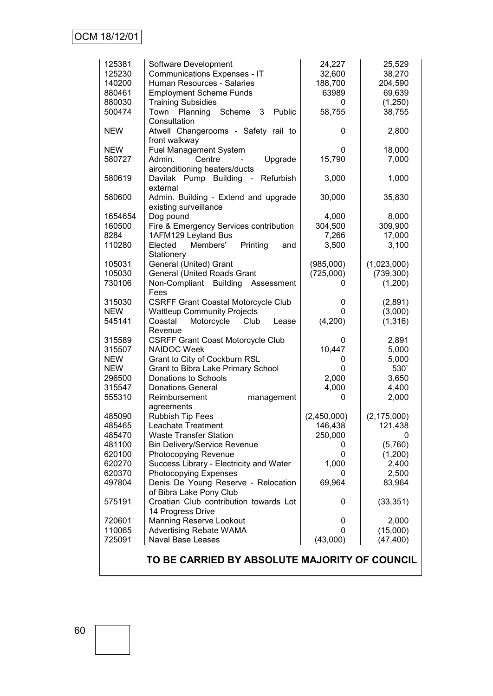| 125381<br>125230<br>140200<br>880461<br>880030<br>500474 | Software Development<br>Communications Expenses - IT<br>Human Resources - Salaries<br><b>Employment Scheme Funds</b><br><b>Training Subsidies</b><br>3<br>Public<br>Planning Scheme<br>Town<br>Consultation | 24,227<br>32,600<br>188,700<br>63989<br>0<br>58,755 | 25,529<br>38,270<br>204,590<br>69,639<br>(1,250)<br>38,755 |
|----------------------------------------------------------|-------------------------------------------------------------------------------------------------------------------------------------------------------------------------------------------------------------|-----------------------------------------------------|------------------------------------------------------------|
| <b>NEW</b>                                               | Atwell Changerooms - Safety rail to<br>front walkway                                                                                                                                                        | 0                                                   | 2,800                                                      |
| <b>NEW</b><br>580727                                     | <b>Fuel Management System</b><br>Upgrade<br>Admin.<br>Centre<br>$\blacksquare$<br>airconditioning heaters/ducts                                                                                             | 0<br>15,790                                         | 18,000<br>7,000                                            |
| 580619                                                   | Refurbish<br>Davilak Pump Building<br>$\sim$<br>external                                                                                                                                                    | 3,000                                               | 1,000                                                      |
| 580600                                                   | Admin. Building - Extend and upgrade<br>existing surveillance                                                                                                                                               | 30,000                                              | 35,830                                                     |
| 1654654                                                  | Dog pound                                                                                                                                                                                                   | 4,000                                               | 8,000                                                      |
| 160500                                                   | Fire & Emergency Services contribution                                                                                                                                                                      | 304,500                                             | 309,900                                                    |
| 8284                                                     | 1AFM129 Leyland Bus                                                                                                                                                                                         | 7,266                                               | 17,000                                                     |
| 110280                                                   | Members'<br>Printing<br>Elected<br>and                                                                                                                                                                      | 3,500                                               | 3,100                                                      |
|                                                          | Stationery                                                                                                                                                                                                  |                                                     |                                                            |
| 105031                                                   | General (United) Grant                                                                                                                                                                                      | (985,000)                                           | (1,023,000)                                                |
| 105030                                                   | <b>General (United Roads Grant</b>                                                                                                                                                                          | (725,000)                                           | (739, 300)                                                 |
| 730106                                                   | Non-Compliant Building Assessment<br>Fees                                                                                                                                                                   | 0                                                   | (1,200)                                                    |
| 315030                                                   | <b>CSRFF Grant Coastal Motorcycle Club</b>                                                                                                                                                                  | 0                                                   | (2,891)                                                    |
| <b>NEW</b>                                               | <b>Wattleup Community Projects</b>                                                                                                                                                                          | 0                                                   | (3,000)                                                    |
| 545141                                                   | Motorcycle<br>Coastal<br>Club<br>Lease                                                                                                                                                                      | (4,200)                                             | (1, 316)                                                   |
|                                                          | Revenue                                                                                                                                                                                                     |                                                     |                                                            |
| 315589                                                   | <b>CSRFF Grant Coast Motorcycle Club</b>                                                                                                                                                                    | 0                                                   | 2,891                                                      |
| 315507                                                   | <b>NAIDOC Week</b>                                                                                                                                                                                          | 10,447                                              | 5,000                                                      |
| <b>NEW</b>                                               | Grant to City of Cockburn RSL                                                                                                                                                                               | 0                                                   | 5,000                                                      |
| <b>NEW</b>                                               | Grant to Bibra Lake Primary School                                                                                                                                                                          | 0                                                   | 530                                                        |
|                                                          |                                                                                                                                                                                                             | 2,000                                               |                                                            |
| 296500                                                   | Donations to Schools                                                                                                                                                                                        |                                                     | 3,650                                                      |
| 315547                                                   | <b>Donations General</b>                                                                                                                                                                                    | 4,000                                               | 4,400                                                      |
| 555310                                                   | Reimbursement<br>management                                                                                                                                                                                 | 0                                                   | 2,000                                                      |
|                                                          | agreements                                                                                                                                                                                                  |                                                     | (2, 175, 000)                                              |
| 485090                                                   | <b>Rubbish Tip Fees</b>                                                                                                                                                                                     | (2,450,000)                                         |                                                            |
| 485465                                                   | Leachate Treatment                                                                                                                                                                                          | 146,438                                             | 121,438                                                    |
| 485470                                                   | <b>Waste Transfer Station</b>                                                                                                                                                                               | 250,000                                             | 0                                                          |
| 481100<br>620100                                         | <b>Bin Delivery/Service Revenue</b><br>Photocopying Revenue                                                                                                                                                 | 0<br>0                                              | (5,760)                                                    |
| 620270                                                   |                                                                                                                                                                                                             |                                                     | (1,200)                                                    |
|                                                          | Success Library - Electricity and Water                                                                                                                                                                     | 1,000                                               | 2,400                                                      |
| 620370                                                   | Photocopying Expenses                                                                                                                                                                                       | 0                                                   | 2,500                                                      |
| 497804                                                   | Denis De Young Reserve - Relocation                                                                                                                                                                         | 69,964                                              | 83,964                                                     |
|                                                          | of Bibra Lake Pony Club                                                                                                                                                                                     |                                                     |                                                            |
| 575191                                                   | Croatian Club contribution towards Lot                                                                                                                                                                      | 0                                                   | (33, 351)                                                  |
| 720601                                                   | 14 Progress Drive<br>Manning Reserve Lookout                                                                                                                                                                | 0                                                   |                                                            |
| 110065                                                   |                                                                                                                                                                                                             | 0                                                   | 2,000                                                      |
| 725091                                                   | <b>Advertising Rebate WAMA</b><br><b>Naval Base Leases</b>                                                                                                                                                  |                                                     | (15,000)<br>(47, 400)                                      |
|                                                          |                                                                                                                                                                                                             | (43,000)                                            |                                                            |

**TO BE CARRIED BY ABSOLUTE MAJORITY OF COUNCIL**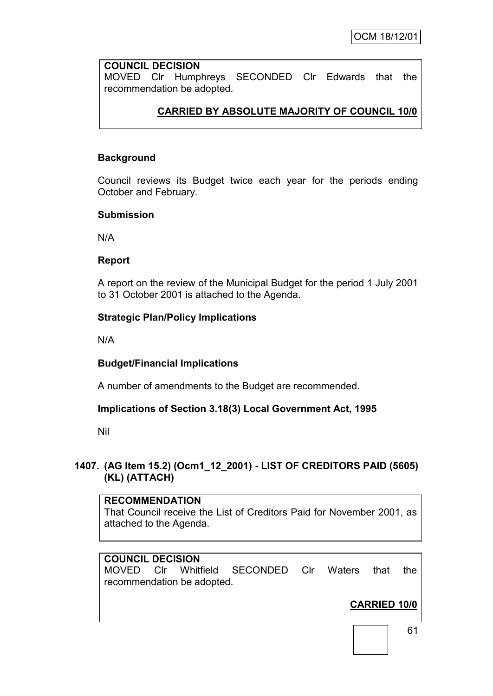## **COUNCIL DECISION**

MOVED Clr Humphreys SECONDED Clr Edwards that the recommendation be adopted.

# **CARRIED BY ABSOLUTE MAJORITY OF COUNCIL 10/0**

## **Background**

Council reviews its Budget twice each year for the periods ending October and February.

#### **Submission**

N/A

### **Report**

A report on the review of the Municipal Budget for the period 1 July 2001 to 31 October 2001 is attached to the Agenda.

### **Strategic Plan/Policy Implications**

N/A

### **Budget/Financial Implications**

A number of amendments to the Budget are recommended.

### **Implications of Section 3.18(3) Local Government Act, 1995**

Nil

## **1407. (AG Item 15.2) (Ocm1\_12\_2001) - LIST OF CREDITORS PAID (5605) (KL) (ATTACH)**

#### **RECOMMENDATION**

That Council receive the List of Creditors Paid for November 2001, as attached to the Agenda.

## **COUNCIL DECISION**

MOVED Clr Whitfield SECONDED Clr Waters that the recommendation be adopted.

# **CARRIED 10/0**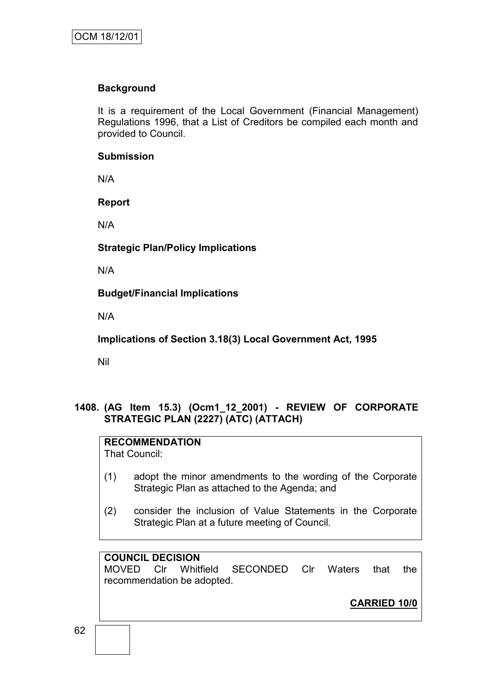## **Background**

It is a requirement of the Local Government (Financial Management) Regulations 1996, that a List of Creditors be compiled each month and provided to Council.

### **Submission**

N/A

### **Report**

N/A

**Strategic Plan/Policy Implications**

N/A

**Budget/Financial Implications**

N/A

**Implications of Section 3.18(3) Local Government Act, 1995**

Nil

## **1408. (AG Item 15.3) (Ocm1\_12\_2001) - REVIEW OF CORPORATE STRATEGIC PLAN (2227) (ATC) (ATTACH)**

## **RECOMMENDATION**

That Council:

- (1) adopt the minor amendments to the wording of the Corporate Strategic Plan as attached to the Agenda; and
- (2) consider the inclusion of Value Statements in the Corporate Strategic Plan at a future meeting of Council.

## **COUNCIL DECISION**

MOVED Clr Whitfield SECONDED Clr Waters that the recommendation be adopted.

**CARRIED 10/0**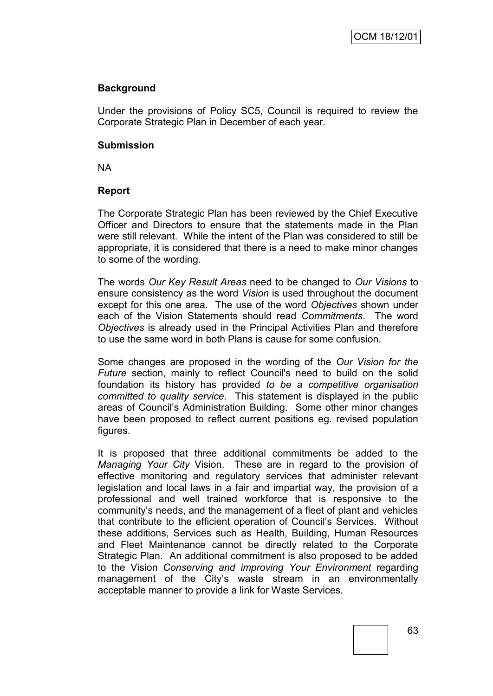## **Background**

Under the provisions of Policy SC5, Council is required to review the Corporate Strategic Plan in December of each year.

#### **Submission**

NA

### **Report**

The Corporate Strategic Plan has been reviewed by the Chief Executive Officer and Directors to ensure that the statements made in the Plan were still relevant. While the intent of the Plan was considered to still be appropriate, it is considered that there is a need to make minor changes to some of the wording.

The words *Our Key Result Areas* need to be changed to *Our Visions* to ensure consistency as the word *Vision* is used throughout the document except for this one area. The use of the word *Objectives* shown under each of the Vision Statements should read *Commitments*. The word *Objectives* is already used in the Principal Activities Plan and therefore to use the same word in both Plans is cause for some confusion.

Some changes are proposed in the wording of the *Our Vision for the Future* section, mainly to reflect Council's need to build on the solid foundation its history has provided *to be a competitive organisation committed to quality service.* This statement is displayed in the public areas of Council"s Administration Building. Some other minor changes have been proposed to reflect current positions eg. revised population figures.

It is proposed that three additional commitments be added to the *Managing Your City* Vision. These are in regard to the provision of effective monitoring and regulatory services that administer relevant legislation and local laws in a fair and impartial way, the provision of a professional and well trained workforce that is responsive to the community"s needs, and the management of a fleet of plant and vehicles that contribute to the efficient operation of Council"s Services. Without these additions, Services such as Health, Building, Human Resources and Fleet Maintenance cannot be directly related to the Corporate Strategic Plan. An additional commitment is also proposed to be added to the Vision *Conserving and improving Your Environment* regarding management of the City's waste stream in an environmentally acceptable manner to provide a link for Waste Services.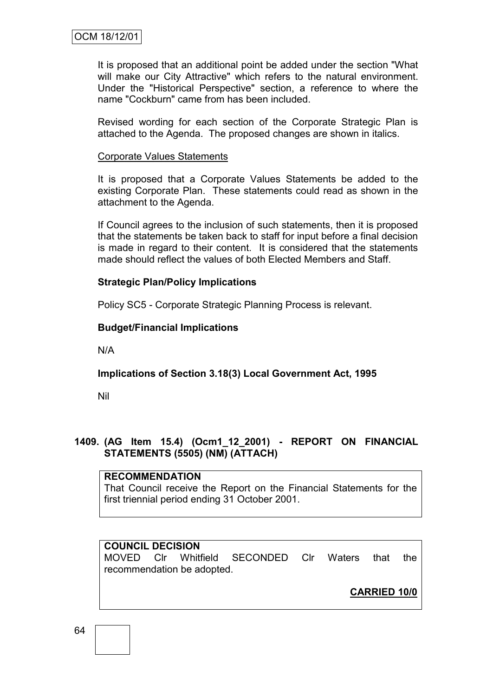It is proposed that an additional point be added under the section "What will make our City Attractive" which refers to the natural environment. Under the "Historical Perspective" section, a reference to where the name "Cockburn" came from has been included.

Revised wording for each section of the Corporate Strategic Plan is attached to the Agenda. The proposed changes are shown in italics.

#### Corporate Values Statements

It is proposed that a Corporate Values Statements be added to the existing Corporate Plan. These statements could read as shown in the attachment to the Agenda.

If Council agrees to the inclusion of such statements, then it is proposed that the statements be taken back to staff for input before a final decision is made in regard to their content. It is considered that the statements made should reflect the values of both Elected Members and Staff.

### **Strategic Plan/Policy Implications**

Policy SC5 - Corporate Strategic Planning Process is relevant.

#### **Budget/Financial Implications**

N/A

## **Implications of Section 3.18(3) Local Government Act, 1995**

Nil

## **1409. (AG Item 15.4) (Ocm1\_12\_2001) - REPORT ON FINANCIAL STATEMENTS (5505) (NM) (ATTACH)**

### **RECOMMENDATION**

That Council receive the Report on the Financial Statements for the first triennial period ending 31 October 2001.

### **COUNCIL DECISION**

MOVED Clr Whitfield SECONDED Clr Waters that the recommendation be adopted.

**CARRIED 10/0**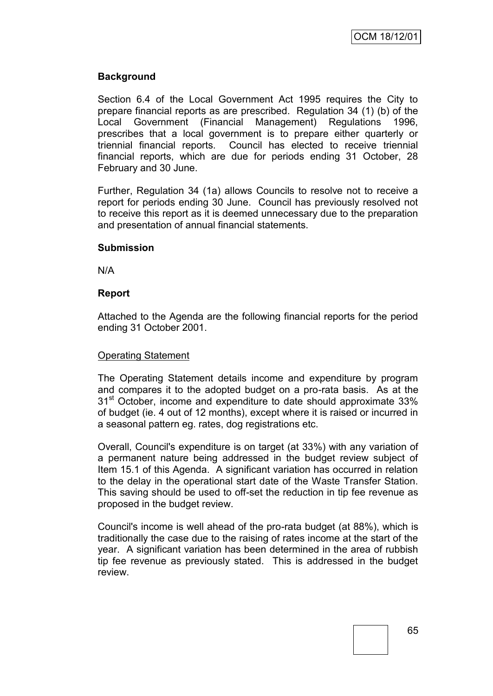## **Background**

Section 6.4 of the Local Government Act 1995 requires the City to prepare financial reports as are prescribed. Regulation 34 (1) (b) of the Local Government (Financial Management) Regulations 1996, prescribes that a local government is to prepare either quarterly or triennial financial reports. Council has elected to receive triennial financial reports, which are due for periods ending 31 October, 28 February and 30 June.

Further, Regulation 34 (1a) allows Councils to resolve not to receive a report for periods ending 30 June. Council has previously resolved not to receive this report as it is deemed unnecessary due to the preparation and presentation of annual financial statements.

#### **Submission**

N/A

### **Report**

Attached to the Agenda are the following financial reports for the period ending 31 October 2001.

#### Operating Statement

The Operating Statement details income and expenditure by program and compares it to the adopted budget on a pro-rata basis. As at the 31<sup>st</sup> October, income and expenditure to date should approximate 33% of budget (ie. 4 out of 12 months), except where it is raised or incurred in a seasonal pattern eg. rates, dog registrations etc.

Overall, Council's expenditure is on target (at 33%) with any variation of a permanent nature being addressed in the budget review subject of Item 15.1 of this Agenda. A significant variation has occurred in relation to the delay in the operational start date of the Waste Transfer Station. This saving should be used to off-set the reduction in tip fee revenue as proposed in the budget review.

Council's income is well ahead of the pro-rata budget (at 88%), which is traditionally the case due to the raising of rates income at the start of the year. A significant variation has been determined in the area of rubbish tip fee revenue as previously stated. This is addressed in the budget review.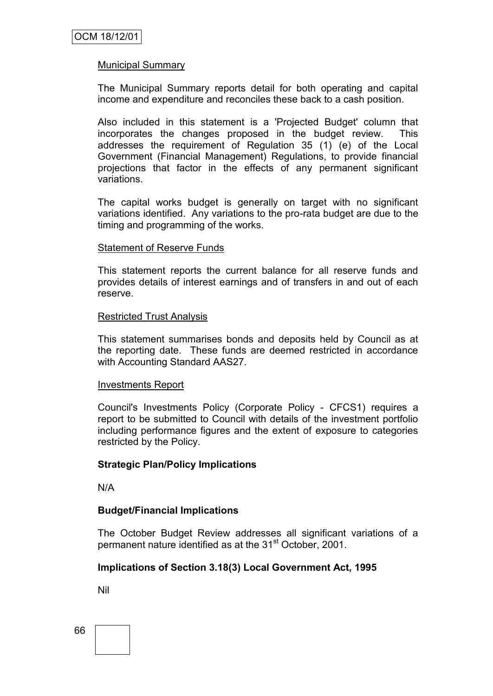### Municipal Summary

The Municipal Summary reports detail for both operating and capital income and expenditure and reconciles these back to a cash position.

Also included in this statement is a 'Projected Budget' column that incorporates the changes proposed in the budget review. This addresses the requirement of Regulation 35 (1) (e) of the Local Government (Financial Management) Regulations, to provide financial projections that factor in the effects of any permanent significant variations.

The capital works budget is generally on target with no significant variations identified. Any variations to the pro-rata budget are due to the timing and programming of the works.

#### Statement of Reserve Funds

This statement reports the current balance for all reserve funds and provides details of interest earnings and of transfers in and out of each reserve.

#### Restricted Trust Analysis

This statement summarises bonds and deposits held by Council as at the reporting date. These funds are deemed restricted in accordance with Accounting Standard AAS27.

#### Investments Report

Council's Investments Policy (Corporate Policy - CFCS1) requires a report to be submitted to Council with details of the investment portfolio including performance figures and the extent of exposure to categories restricted by the Policy.

#### **Strategic Plan/Policy Implications**

N/A

#### **Budget/Financial Implications**

The October Budget Review addresses all significant variations of a permanent nature identified as at the 31<sup>st</sup> October, 2001.

#### **Implications of Section 3.18(3) Local Government Act, 1995**

Nil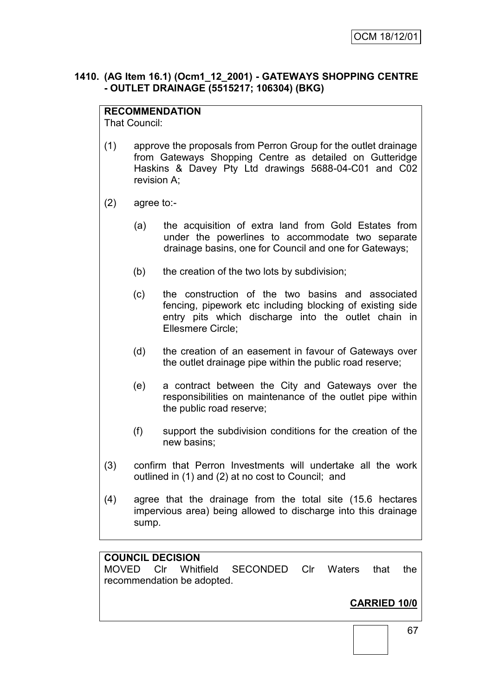## **1410. (AG Item 16.1) (Ocm1\_12\_2001) - GATEWAYS SHOPPING CENTRE - OUTLET DRAINAGE (5515217; 106304) (BKG)**

## **RECOMMENDATION**

That Council:

- (1) approve the proposals from Perron Group for the outlet drainage from Gateways Shopping Centre as detailed on Gutteridge Haskins & Davey Pty Ltd drawings 5688-04-C01 and C02 revision A;
- (2) agree to:-
	- (a) the acquisition of extra land from Gold Estates from under the powerlines to accommodate two separate drainage basins, one for Council and one for Gateways;
	- (b) the creation of the two lots by subdivision;
	- (c) the construction of the two basins and associated fencing, pipework etc including blocking of existing side entry pits which discharge into the outlet chain in Ellesmere Circle;
	- (d) the creation of an easement in favour of Gateways over the outlet drainage pipe within the public road reserve;
	- (e) a contract between the City and Gateways over the responsibilities on maintenance of the outlet pipe within the public road reserve;
	- (f) support the subdivision conditions for the creation of the new basins;
- (3) confirm that Perron Investments will undertake all the work outlined in (1) and (2) at no cost to Council; and
- (4) agree that the drainage from the total site (15.6 hectares impervious area) being allowed to discharge into this drainage sump.

### **COUNCIL DECISION**

MOVED Clr Whitfield SECONDED Clr Waters that the recommendation be adopted.

# **CARRIED 10/0**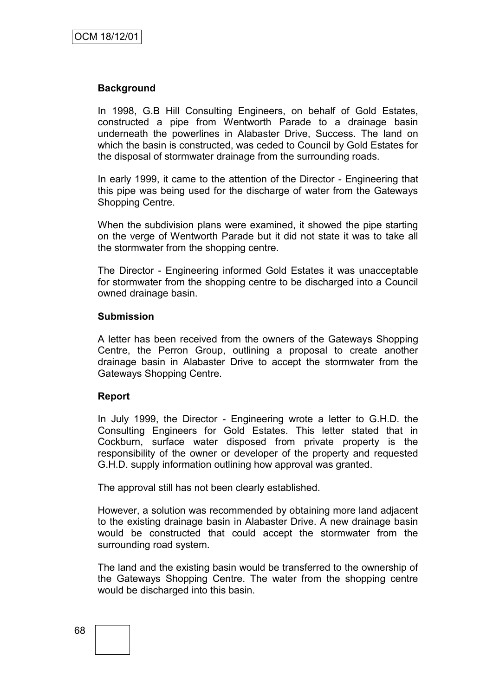#### **Background**

In 1998, G.B Hill Consulting Engineers, on behalf of Gold Estates, constructed a pipe from Wentworth Parade to a drainage basin underneath the powerlines in Alabaster Drive, Success. The land on which the basin is constructed, was ceded to Council by Gold Estates for the disposal of stormwater drainage from the surrounding roads.

In early 1999, it came to the attention of the Director - Engineering that this pipe was being used for the discharge of water from the Gateways Shopping Centre.

When the subdivision plans were examined, it showed the pipe starting on the verge of Wentworth Parade but it did not state it was to take all the stormwater from the shopping centre.

The Director - Engineering informed Gold Estates it was unacceptable for stormwater from the shopping centre to be discharged into a Council owned drainage basin.

#### **Submission**

A letter has been received from the owners of the Gateways Shopping Centre, the Perron Group, outlining a proposal to create another drainage basin in Alabaster Drive to accept the stormwater from the Gateways Shopping Centre.

#### **Report**

In July 1999, the Director - Engineering wrote a letter to G.H.D. the Consulting Engineers for Gold Estates. This letter stated that in Cockburn, surface water disposed from private property is the responsibility of the owner or developer of the property and requested G.H.D. supply information outlining how approval was granted.

The approval still has not been clearly established.

However, a solution was recommended by obtaining more land adjacent to the existing drainage basin in Alabaster Drive. A new drainage basin would be constructed that could accept the stormwater from the surrounding road system.

The land and the existing basin would be transferred to the ownership of the Gateways Shopping Centre. The water from the shopping centre would be discharged into this basin.

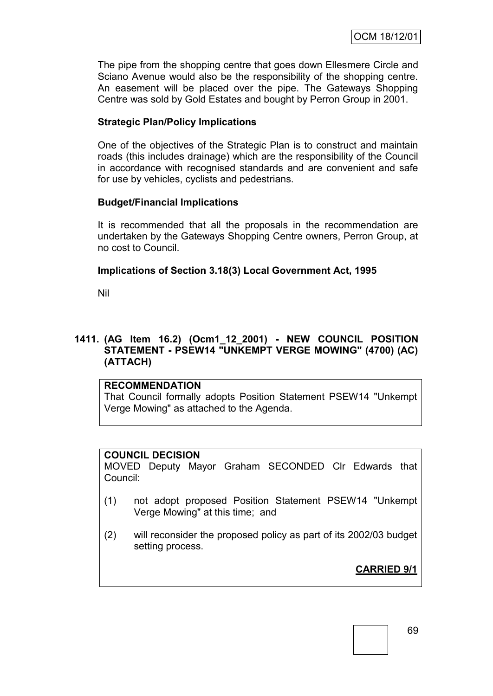The pipe from the shopping centre that goes down Ellesmere Circle and Sciano Avenue would also be the responsibility of the shopping centre. An easement will be placed over the pipe. The Gateways Shopping Centre was sold by Gold Estates and bought by Perron Group in 2001.

# **Strategic Plan/Policy Implications**

One of the objectives of the Strategic Plan is to construct and maintain roads (this includes drainage) which are the responsibility of the Council in accordance with recognised standards and are convenient and safe for use by vehicles, cyclists and pedestrians.

## **Budget/Financial Implications**

It is recommended that all the proposals in the recommendation are undertaken by the Gateways Shopping Centre owners, Perron Group, at no cost to Council.

# **Implications of Section 3.18(3) Local Government Act, 1995**

Nil

## **1411. (AG Item 16.2) (Ocm1\_12\_2001) - NEW COUNCIL POSITION STATEMENT - PSEW14 "UNKEMPT VERGE MOWING" (4700) (AC) (ATTACH)**

## **RECOMMENDATION**

That Council formally adopts Position Statement PSEW14 "Unkempt Verge Mowing" as attached to the Agenda.

## **COUNCIL DECISION**

MOVED Deputy Mayor Graham SECONDED Clr Edwards that Council:

- (1) not adopt proposed Position Statement PSEW14 "Unkempt Verge Mowing" at this time; and
- (2) will reconsider the proposed policy as part of its 2002/03 budget setting process.

**CARRIED 9/1**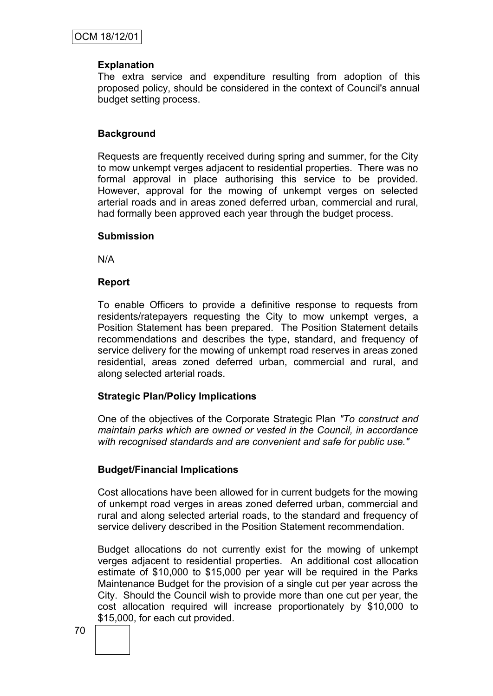#### **Explanation**

The extra service and expenditure resulting from adoption of this proposed policy, should be considered in the context of Council's annual budget setting process.

## **Background**

Requests are frequently received during spring and summer, for the City to mow unkempt verges adjacent to residential properties. There was no formal approval in place authorising this service to be provided. However, approval for the mowing of unkempt verges on selected arterial roads and in areas zoned deferred urban, commercial and rural, had formally been approved each year through the budget process.

#### **Submission**

N/A

#### **Report**

To enable Officers to provide a definitive response to requests from residents/ratepayers requesting the City to mow unkempt verges, a Position Statement has been prepared. The Position Statement details recommendations and describes the type, standard, and frequency of service delivery for the mowing of unkempt road reserves in areas zoned residential, areas zoned deferred urban, commercial and rural, and along selected arterial roads.

## **Strategic Plan/Policy Implications**

One of the objectives of the Corporate Strategic Plan *"To construct and maintain parks which are owned or vested in the Council, in accordance with recognised standards and are convenient and safe for public use."*

## **Budget/Financial Implications**

Cost allocations have been allowed for in current budgets for the mowing of unkempt road verges in areas zoned deferred urban, commercial and rural and along selected arterial roads, to the standard and frequency of service delivery described in the Position Statement recommendation.

Budget allocations do not currently exist for the mowing of unkempt verges adjacent to residential properties. An additional cost allocation estimate of \$10,000 to \$15,000 per year will be required in the Parks Maintenance Budget for the provision of a single cut per year across the City. Should the Council wish to provide more than one cut per year, the cost allocation required will increase proportionately by \$10,000 to \$15,000, for each cut provided.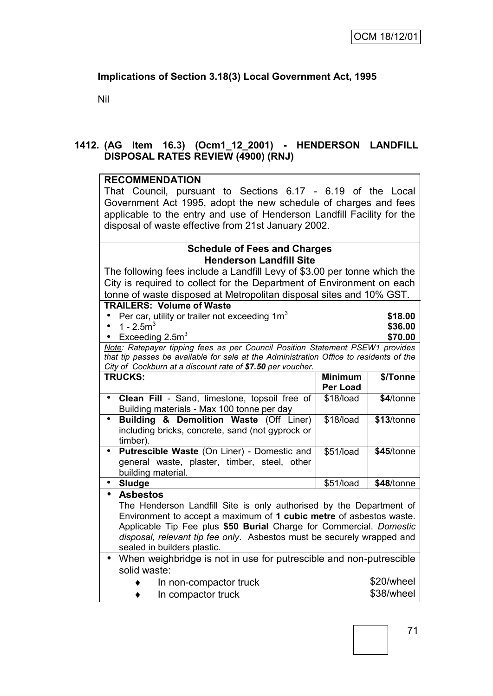# **Implications of Section 3.18(3) Local Government Act, 1995**

Nil

## **1412. (AG Item 16.3) (Ocm1\_12\_2001) - HENDERSON LANDFILL DISPOSAL RATES REVIEW (4900) (RNJ)**

#### **RECOMMENDATION**

That Council, pursuant to Sections 6.17 - 6.19 of the Local Government Act 1995, adopt the new schedule of charges and fees applicable to the entry and use of Henderson Landfill Facility for the disposal of waste effective from 21st January 2002.

## **Schedule of Fees and Charges Henderson Landfill Site**

The following fees include a Landfill Levy of \$3.00 per tonne which the City is required to collect for the Department of Environment on each tonne of waste disposed at Metropolitan disposal sites and 10% GST.

#### **TRAILERS: Volume of Waste**

| • Per car, utility or trailer not exceeding $1m3$                             | \$18.00 |
|-------------------------------------------------------------------------------|---------|
| • 1 - $2.5m3$                                                                 | \$36.00 |
| • Exceeding $2.5m3$                                                           | \$70.00 |
| Note: Ratepayer tipping fees as per Council Position Statement PSEW1 provides |         |

*that tip passes be available for sale at the Administration Office to residents of the City of Cockburn at a discount rate of \$7.50 per voucher.*

| <b>TRUCKS:</b>                                               | <b>Minimum</b><br><b>Per Load</b> | \$/Tonne   |
|--------------------------------------------------------------|-----------------------------------|------------|
| <b>Clean Fill</b> - Sand, limestone, topsoil free of         | \$18/load                         | \$4/tonne  |
| Building materials - Max 100 tonne per day                   |                                   |            |
| Building & Demolition Waste (Off Liner)<br>$\bullet$         | \$18/load                         | \$13/tonne |
| including bricks, concrete, sand (not gyprock or<br>timber). |                                   |            |
|                                                              |                                   |            |
| Putrescible Waste (On Liner) - Domestic and                  | \$51/load                         | \$45/tonne |
| general waste, plaster, timber, steel, other                 |                                   |            |
| building material.                                           |                                   |            |
| <b>Sludge</b>                                                | \$51/load                         | \$48/tonne |

**Asbestos**

The Henderson Landfill Site is only authorised by the Department of Environment to accept a maximum of **1 cubic metre** of asbestos waste. Applicable Tip Fee plus **\$50 Burial** Charge for Commercial. *Domestic disposal, relevant tip fee only*. Asbestos must be securely wrapped and sealed in builders plastic.

 When weighbridge is not in use for putrescible and non-putrescible solid waste:

In non-compactor truck \$20/wheel

In compactor truck \$38/wheel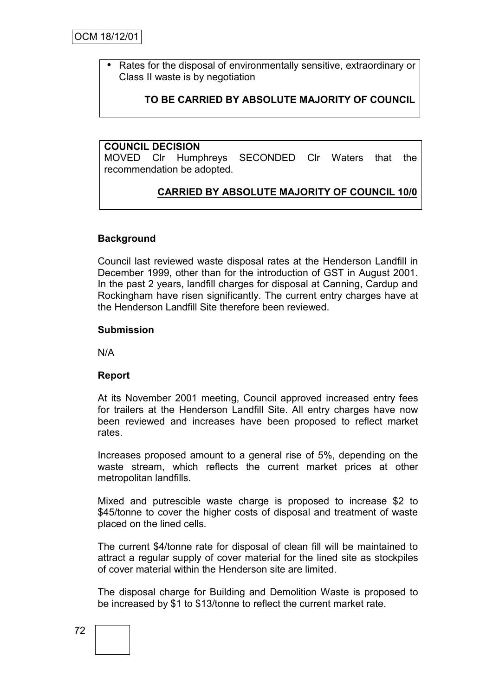OCM 18/12/01

• Rates for the disposal of environmentally sensitive, extraordinary or Class II waste is by negotiation

# **TO BE CARRIED BY ABSOLUTE MAJORITY OF COUNCIL**

#### **COUNCIL DECISION**

MOVED Clr Humphreys SECONDED Clr Waters that the recommendation be adopted.

# **CARRIED BY ABSOLUTE MAJORITY OF COUNCIL 10/0**

#### **Background**

Council last reviewed waste disposal rates at the Henderson Landfill in December 1999, other than for the introduction of GST in August 2001. In the past 2 years, landfill charges for disposal at Canning, Cardup and Rockingham have risen significantly. The current entry charges have at the Henderson Landfill Site therefore been reviewed.

#### **Submission**

N/A

#### **Report**

At its November 2001 meeting, Council approved increased entry fees for trailers at the Henderson Landfill Site. All entry charges have now been reviewed and increases have been proposed to reflect market rates.

Increases proposed amount to a general rise of 5%, depending on the waste stream, which reflects the current market prices at other metropolitan landfills.

Mixed and putrescible waste charge is proposed to increase \$2 to \$45/tonne to cover the higher costs of disposal and treatment of waste placed on the lined cells.

The current \$4/tonne rate for disposal of clean fill will be maintained to attract a regular supply of cover material for the lined site as stockpiles of cover material within the Henderson site are limited.

The disposal charge for Building and Demolition Waste is proposed to be increased by \$1 to \$13/tonne to reflect the current market rate.

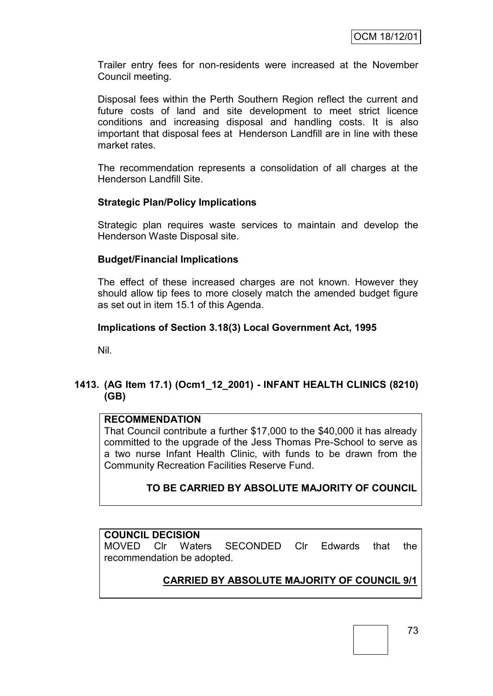Trailer entry fees for non-residents were increased at the November Council meeting.

Disposal fees within the Perth Southern Region reflect the current and future costs of land and site development to meet strict licence conditions and increasing disposal and handling costs. It is also important that disposal fees at Henderson Landfill are in line with these market rates.

The recommendation represents a consolidation of all charges at the Henderson Landfill Site.

## **Strategic Plan/Policy Implications**

Strategic plan requires waste services to maintain and develop the Henderson Waste Disposal site.

#### **Budget/Financial Implications**

The effect of these increased charges are not known. However they should allow tip fees to more closely match the amended budget figure as set out in item 15.1 of this Agenda.

#### **Implications of Section 3.18(3) Local Government Act, 1995**

Nil.

# **1413. (AG Item 17.1) (Ocm1\_12\_2001) - INFANT HEALTH CLINICS (8210) (GB)**

#### **RECOMMENDATION**

That Council contribute a further \$17,000 to the \$40,000 it has already committed to the upgrade of the Jess Thomas Pre-School to serve as a two nurse Infant Health Clinic, with funds to be drawn from the Community Recreation Facilities Reserve Fund.

## **TO BE CARRIED BY ABSOLUTE MAJORITY OF COUNCIL**

## **COUNCIL DECISION**

MOVED Clr Waters SECONDED Clr Edwards that the recommendation be adopted.

# **CARRIED BY ABSOLUTE MAJORITY OF COUNCIL 9/1**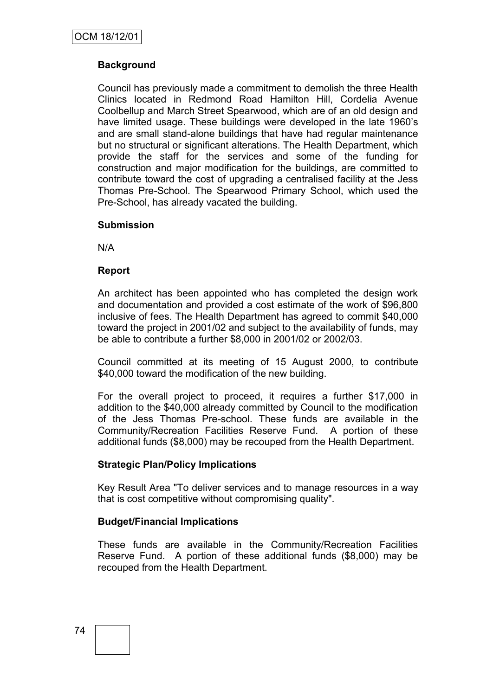# **Background**

Council has previously made a commitment to demolish the three Health Clinics located in Redmond Road Hamilton Hill, Cordelia Avenue Coolbellup and March Street Spearwood, which are of an old design and have limited usage. These buildings were developed in the late 1960"s and are small stand-alone buildings that have had regular maintenance but no structural or significant alterations. The Health Department, which provide the staff for the services and some of the funding for construction and major modification for the buildings, are committed to contribute toward the cost of upgrading a centralised facility at the Jess Thomas Pre-School. The Spearwood Primary School, which used the Pre-School, has already vacated the building.

#### **Submission**

N/A

## **Report**

An architect has been appointed who has completed the design work and documentation and provided a cost estimate of the work of \$96,800 inclusive of fees. The Health Department has agreed to commit \$40,000 toward the project in 2001/02 and subject to the availability of funds, may be able to contribute a further \$8,000 in 2001/02 or 2002/03.

Council committed at its meeting of 15 August 2000, to contribute \$40,000 toward the modification of the new building.

For the overall project to proceed, it requires a further \$17,000 in addition to the \$40,000 already committed by Council to the modification of the Jess Thomas Pre-school. These funds are available in the Community/Recreation Facilities Reserve Fund. A portion of these additional funds (\$8,000) may be recouped from the Health Department.

## **Strategic Plan/Policy Implications**

Key Result Area "To deliver services and to manage resources in a way that is cost competitive without compromising quality".

## **Budget/Financial Implications**

These funds are available in the Community/Recreation Facilities Reserve Fund. A portion of these additional funds (\$8,000) may be recouped from the Health Department.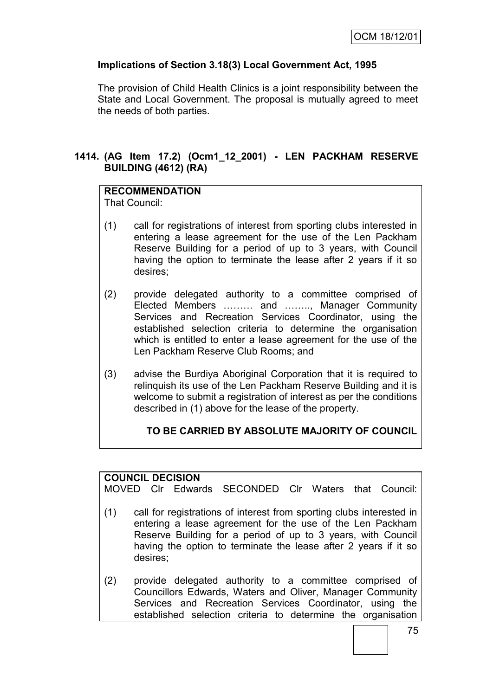# **Implications of Section 3.18(3) Local Government Act, 1995**

The provision of Child Health Clinics is a joint responsibility between the State and Local Government. The proposal is mutually agreed to meet the needs of both parties.

# **1414. (AG Item 17.2) (Ocm1\_12\_2001) - LEN PACKHAM RESERVE BUILDING (4612) (RA)**

# **RECOMMENDATION**

That Council:

- (1) call for registrations of interest from sporting clubs interested in entering a lease agreement for the use of the Len Packham Reserve Building for a period of up to 3 years, with Council having the option to terminate the lease after 2 years if it so desires;
- (2) provide delegated authority to a committee comprised of Elected Members ……… and …….., Manager Community Services and Recreation Services Coordinator, using the established selection criteria to determine the organisation which is entitled to enter a lease agreement for the use of the Len Packham Reserve Club Rooms; and
- (3) advise the Burdiya Aboriginal Corporation that it is required to relinquish its use of the Len Packham Reserve Building and it is welcome to submit a registration of interest as per the conditions described in (1) above for the lease of the property.

# **TO BE CARRIED BY ABSOLUTE MAJORITY OF COUNCIL**

## **COUNCIL DECISION**

MOVED Clr Edwards SECONDED Clr Waters that Council:

- (1) call for registrations of interest from sporting clubs interested in entering a lease agreement for the use of the Len Packham Reserve Building for a period of up to 3 years, with Council having the option to terminate the lease after 2 years if it so desires;
- (2) provide delegated authority to a committee comprised of Councillors Edwards, Waters and Oliver, Manager Community Services and Recreation Services Coordinator, using the established selection criteria to determine the organisation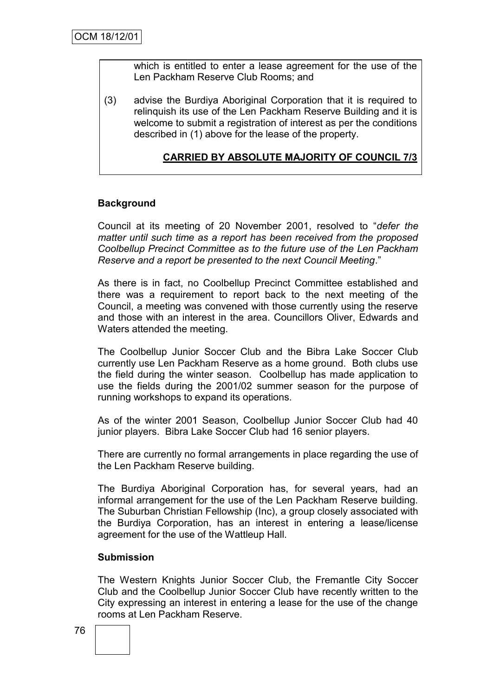which is entitled to enter a lease agreement for the use of the Len Packham Reserve Club Rooms; and

(3) advise the Burdiya Aboriginal Corporation that it is required to relinquish its use of the Len Packham Reserve Building and it is welcome to submit a registration of interest as per the conditions described in (1) above for the lease of the property.

# **CARRIED BY ABSOLUTE MAJORITY OF COUNCIL 7/3**

## **Background**

Council at its meeting of 20 November 2001, resolved to "*defer the matter until such time as a report has been received from the proposed Coolbellup Precinct Committee as to the future use of the Len Packham Reserve and a report be presented to the next Council Meeting*."

As there is in fact, no Coolbellup Precinct Committee established and there was a requirement to report back to the next meeting of the Council, a meeting was convened with those currently using the reserve and those with an interest in the area. Councillors Oliver, Edwards and Waters attended the meeting.

The Coolbellup Junior Soccer Club and the Bibra Lake Soccer Club currently use Len Packham Reserve as a home ground. Both clubs use the field during the winter season. Coolbellup has made application to use the fields during the 2001/02 summer season for the purpose of running workshops to expand its operations.

As of the winter 2001 Season, Coolbellup Junior Soccer Club had 40 junior players. Bibra Lake Soccer Club had 16 senior players.

There are currently no formal arrangements in place regarding the use of the Len Packham Reserve building.

The Burdiya Aboriginal Corporation has, for several years, had an informal arrangement for the use of the Len Packham Reserve building. The Suburban Christian Fellowship (Inc), a group closely associated with the Burdiya Corporation, has an interest in entering a lease/license agreement for the use of the Wattleup Hall.

#### **Submission**

The Western Knights Junior Soccer Club, the Fremantle City Soccer Club and the Coolbellup Junior Soccer Club have recently written to the City expressing an interest in entering a lease for the use of the change rooms at Len Packham Reserve.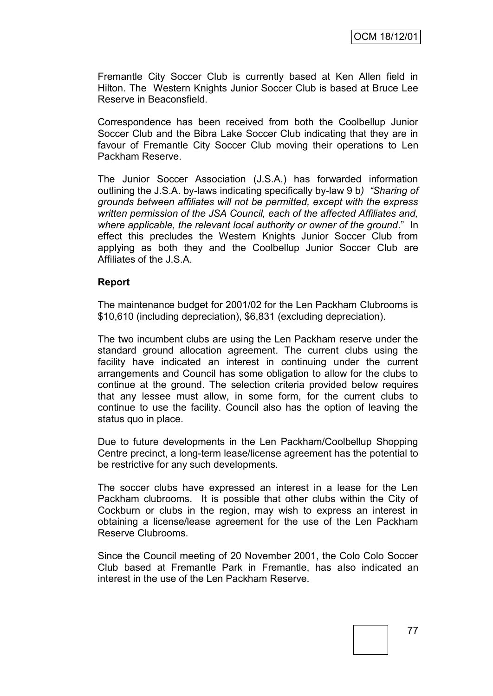Fremantle City Soccer Club is currently based at Ken Allen field in Hilton. The Western Knights Junior Soccer Club is based at Bruce Lee Reserve in Beaconsfield.

Correspondence has been received from both the Coolbellup Junior Soccer Club and the Bibra Lake Soccer Club indicating that they are in favour of Fremantle City Soccer Club moving their operations to Len Packham Reserve.

The Junior Soccer Association (J.S.A.) has forwarded information outlining the J.S.A. by-laws indicating specifically by-law 9 b*) "Sharing of grounds between affiliates will not be permitted, except with the express written permission of the JSA Council, each of the affected Affiliates and, where applicable, the relevant local authority or owner of the ground*." In effect this precludes the Western Knights Junior Soccer Club from applying as both they and the Coolbellup Junior Soccer Club are Affiliates of the J.S.A.

#### **Report**

The maintenance budget for 2001/02 for the Len Packham Clubrooms is \$10,610 (including depreciation), \$6,831 (excluding depreciation).

The two incumbent clubs are using the Len Packham reserve under the standard ground allocation agreement. The current clubs using the facility have indicated an interest in continuing under the current arrangements and Council has some obligation to allow for the clubs to continue at the ground. The selection criteria provided below requires that any lessee must allow, in some form, for the current clubs to continue to use the facility. Council also has the option of leaving the status quo in place.

Due to future developments in the Len Packham/Coolbellup Shopping Centre precinct, a long-term lease/license agreement has the potential to be restrictive for any such developments.

The soccer clubs have expressed an interest in a lease for the Len Packham clubrooms. It is possible that other clubs within the City of Cockburn or clubs in the region, may wish to express an interest in obtaining a license/lease agreement for the use of the Len Packham Reserve Clubrooms.

Since the Council meeting of 20 November 2001, the Colo Colo Soccer Club based at Fremantle Park in Fremantle, has also indicated an interest in the use of the Len Packham Reserve.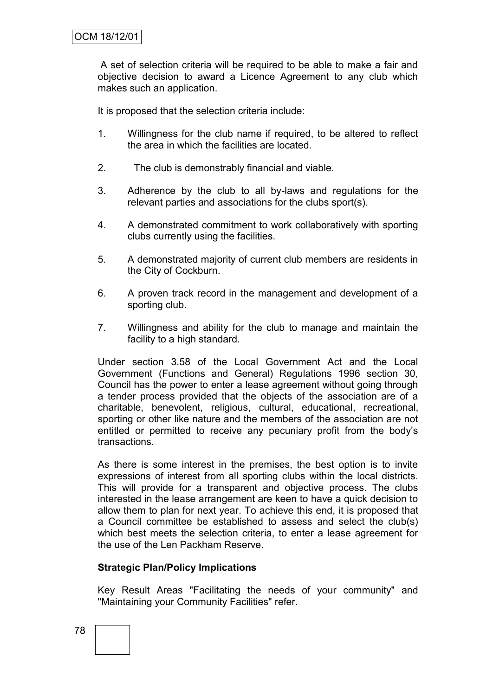A set of selection criteria will be required to be able to make a fair and objective decision to award a Licence Agreement to any club which makes such an application.

It is proposed that the selection criteria include:

- 1. Willingness for the club name if required, to be altered to reflect the area in which the facilities are located.
- 2. The club is demonstrably financial and viable.
- 3. Adherence by the club to all by-laws and regulations for the relevant parties and associations for the clubs sport(s).
- 4. A demonstrated commitment to work collaboratively with sporting clubs currently using the facilities.
- 5. A demonstrated majority of current club members are residents in the City of Cockburn.
- 6. A proven track record in the management and development of a sporting club.
- 7. Willingness and ability for the club to manage and maintain the facility to a high standard.

Under section 3.58 of the Local Government Act and the Local Government (Functions and General) Regulations 1996 section 30, Council has the power to enter a lease agreement without going through a tender process provided that the objects of the association are of a charitable, benevolent, religious, cultural, educational, recreational, sporting or other like nature and the members of the association are not entitled or permitted to receive any pecuniary profit from the body"s transactions.

As there is some interest in the premises, the best option is to invite expressions of interest from all sporting clubs within the local districts. This will provide for a transparent and objective process. The clubs interested in the lease arrangement are keen to have a quick decision to allow them to plan for next year. To achieve this end, it is proposed that a Council committee be established to assess and select the club(s) which best meets the selection criteria, to enter a lease agreement for the use of the Len Packham Reserve.

## **Strategic Plan/Policy Implications**

Key Result Areas "Facilitating the needs of your community" and "Maintaining your Community Facilities" refer.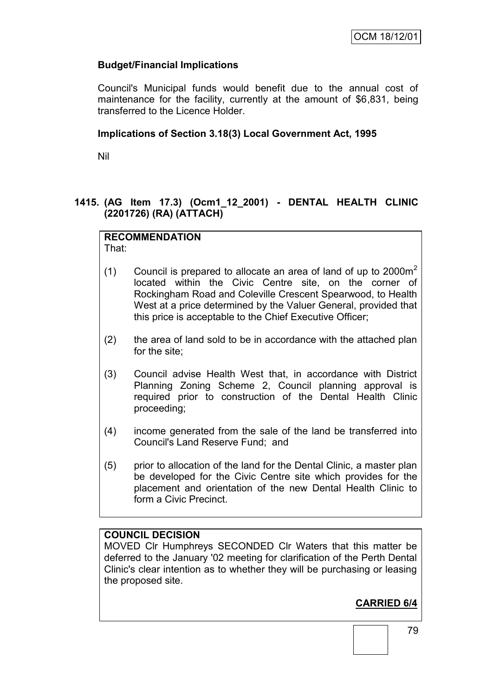# **Budget/Financial Implications**

Council's Municipal funds would benefit due to the annual cost of maintenance for the facility, currently at the amount of \$6,831, being transferred to the Licence Holder.

## **Implications of Section 3.18(3) Local Government Act, 1995**

Nil

## **1415. (AG Item 17.3) (Ocm1\_12\_2001) - DENTAL HEALTH CLINIC (2201726) (RA) (ATTACH)**

# **RECOMMENDATION**

That:

- (1) Council is prepared to allocate an area of land of up to  $2000m^2$ located within the Civic Centre site, on the corner of Rockingham Road and Coleville Crescent Spearwood, to Health West at a price determined by the Valuer General, provided that this price is acceptable to the Chief Executive Officer;
- (2) the area of land sold to be in accordance with the attached plan for the site;
- (3) Council advise Health West that, in accordance with District Planning Zoning Scheme 2, Council planning approval is required prior to construction of the Dental Health Clinic proceeding;
- (4) income generated from the sale of the land be transferred into Council's Land Reserve Fund; and
- (5) prior to allocation of the land for the Dental Clinic, a master plan be developed for the Civic Centre site which provides for the placement and orientation of the new Dental Health Clinic to form a Civic Precinct.

# **COUNCIL DECISION**

MOVED Clr Humphreys SECONDED Clr Waters that this matter be deferred to the January '02 meeting for clarification of the Perth Dental Clinic's clear intention as to whether they will be purchasing or leasing the proposed site.

# **CARRIED 6/4**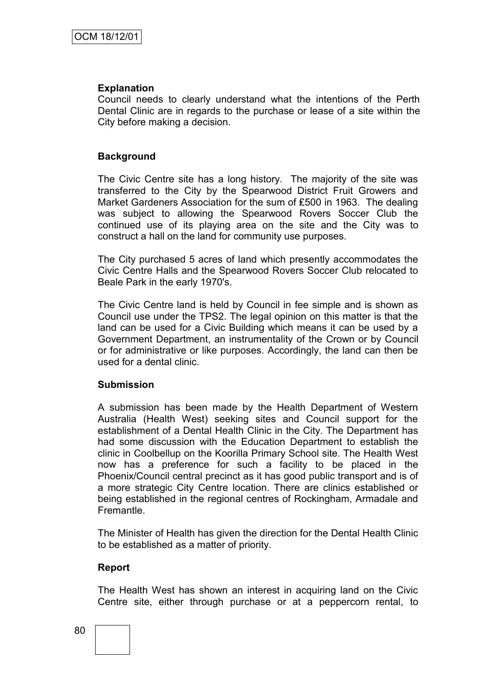#### **Explanation**

Council needs to clearly understand what the intentions of the Perth Dental Clinic are in regards to the purchase or lease of a site within the City before making a decision.

#### **Background**

The Civic Centre site has a long history. The majority of the site was transferred to the City by the Spearwood District Fruit Growers and Market Gardeners Association for the sum of ₤500 in 1963. The dealing was subject to allowing the Spearwood Rovers Soccer Club the continued use of its playing area on the site and the City was to construct a hall on the land for community use purposes.

The City purchased 5 acres of land which presently accommodates the Civic Centre Halls and the Spearwood Rovers Soccer Club relocated to Beale Park in the early 1970's.

The Civic Centre land is held by Council in fee simple and is shown as Council use under the TPS2. The legal opinion on this matter is that the land can be used for a Civic Building which means it can be used by a Government Department, an instrumentality of the Crown or by Council or for administrative or like purposes. Accordingly, the land can then be used for a dental clinic.

#### **Submission**

A submission has been made by the Health Department of Western Australia (Health West) seeking sites and Council support for the establishment of a Dental Health Clinic in the City. The Department has had some discussion with the Education Department to establish the clinic in Coolbellup on the Koorilla Primary School site. The Health West now has a preference for such a facility to be placed in the Phoenix/Council central precinct as it has good public transport and is of a more strategic City Centre location. There are clinics established or being established in the regional centres of Rockingham, Armadale and Fremantle.

The Minister of Health has given the direction for the Dental Health Clinic to be established as a matter of priority.

## **Report**

The Health West has shown an interest in acquiring land on the Civic Centre site, either through purchase or at a peppercorn rental, to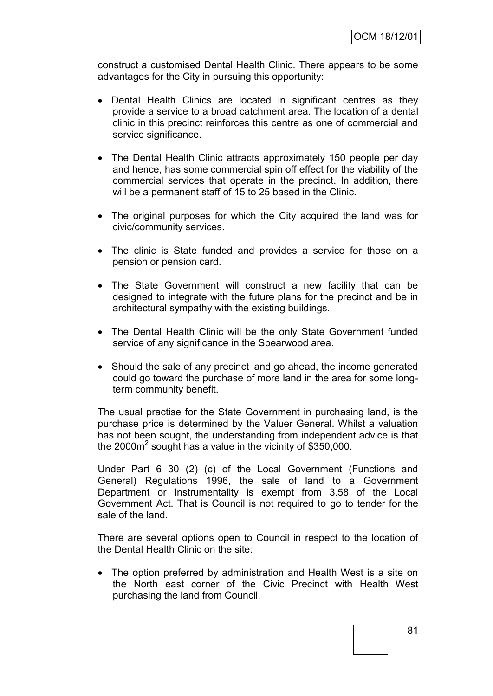construct a customised Dental Health Clinic. There appears to be some advantages for the City in pursuing this opportunity:

- Dental Health Clinics are located in significant centres as they provide a service to a broad catchment area. The location of a dental clinic in this precinct reinforces this centre as one of commercial and service significance.
- The Dental Health Clinic attracts approximately 150 people per day and hence, has some commercial spin off effect for the viability of the commercial services that operate in the precinct. In addition, there will be a permanent staff of 15 to 25 based in the Clinic.
- The original purposes for which the City acquired the land was for civic/community services.
- The clinic is State funded and provides a service for those on a pension or pension card.
- The State Government will construct a new facility that can be designed to integrate with the future plans for the precinct and be in architectural sympathy with the existing buildings.
- The Dental Health Clinic will be the only State Government funded service of any significance in the Spearwood area.
- Should the sale of any precinct land go ahead, the income generated could go toward the purchase of more land in the area for some longterm community benefit.

The usual practise for the State Government in purchasing land, is the purchase price is determined by the Valuer General. Whilst a valuation has not been sought, the understanding from independent advice is that the 2000 $m^2$  sought has a value in the vicinity of \$350,000.

Under Part 6 30 (2) (c) of the Local Government (Functions and General) Regulations 1996, the sale of land to a Government Department or Instrumentality is exempt from 3.58 of the Local Government Act. That is Council is not required to go to tender for the sale of the land.

There are several options open to Council in respect to the location of the Dental Health Clinic on the site:

 The option preferred by administration and Health West is a site on the North east corner of the Civic Precinct with Health West purchasing the land from Council.

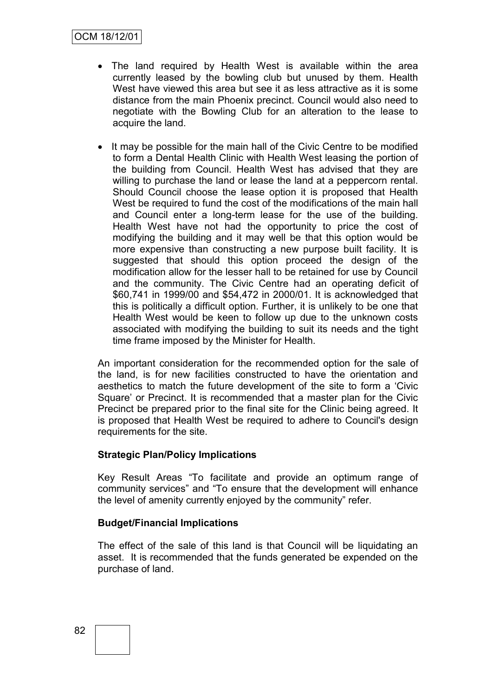- The land required by Health West is available within the area currently leased by the bowling club but unused by them. Health West have viewed this area but see it as less attractive as it is some distance from the main Phoenix precinct. Council would also need to negotiate with the Bowling Club for an alteration to the lease to acquire the land.
- It may be possible for the main hall of the Civic Centre to be modified to form a Dental Health Clinic with Health West leasing the portion of the building from Council. Health West has advised that they are willing to purchase the land or lease the land at a peppercorn rental. Should Council choose the lease option it is proposed that Health West be required to fund the cost of the modifications of the main hall and Council enter a long-term lease for the use of the building. Health West have not had the opportunity to price the cost of modifying the building and it may well be that this option would be more expensive than constructing a new purpose built facility. It is suggested that should this option proceed the design of the modification allow for the lesser hall to be retained for use by Council and the community. The Civic Centre had an operating deficit of \$60,741 in 1999/00 and \$54,472 in 2000/01. It is acknowledged that this is politically a difficult option. Further, it is unlikely to be one that Health West would be keen to follow up due to the unknown costs associated with modifying the building to suit its needs and the tight time frame imposed by the Minister for Health.

An important consideration for the recommended option for the sale of the land, is for new facilities constructed to have the orientation and aesthetics to match the future development of the site to form a "Civic Square" or Precinct. It is recommended that a master plan for the Civic Precinct be prepared prior to the final site for the Clinic being agreed. It is proposed that Health West be required to adhere to Council's design requirements for the site.

## **Strategic Plan/Policy Implications**

Key Result Areas "To facilitate and provide an optimum range of community services" and "To ensure that the development will enhance the level of amenity currently enjoyed by the community" refer.

## **Budget/Financial Implications**

The effect of the sale of this land is that Council will be liquidating an asset. It is recommended that the funds generated be expended on the purchase of land.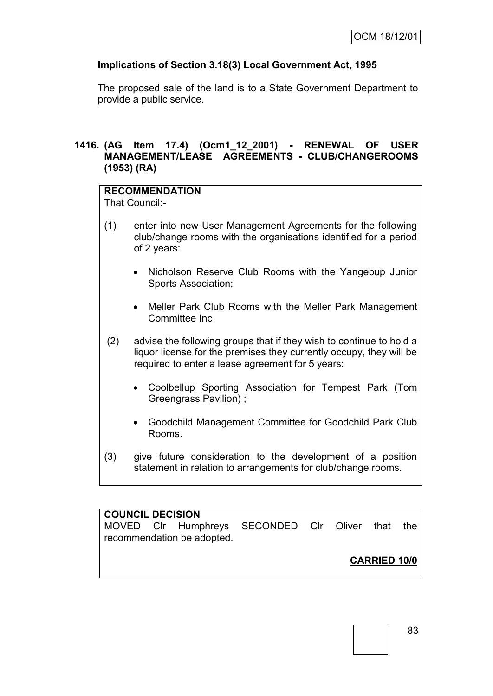# **Implications of Section 3.18(3) Local Government Act, 1995**

The proposed sale of the land is to a State Government Department to provide a public service.

## **1416. (AG Item 17.4) (Ocm1\_12\_2001) - RENEWAL OF USER MANAGEMENT/LEASE AGREEMENTS - CLUB/CHANGEROOMS (1953) (RA)**

# **RECOMMENDATION**

That Council:-

- (1) enter into new User Management Agreements for the following club/change rooms with the organisations identified for a period of 2 years:
	- Nicholson Reserve Club Rooms with the Yangebup Junior Sports Association;
	- Meller Park Club Rooms with the Meller Park Management Committee Inc
- (2) advise the following groups that if they wish to continue to hold a liquor license for the premises they currently occupy, they will be required to enter a lease agreement for 5 years:
	- Coolbellup Sporting Association for Tempest Park (Tom Greengrass Pavilion) ;
	- Goodchild Management Committee for Goodchild Park Club Rooms.
- (3) give future consideration to the development of a position statement in relation to arrangements for club/change rooms.

# **COUNCIL DECISION**

MOVED Clr Humphreys SECONDED Clr Oliver that the recommendation be adopted.

**CARRIED 10/0**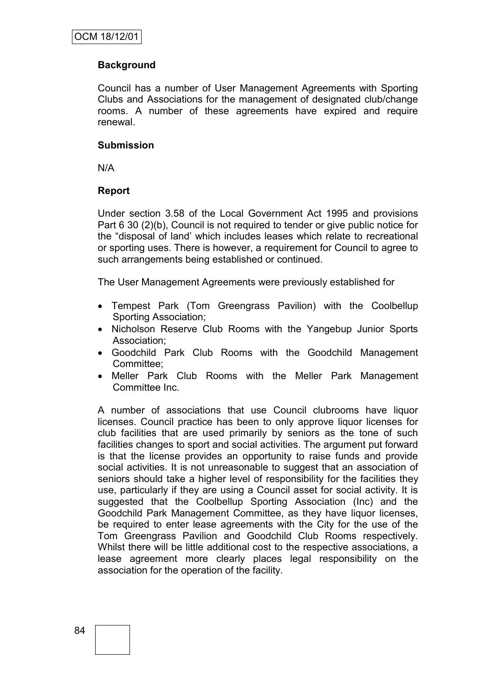# **Background**

Council has a number of User Management Agreements with Sporting Clubs and Associations for the management of designated club/change rooms. A number of these agreements have expired and require renewal.

#### **Submission**

N/A

## **Report**

Under section 3.58 of the Local Government Act 1995 and provisions Part 6 30 (2)(b), Council is not required to tender or give public notice for the "disposal of land" which includes leases which relate to recreational or sporting uses. There is however, a requirement for Council to agree to such arrangements being established or continued.

The User Management Agreements were previously established for

- Tempest Park (Tom Greengrass Pavilion) with the Coolbellup Sporting Association;
- Nicholson Reserve Club Rooms with the Yangebup Junior Sports Association;
- Goodchild Park Club Rooms with the Goodchild Management Committee;
- Meller Park Club Rooms with the Meller Park Management Committee Inc.

A number of associations that use Council clubrooms have liquor licenses. Council practice has been to only approve liquor licenses for club facilities that are used primarily by seniors as the tone of such facilities changes to sport and social activities. The argument put forward is that the license provides an opportunity to raise funds and provide social activities. It is not unreasonable to suggest that an association of seniors should take a higher level of responsibility for the facilities they use, particularly if they are using a Council asset for social activity. It is suggested that the Coolbellup Sporting Association (Inc) and the Goodchild Park Management Committee, as they have liquor licenses, be required to enter lease agreements with the City for the use of the Tom Greengrass Pavilion and Goodchild Club Rooms respectively. Whilst there will be little additional cost to the respective associations, a lease agreement more clearly places legal responsibility on the association for the operation of the facility.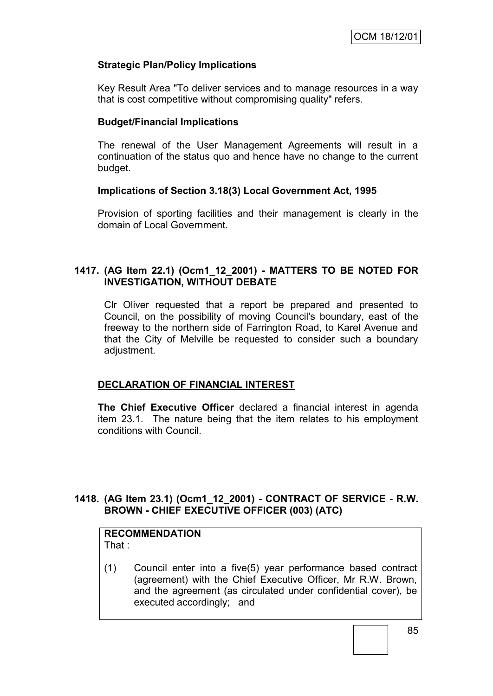## **Strategic Plan/Policy Implications**

Key Result Area "To deliver services and to manage resources in a way that is cost competitive without compromising quality" refers.

#### **Budget/Financial Implications**

The renewal of the User Management Agreements will result in a continuation of the status quo and hence have no change to the current budget.

## **Implications of Section 3.18(3) Local Government Act, 1995**

Provision of sporting facilities and their management is clearly in the domain of Local Government.

## **1417. (AG Item 22.1) (Ocm1\_12\_2001) - MATTERS TO BE NOTED FOR INVESTIGATION, WITHOUT DEBATE**

Clr Oliver requested that a report be prepared and presented to Council, on the possibility of moving Council's boundary, east of the freeway to the northern side of Farrington Road, to Karel Avenue and that the City of Melville be requested to consider such a boundary adjustment.

## **DECLARATION OF FINANCIAL INTEREST**

**The Chief Executive Officer** declared a financial interest in agenda item 23.1. The nature being that the item relates to his employment conditions with Council.

# **1418. (AG Item 23.1) (Ocm1\_12\_2001) - CONTRACT OF SERVICE - R.W. BROWN - CHIEF EXECUTIVE OFFICER (003) (ATC)**

#### **RECOMMENDATION** That :

(1) Council enter into a five(5) year performance based contract (agreement) with the Chief Executive Officer, Mr R.W. Brown, and the agreement (as circulated under confidential cover), be executed accordingly; and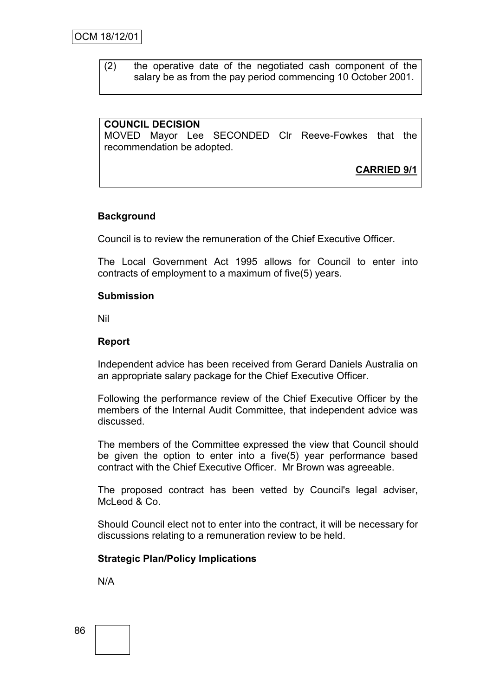(2) the operative date of the negotiated cash component of the salary be as from the pay period commencing 10 October 2001.

# **COUNCIL DECISION**

MOVED Mayor Lee SECONDED Clr Reeve-Fowkes that the recommendation be adopted.

**CARRIED 9/1**

## **Background**

Council is to review the remuneration of the Chief Executive Officer.

The Local Government Act 1995 allows for Council to enter into contracts of employment to a maximum of five(5) years.

#### **Submission**

Nil

## **Report**

Independent advice has been received from Gerard Daniels Australia on an appropriate salary package for the Chief Executive Officer.

Following the performance review of the Chief Executive Officer by the members of the Internal Audit Committee, that independent advice was discussed.

The members of the Committee expressed the view that Council should be given the option to enter into a five(5) year performance based contract with the Chief Executive Officer. Mr Brown was agreeable.

The proposed contract has been vetted by Council's legal adviser, McLeod & Co.

Should Council elect not to enter into the contract, it will be necessary for discussions relating to a remuneration review to be held.

## **Strategic Plan/Policy Implications**

N/A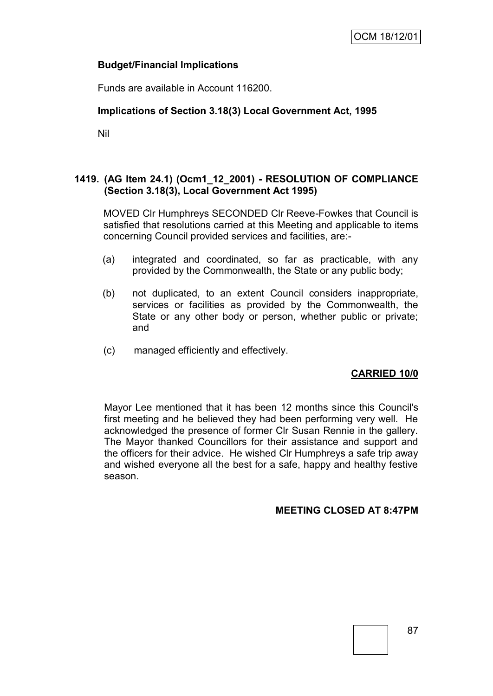## **Budget/Financial Implications**

Funds are available in Account 116200.

# **Implications of Section 3.18(3) Local Government Act, 1995**

Nil

# **1419. (AG Item 24.1) (Ocm1\_12\_2001) - RESOLUTION OF COMPLIANCE (Section 3.18(3), Local Government Act 1995)**

MOVED Clr Humphreys SECONDED Clr Reeve-Fowkes that Council is satisfied that resolutions carried at this Meeting and applicable to items concerning Council provided services and facilities, are:-

- (a) integrated and coordinated, so far as practicable, with any provided by the Commonwealth, the State or any public body;
- (b) not duplicated, to an extent Council considers inappropriate, services or facilities as provided by the Commonwealth, the State or any other body or person, whether public or private; and
- (c) managed efficiently and effectively.

# **CARRIED 10/0**

Mayor Lee mentioned that it has been 12 months since this Council's first meeting and he believed they had been performing very well. He acknowledged the presence of former Clr Susan Rennie in the gallery. The Mayor thanked Councillors for their assistance and support and the officers for their advice. He wished Clr Humphreys a safe trip away and wished everyone all the best for a safe, happy and healthy festive season.

# **MEETING CLOSED AT 8:47PM**